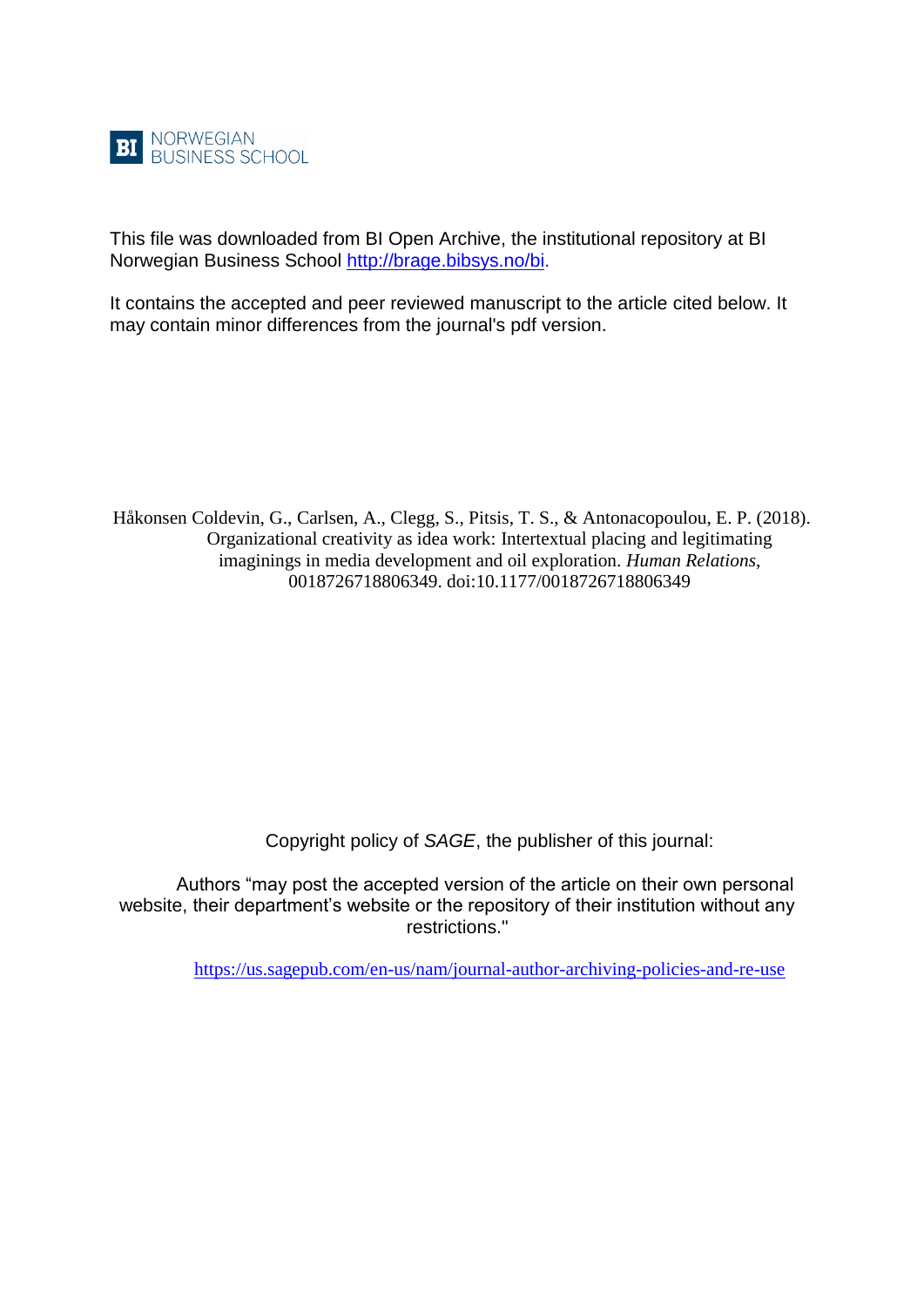

This file was downloaded from BI Open Archive, the institutional repository at BI Norwegian Business School [http://brage.bibsys.no/bi.](http://brage.bibsys.no/bi)

It contains the accepted and peer reviewed manuscript to the article cited below. It may contain minor differences from the journal's pdf version.

Håkonsen Coldevin, G., Carlsen, A., Clegg, S., Pitsis, T. S., & Antonacopoulou, E. P. (2018). Organizational creativity as idea work: Intertextual placing and legitimating imaginings in media development and oil exploration. *Human Relations*, 0018726718806349. doi:10.1177/0018726718806349

Copyright policy of *SAGE*, the publisher of this journal:

Authors "may post the accepted version of the article on their own personal website, their department's website or the repository of their institution without any restrictions."

<https://us.sagepub.com/en-us/nam/journal-author-archiving-policies-and-re-use>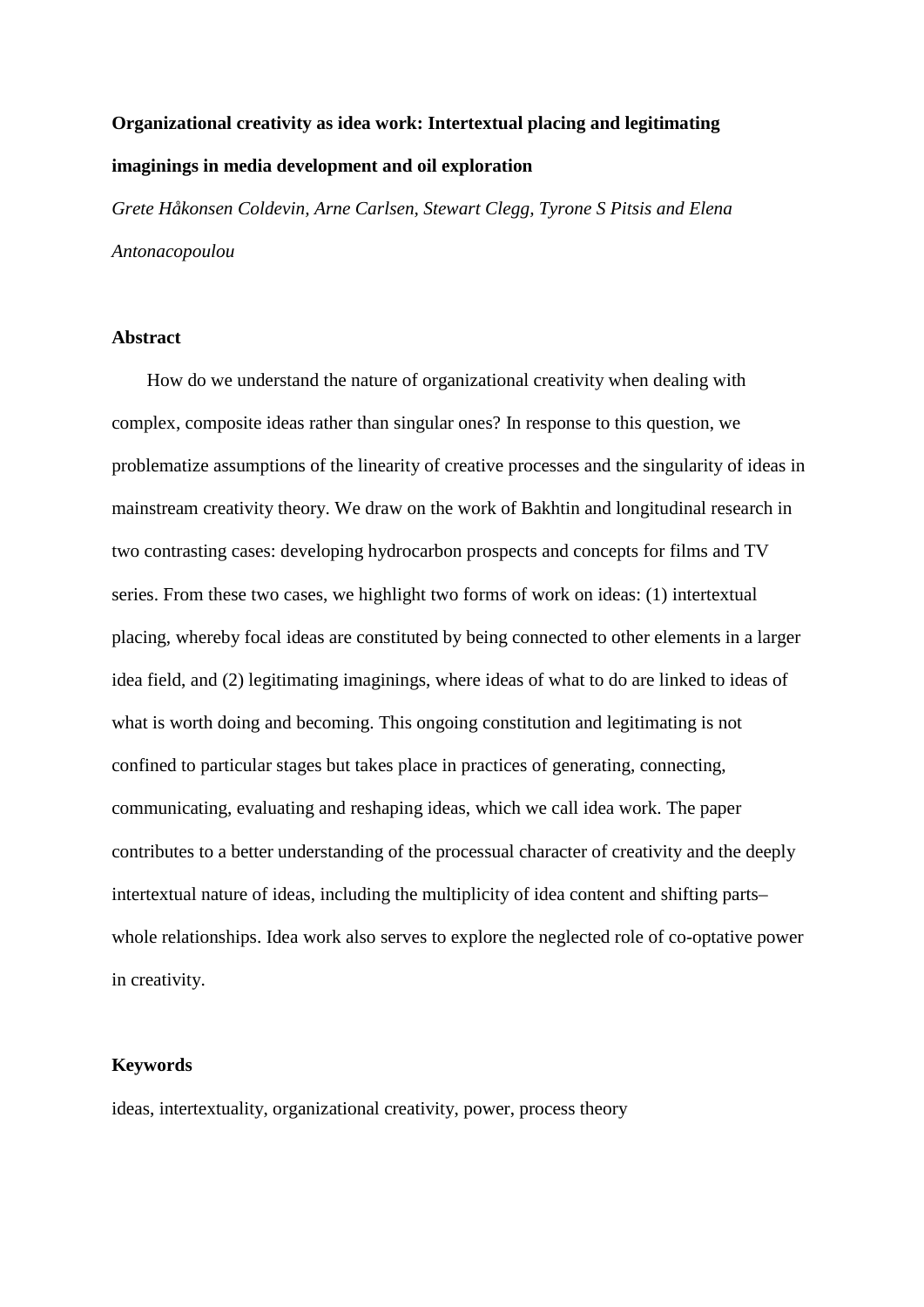# **Organizational creativity as idea work: Intertextual placing and legitimating imaginings in media development and oil exploration**

*Grete Håkonsen Coldevin, Arne Carlsen, Stewart Clegg, Tyrone S Pitsis and Elena Antonacopoulou*

## **Abstract**

How do we understand the nature of organizational creativity when dealing with complex, composite ideas rather than singular ones? In response to this question, we problematize assumptions of the linearity of creative processes and the singularity of ideas in mainstream creativity theory. We draw on the work of Bakhtin and longitudinal research in two contrasting cases: developing hydrocarbon prospects and concepts for films and TV series. From these two cases, we highlight two forms of work on ideas: (1) intertextual placing, whereby focal ideas are constituted by being connected to other elements in a larger idea field, and (2) legitimating imaginings, where ideas of what to do are linked to ideas of what is worth doing and becoming. This ongoing constitution and legitimating is not confined to particular stages but takes place in practices of generating, connecting, communicating, evaluating and reshaping ideas, which we call idea work. The paper contributes to a better understanding of the processual character of creativity and the deeply intertextual nature of ideas, including the multiplicity of idea content and shifting parts– whole relationships. Idea work also serves to explore the neglected role of co-optative power in creativity.

## **Keywords**

ideas, intertextuality, organizational creativity, power, process theory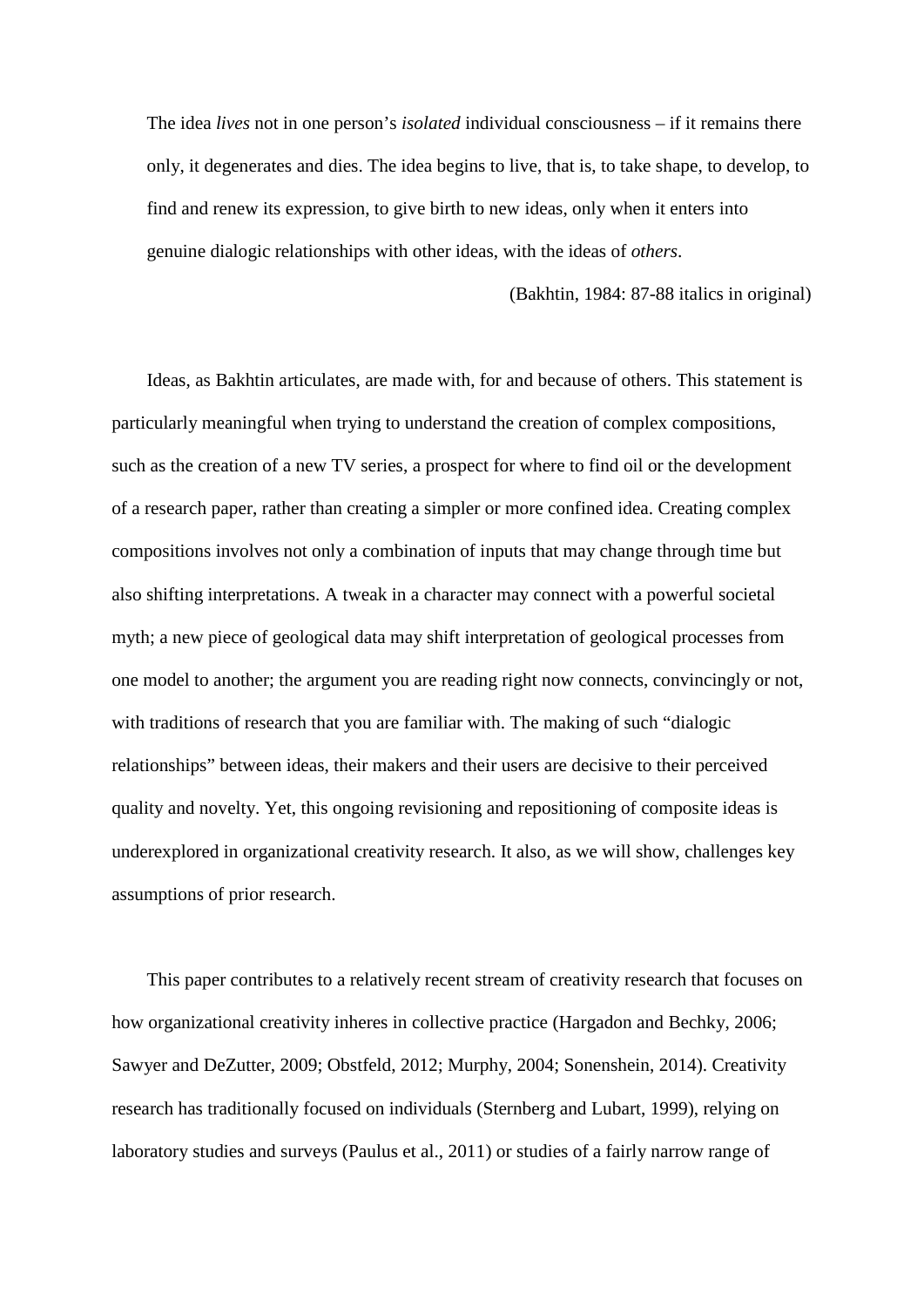The idea *lives* not in one person's *isolated* individual consciousness – if it remains there only, it degenerates and dies. The idea begins to live, that is, to take shape, to develop, to find and renew its expression, to give birth to new ideas, only when it enters into genuine dialogic relationships with other ideas, with the ideas of *others*.

(Bakhtin, 1984: 87-88 italics in original)

Ideas, as Bakhtin articulates, are made with, for and because of others. This statement is particularly meaningful when trying to understand the creation of complex compositions, such as the creation of a new TV series, a prospect for where to find oil or the development of a research paper, rather than creating a simpler or more confined idea. Creating complex compositions involves not only a combination of inputs that may change through time but also shifting interpretations. A tweak in a character may connect with a powerful societal myth; a new piece of geological data may shift interpretation of geological processes from one model to another; the argument you are reading right now connects, convincingly or not, with traditions of research that you are familiar with. The making of such "dialogic relationships" between ideas, their makers and their users are decisive to their perceived quality and novelty. Yet, this ongoing revisioning and repositioning of composite ideas is underexplored in organizational creativity research. It also, as we will show, challenges key assumptions of prior research.

This paper contributes to a relatively recent stream of creativity research that focuses on how organizational creativity inheres in collective practice (Hargadon and Bechky, 2006; Sawyer and DeZutter, 2009; Obstfeld, 2012; Murphy, 2004; Sonenshein, 2014). Creativity research has traditionally focused on individuals (Sternberg and Lubart, 1999), relying on laboratory studies and surveys (Paulus et al., 2011) or studies of a fairly narrow range of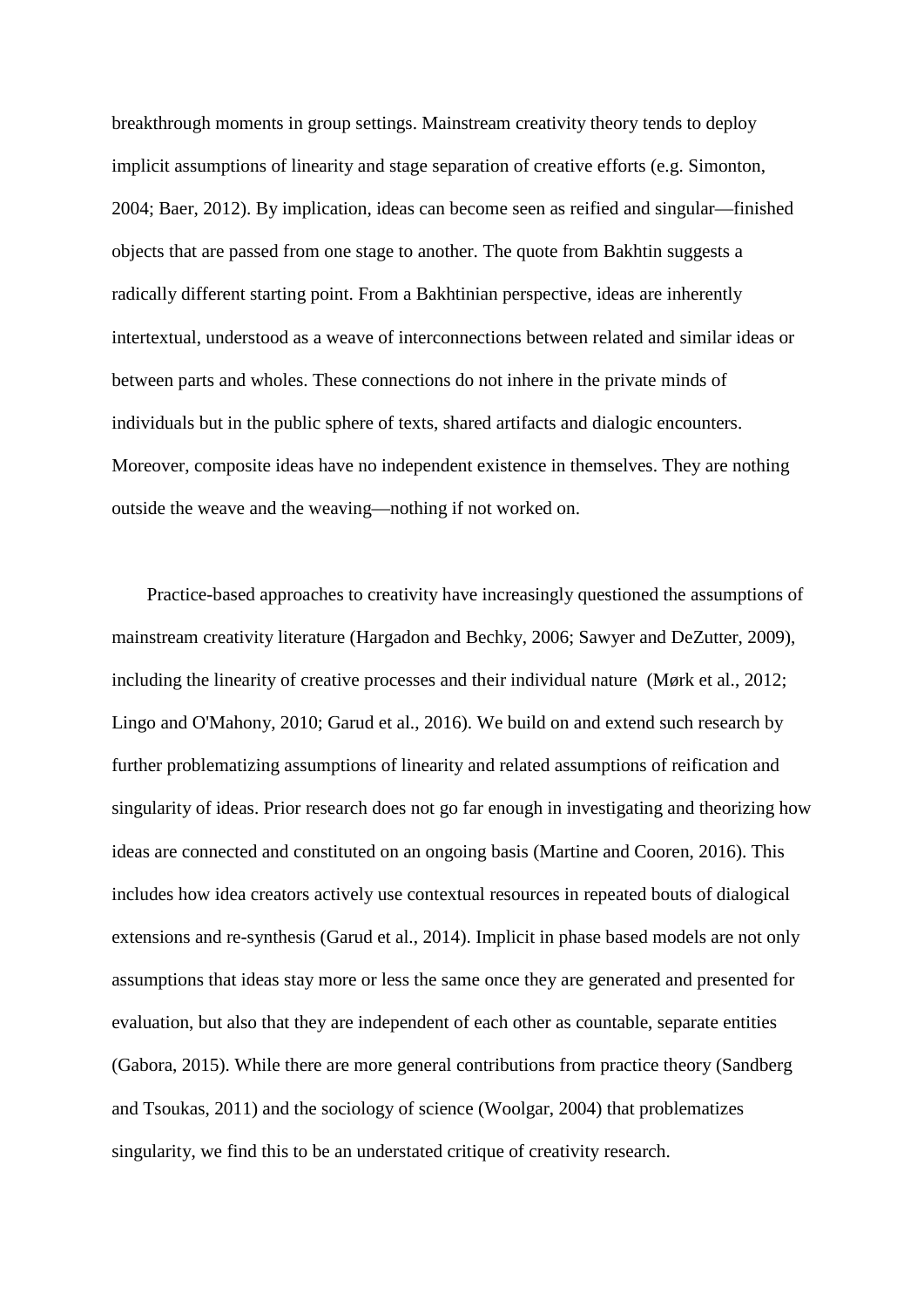breakthrough moments in group settings. Mainstream creativity theory tends to deploy implicit assumptions of linearity and stage separation of creative efforts (e.g. Simonton, 2004; Baer, 2012). By implication, ideas can become seen as reified and singular—finished objects that are passed from one stage to another. The quote from Bakhtin suggests a radically different starting point. From a Bakhtinian perspective, ideas are inherently intertextual, understood as a weave of interconnections between related and similar ideas or between parts and wholes. These connections do not inhere in the private minds of individuals but in the public sphere of texts, shared artifacts and dialogic encounters. Moreover, composite ideas have no independent existence in themselves. They are nothing outside the weave and the weaving—nothing if not worked on.

Practice-based approaches to creativity have increasingly questioned the assumptions of mainstream creativity literature (Hargadon and Bechky, 2006; Sawyer and DeZutter, 2009), including the linearity of creative processes and their individual nature (Mørk et al., 2012; Lingo and O'Mahony, 2010; Garud et al., 2016). We build on and extend such research by further problematizing assumptions of linearity and related assumptions of reification and singularity of ideas. Prior research does not go far enough in investigating and theorizing how ideas are connected and constituted on an ongoing basis (Martine and Cooren, 2016). This includes how idea creators actively use contextual resources in repeated bouts of dialogical extensions and re-synthesis (Garud et al., 2014). Implicit in phase based models are not only assumptions that ideas stay more or less the same once they are generated and presented for evaluation, but also that they are independent of each other as countable, separate entities (Gabora, 2015). While there are more general contributions from practice theory (Sandberg and Tsoukas, 2011) and the sociology of science (Woolgar, 2004) that problematizes singularity, we find this to be an understated critique of creativity research.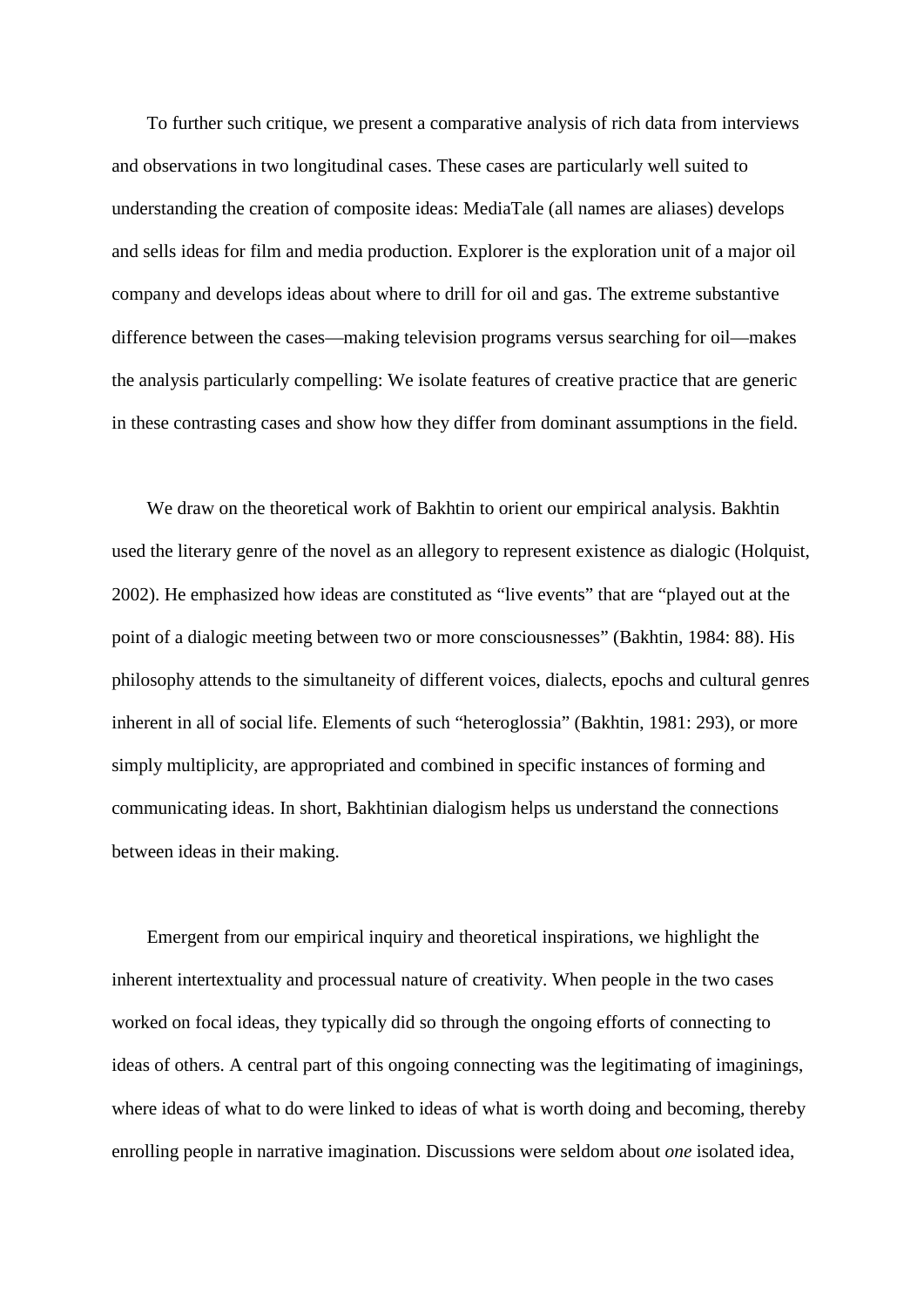To further such critique, we present a comparative analysis of rich data from interviews and observations in two longitudinal cases. These cases are particularly well suited to understanding the creation of composite ideas: MediaTale (all names are aliases) develops and sells ideas for film and media production. Explorer is the exploration unit of a major oil company and develops ideas about where to drill for oil and gas. The extreme substantive difference between the cases—making television programs versus searching for oil—makes the analysis particularly compelling: We isolate features of creative practice that are generic in these contrasting cases and show how they differ from dominant assumptions in the field.

We draw on the theoretical work of Bakhtin to orient our empirical analysis. Bakhtin used the literary genre of the novel as an allegory to represent existence as dialogic (Holquist, 2002). He emphasized how ideas are constituted as "live events" that are "played out at the point of a dialogic meeting between two or more consciousnesses" (Bakhtin, 1984: 88). His philosophy attends to the simultaneity of different voices, dialects, epochs and cultural genres inherent in all of social life. Elements of such "heteroglossia" (Bakhtin, 1981: 293), or more simply multiplicity, are appropriated and combined in specific instances of forming and communicating ideas. In short, Bakhtinian dialogism helps us understand the connections between ideas in their making.

Emergent from our empirical inquiry and theoretical inspirations, we highlight the inherent intertextuality and processual nature of creativity. When people in the two cases worked on focal ideas, they typically did so through the ongoing efforts of connecting to ideas of others. A central part of this ongoing connecting was the legitimating of imaginings, where ideas of what to do were linked to ideas of what is worth doing and becoming, thereby enrolling people in narrative imagination. Discussions were seldom about *one* isolated idea,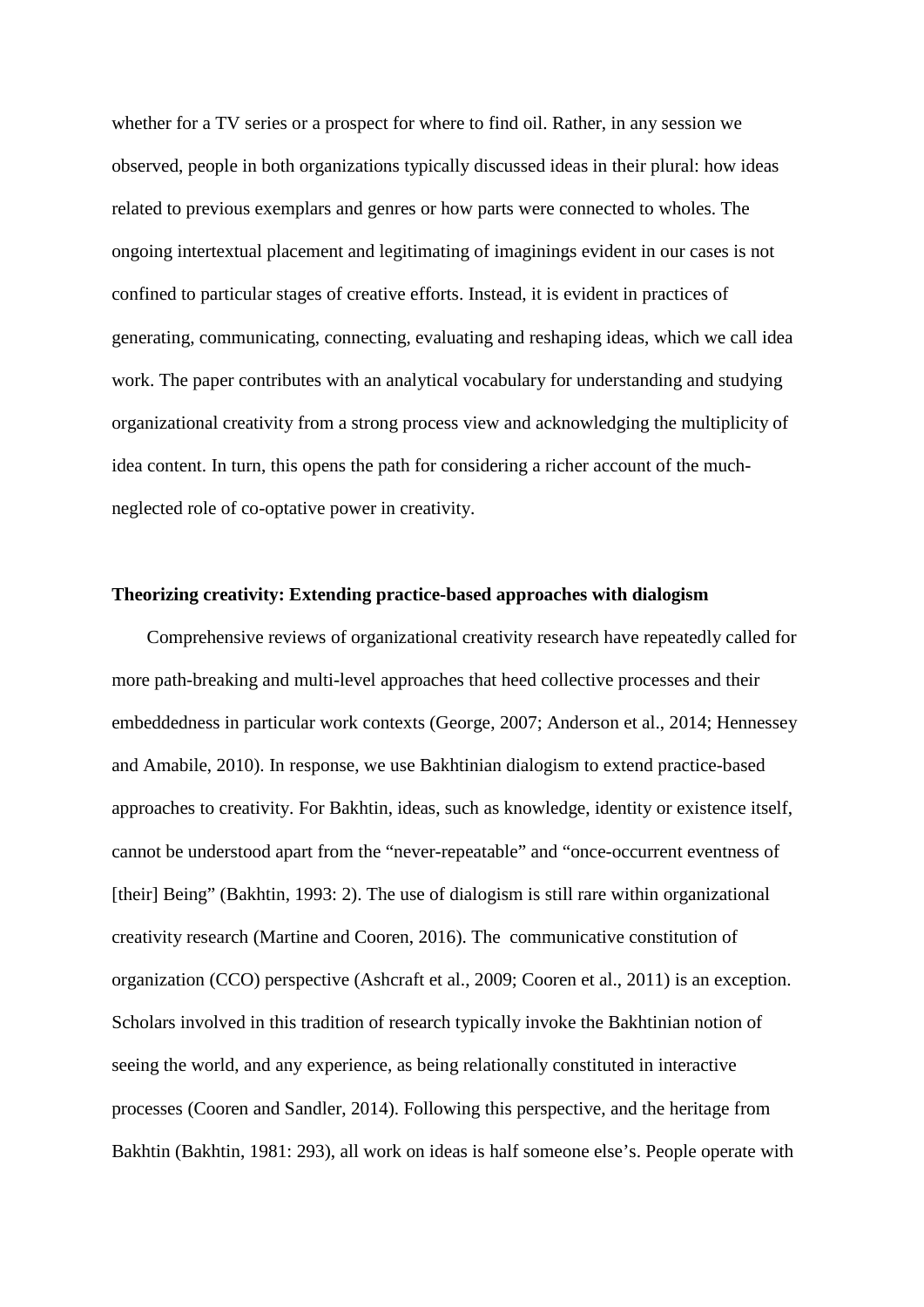whether for a TV series or a prospect for where to find oil. Rather, in any session we observed, people in both organizations typically discussed ideas in their plural: how ideas related to previous exemplars and genres or how parts were connected to wholes. The ongoing intertextual placement and legitimating of imaginings evident in our cases is not confined to particular stages of creative efforts. Instead, it is evident in practices of generating, communicating, connecting, evaluating and reshaping ideas, which we call idea work. The paper contributes with an analytical vocabulary for understanding and studying organizational creativity from a strong process view and acknowledging the multiplicity of idea content. In turn, this opens the path for considering a richer account of the muchneglected role of co-optative power in creativity.

#### **Theorizing creativity: Extending practice-based approaches with dialogism**

Comprehensive reviews of organizational creativity research have repeatedly called for more path-breaking and multi-level approaches that heed collective processes and their embeddedness in particular work contexts (George, 2007; Anderson et al., 2014; Hennessey and Amabile, 2010). In response, we use Bakhtinian dialogism to extend practice-based approaches to creativity. For Bakhtin, ideas, such as knowledge, identity or existence itself, cannot be understood apart from the "never-repeatable" and "once-occurrent eventness of [their] Being" (Bakhtin, 1993: 2). The use of dialogism is still rare within organizational creativity research (Martine and Cooren, 2016). The communicative constitution of organization (CCO) perspective (Ashcraft et al., 2009; Cooren et al., 2011) is an exception. Scholars involved in this tradition of research typically invoke the Bakhtinian notion of seeing the world, and any experience, as being relationally constituted in interactive processes (Cooren and Sandler, 2014). Following this perspective, and the heritage from Bakhtin (Bakhtin, 1981: 293), all work on ideas is half someone else's. People operate with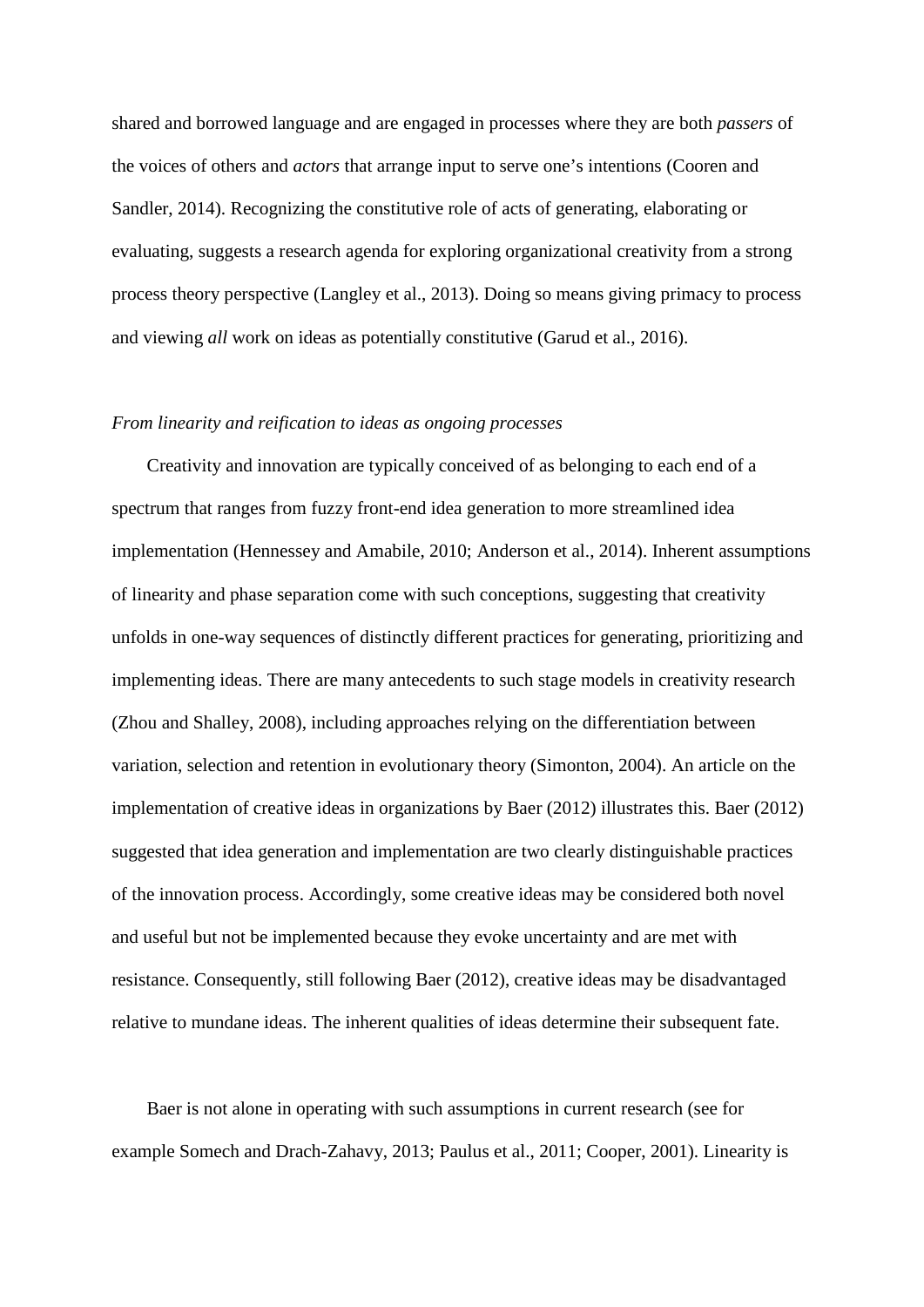shared and borrowed language and are engaged in processes where they are both *passers* of the voices of others and *actors* that arrange input to serve one's intentions (Cooren and Sandler, 2014). Recognizing the constitutive role of acts of generating, elaborating or evaluating, suggests a research agenda for exploring organizational creativity from a strong process theory perspective (Langley et al., 2013). Doing so means giving primacy to process and viewing *all* work on ideas as potentially constitutive (Garud et al., 2016).

#### *From linearity and reification to ideas as ongoing processes*

Creativity and innovation are typically conceived of as belonging to each end of a spectrum that ranges from fuzzy front-end idea generation to more streamlined idea implementation (Hennessey and Amabile, 2010; Anderson et al., 2014). Inherent assumptions of linearity and phase separation come with such conceptions, suggesting that creativity unfolds in one-way sequences of distinctly different practices for generating, prioritizing and implementing ideas. There are many antecedents to such stage models in creativity research (Zhou and Shalley, 2008), including approaches relying on the differentiation between variation, selection and retention in evolutionary theory (Simonton, 2004). An article on the implementation of creative ideas in organizations by Baer (2012) illustrates this. Baer (2012) suggested that idea generation and implementation are two clearly distinguishable practices of the innovation process. Accordingly, some creative ideas may be considered both novel and useful but not be implemented because they evoke uncertainty and are met with resistance. Consequently, still following Baer (2012), creative ideas may be disadvantaged relative to mundane ideas. The inherent qualities of ideas determine their subsequent fate.

Baer is not alone in operating with such assumptions in current research (see for example Somech and Drach-Zahavy, 2013; Paulus et al., 2011; Cooper, 2001). Linearity is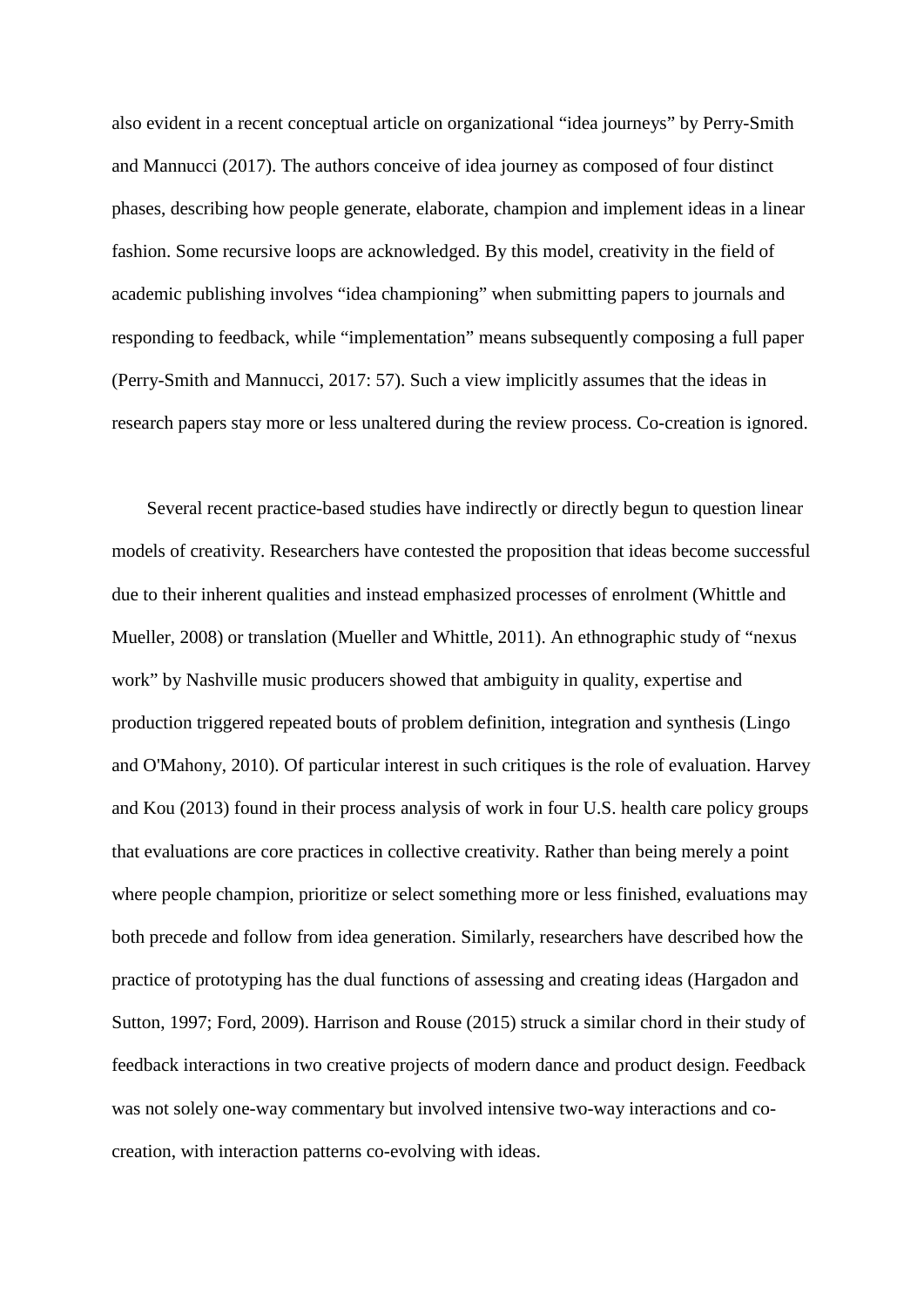also evident in a recent conceptual article on organizational "idea journeys" by Perry-Smith and Mannucci (2017). The authors conceive of idea journey as composed of four distinct phases, describing how people generate, elaborate, champion and implement ideas in a linear fashion. Some recursive loops are acknowledged. By this model, creativity in the field of academic publishing involves "idea championing" when submitting papers to journals and responding to feedback, while "implementation" means subsequently composing a full paper (Perry-Smith and Mannucci, 2017: 57). Such a view implicitly assumes that the ideas in research papers stay more or less unaltered during the review process. Co-creation is ignored.

Several recent practice-based studies have indirectly or directly begun to question linear models of creativity. Researchers have contested the proposition that ideas become successful due to their inherent qualities and instead emphasized processes of enrolment (Whittle and Mueller, 2008) or translation (Mueller and Whittle, 2011). An ethnographic study of "nexus work" by Nashville music producers showed that ambiguity in quality, expertise and production triggered repeated bouts of problem definition, integration and synthesis (Lingo and O'Mahony, 2010). Of particular interest in such critiques is the role of evaluation. Harvey and Kou (2013) found in their process analysis of work in four U.S. health care policy groups that evaluations are core practices in collective creativity. Rather than being merely a point where people champion, prioritize or select something more or less finished, evaluations may both precede and follow from idea generation. Similarly, researchers have described how the practice of prototyping has the dual functions of assessing and creating ideas (Hargadon and Sutton, 1997; Ford, 2009). Harrison and Rouse (2015) struck a similar chord in their study of feedback interactions in two creative projects of modern dance and product design. Feedback was not solely one-way commentary but involved intensive two-way interactions and cocreation, with interaction patterns co-evolving with ideas.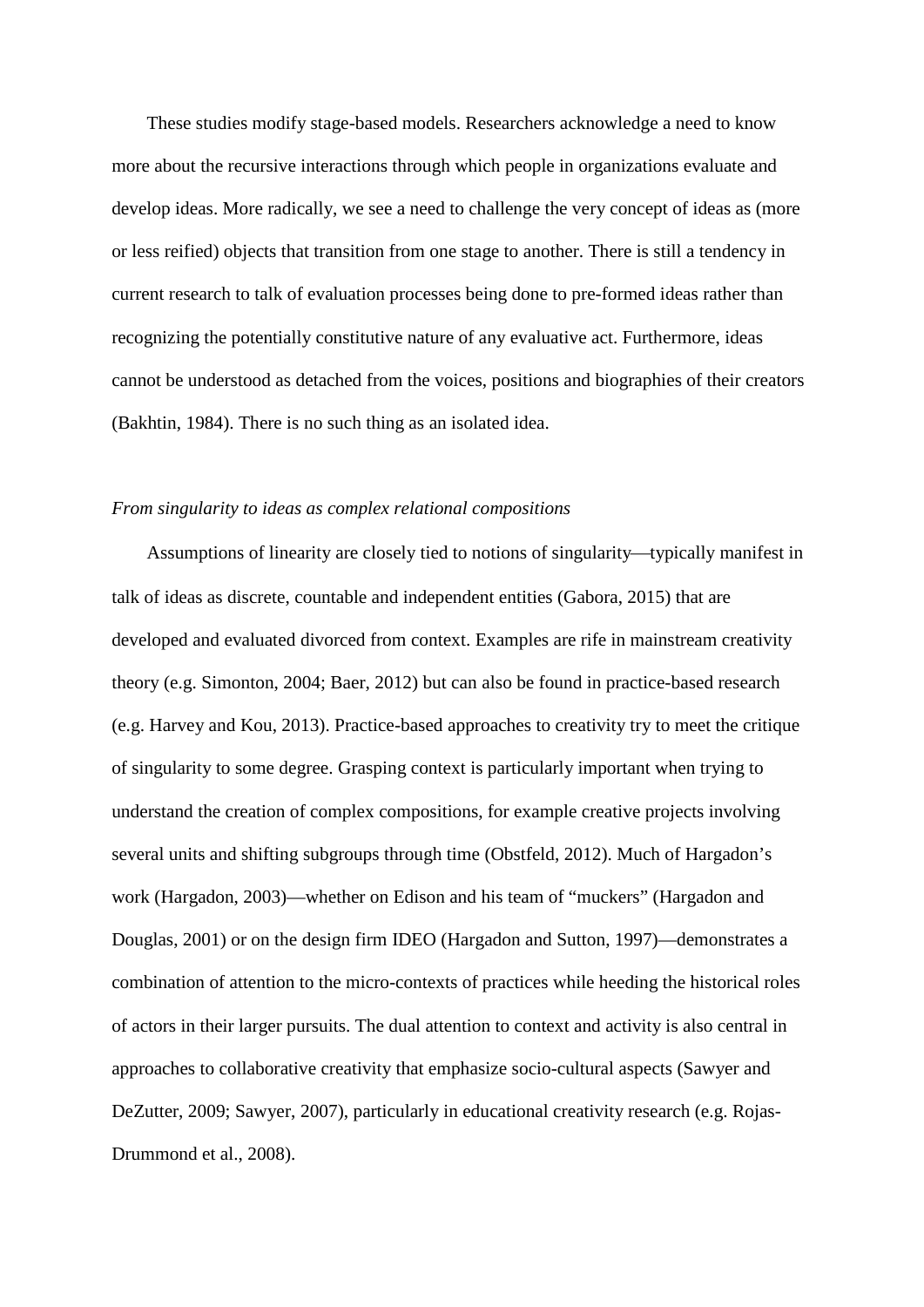These studies modify stage-based models. Researchers acknowledge a need to know more about the recursive interactions through which people in organizations evaluate and develop ideas. More radically, we see a need to challenge the very concept of ideas as (more or less reified) objects that transition from one stage to another. There is still a tendency in current research to talk of evaluation processes being done to pre-formed ideas rather than recognizing the potentially constitutive nature of any evaluative act. Furthermore, ideas cannot be understood as detached from the voices, positions and biographies of their creators (Bakhtin, 1984). There is no such thing as an isolated idea.

#### *From singularity to ideas as complex relational compositions*

Assumptions of linearity are closely tied to notions of singularity—typically manifest in talk of ideas as discrete, countable and independent entities (Gabora, 2015) that are developed and evaluated divorced from context. Examples are rife in mainstream creativity theory (e.g. Simonton, 2004; Baer, 2012) but can also be found in practice-based research (e.g. Harvey and Kou, 2013). Practice-based approaches to creativity try to meet the critique of singularity to some degree. Grasping context is particularly important when trying to understand the creation of complex compositions, for example creative projects involving several units and shifting subgroups through time (Obstfeld, 2012). Much of Hargadon's work (Hargadon, 2003)—whether on Edison and his team of "muckers" (Hargadon and Douglas, 2001) or on the design firm IDEO (Hargadon and Sutton, 1997)—demonstrates a combination of attention to the micro-contexts of practices while heeding the historical roles of actors in their larger pursuits. The dual attention to context and activity is also central in approaches to collaborative creativity that emphasize socio-cultural aspects (Sawyer and DeZutter, 2009; Sawyer, 2007), particularly in educational creativity research (e.g. Rojas-Drummond et al., 2008).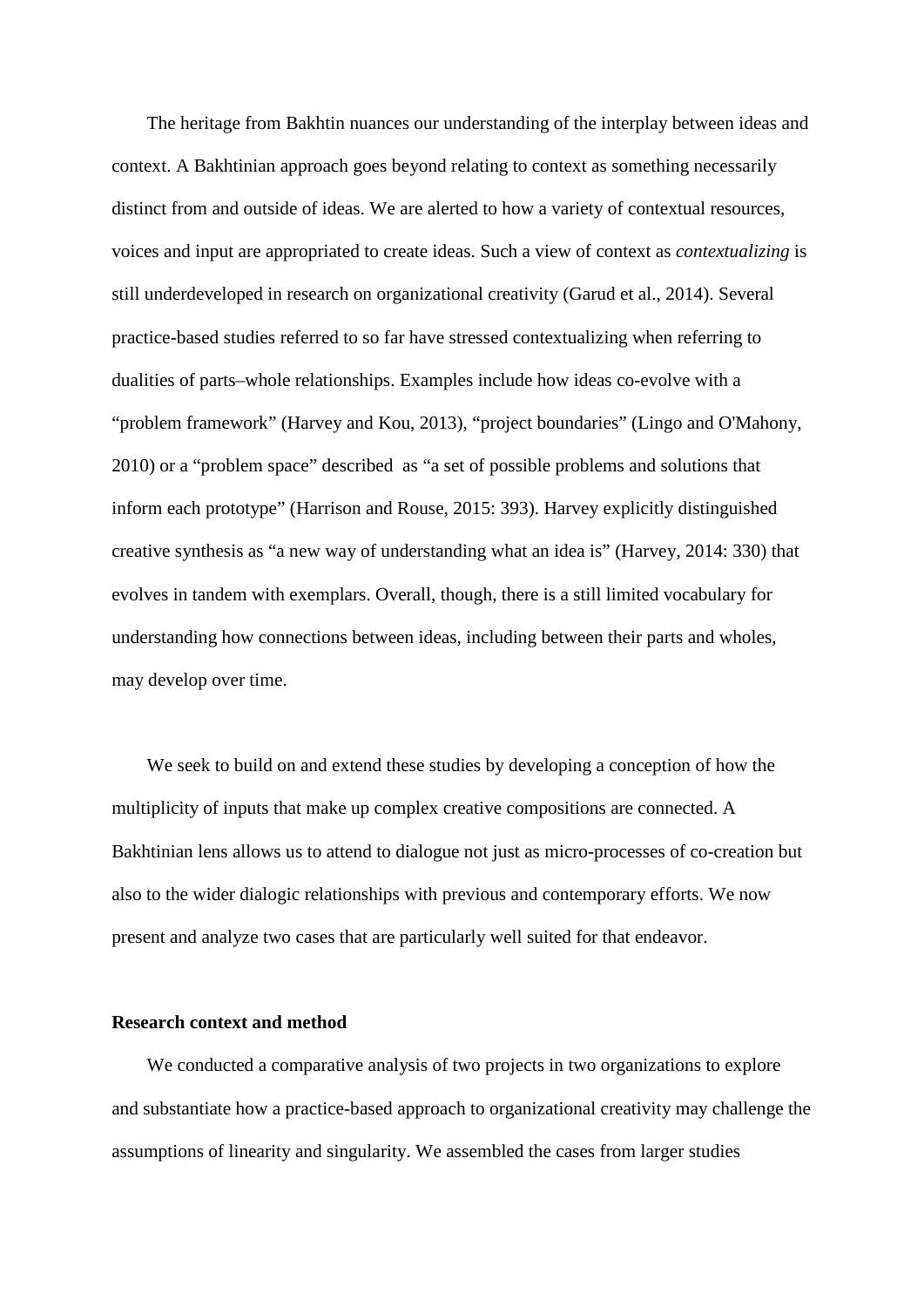The heritage from Bakhtin nuances our understanding of the interplay between ideas and context. A Bakhtinian approach goes beyond relating to context as something necessarily distinct from and outside of ideas. We are alerted to how a variety of contextual resources, voices and input are appropriated to create ideas. Such a view of context as *contextualizing* is still underdeveloped in research on organizational creativity (Garud et al., 2014). Several practice-based studies referred to so far have stressed contextualizing when referring to dualities of parts–whole relationships. Examples include how ideas co-evolve with a "problem framework" (Harvey and Kou, 2013), "project boundaries" (Lingo and O'Mahony, 2010) or a "problem space" described as "a set of possible problems and solutions that inform each prototype" (Harrison and Rouse, 2015: 393). Harvey explicitly distinguished creative synthesis as "a new way of understanding what an idea is" (Harvey, 2014: 330) that evolves in tandem with exemplars. Overall, though, there is a still limited vocabulary for understanding how connections between ideas, including between their parts and wholes, may develop over time.

We seek to build on and extend these studies by developing a conception of how the multiplicity of inputs that make up complex creative compositions are connected. A Bakhtinian lens allows us to attend to dialogue not just as micro-processes of co-creation but also to the wider dialogic relationships with previous and contemporary efforts. We now present and analyze two cases that are particularly well suited for that endeavor.

#### **Research context and method**

We conducted a comparative analysis of two projects in two organizations to explore and substantiate how a practice-based approach to organizational creativity may challenge the assumptions of linearity and singularity. We assembled the cases from larger studies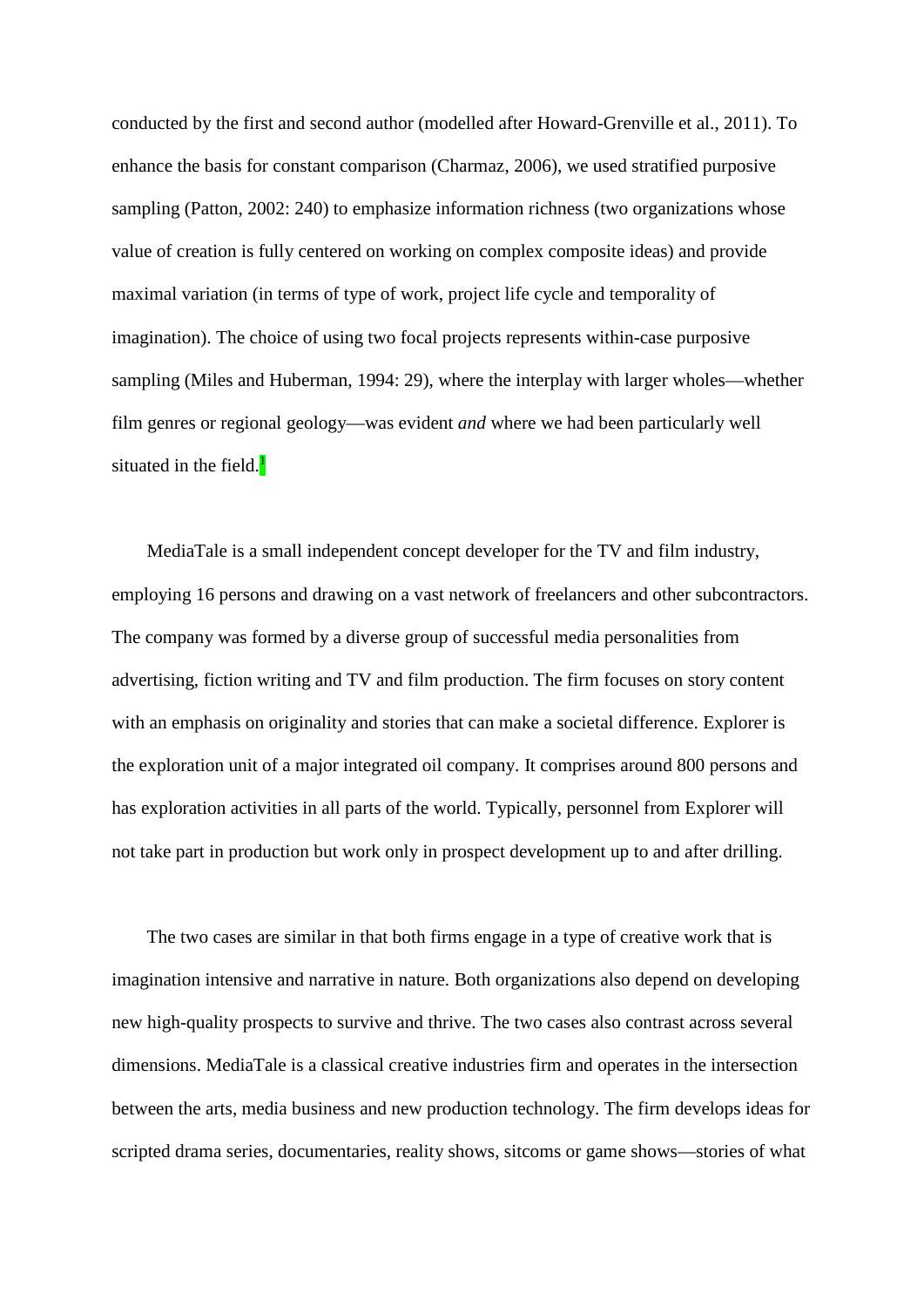conducted by the first and second author (modelled after Howard-Grenville et al., 2011). To enhance the basis for constant comparison (Charmaz, 2006), we used stratified purposive sampling (Patton, 2002: 240) to emphasize information richness (two organizations whose value of creation is fully centered on working on complex composite ideas) and provide maximal variation (in terms of type of work, project life cycle and temporality of imagination). The choice of using two focal projects represents within-case purposive sampling (Miles and Huberman, 1994: 29), where the interplay with larger wholes—whether film genres or regional geology—was evident *and* where we had been particularly well situated in the field.<sup>1</sup>

MediaTale is a small independent concept developer for the TV and film industry, employing 16 persons and drawing on a vast network of freelancers and other subcontractors. The company was formed by a diverse group of successful media personalities from advertising, fiction writing and TV and film production. The firm focuses on story content with an emphasis on originality and stories that can make a societal difference. Explorer is the exploration unit of a major integrated oil company. It comprises around 800 persons and has exploration activities in all parts of the world. Typically, personnel from Explorer will not take part in production but work only in prospect development up to and after drilling.

The two cases are similar in that both firms engage in a type of creative work that is imagination intensive and narrative in nature. Both organizations also depend on developing new high-quality prospects to survive and thrive. The two cases also contrast across several dimensions. MediaTale is a classical creative industries firm and operates in the intersection between the arts, media business and new production technology. The firm develops ideas for scripted drama series, documentaries, reality shows, sitcoms or game shows—stories of what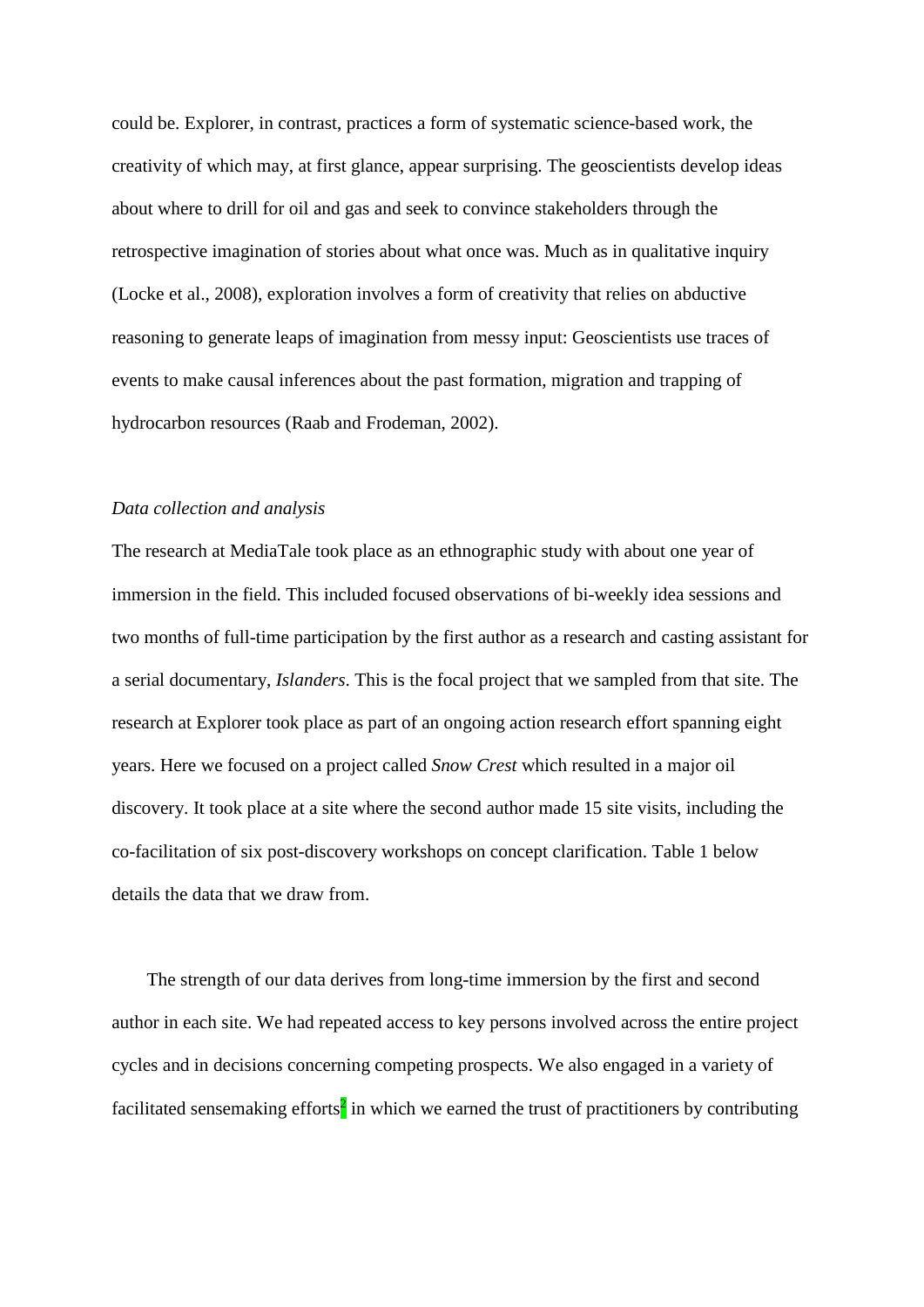could be. Explorer, in contrast, practices a form of systematic science-based work, the creativity of which may, at first glance, appear surprising. The geoscientists develop ideas about where to drill for oil and gas and seek to convince stakeholders through the retrospective imagination of stories about what once was. Much as in qualitative inquiry (Locke et al., 2008), exploration involves a form of creativity that relies on abductive reasoning to generate leaps of imagination from messy input: Geoscientists use traces of events to make causal inferences about the past formation, migration and trapping of hydrocarbon resources (Raab and Frodeman, 2002).

#### *Data collection and analysis*

The research at MediaTale took place as an ethnographic study with about one year of immersion in the field. This included focused observations of bi-weekly idea sessions and two months of full-time participation by the first author as a research and casting assistant for a serial documentary, *Islanders*. This is the focal project that we sampled from that site. The research at Explorer took place as part of an ongoing action research effort spanning eight years. Here we focused on a project called *Snow Crest* which resulted in a major oil discovery. It took place at a site where the second author made 15 site visits, including the co-facilitation of six post-discovery workshops on concept clarification. Table 1 below details the data that we draw from.

The strength of our data derives from long-time immersion by the first and second author in each site. We had repeated access to key persons involved across the entire project cycles and in decisions concerning competing prospects. We also engaged in a variety of facilitated sensemaking efforts<sup>2</sup> in which we earned the trust of practitioners by contributing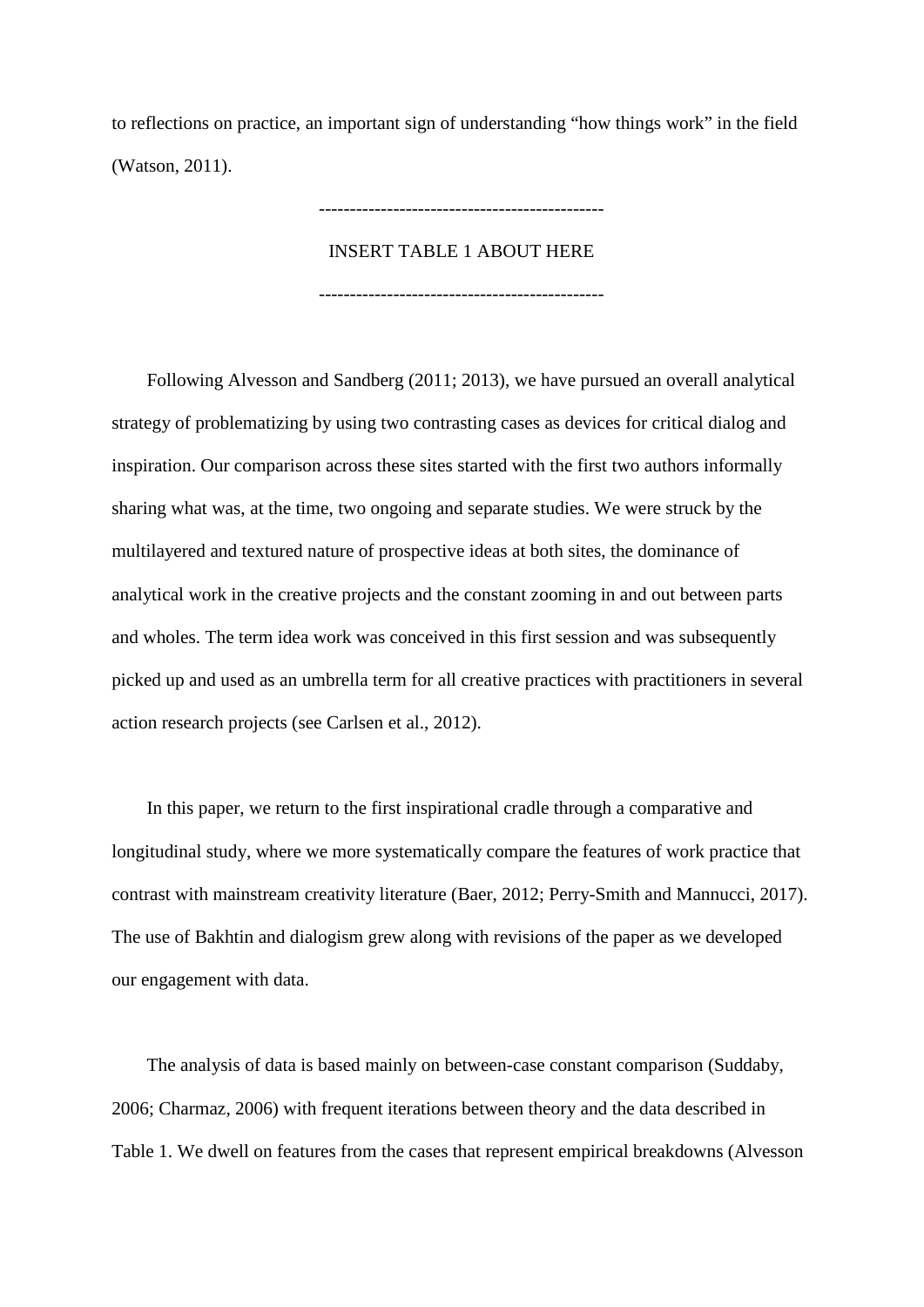to reflections on practice, an important sign of understanding "how things work" in the field (Watson, 2011).

## INSERT TABLE 1 ABOUT HERE

----------------------------------------------

----------------------------------------------

Following Alvesson and Sandberg (2011; 2013), we have pursued an overall analytical strategy of problematizing by using two contrasting cases as devices for critical dialog and inspiration. Our comparison across these sites started with the first two authors informally sharing what was, at the time, two ongoing and separate studies. We were struck by the multilayered and textured nature of prospective ideas at both sites, the dominance of analytical work in the creative projects and the constant zooming in and out between parts and wholes. The term idea work was conceived in this first session and was subsequently picked up and used as an umbrella term for all creative practices with practitioners in several action research projects (see Carlsen et al., 2012).

In this paper, we return to the first inspirational cradle through a comparative and longitudinal study, where we more systematically compare the features of work practice that contrast with mainstream creativity literature (Baer, 2012; Perry-Smith and Mannucci, 2017). The use of Bakhtin and dialogism grew along with revisions of the paper as we developed our engagement with data.

The analysis of data is based mainly on between-case constant comparison (Suddaby, 2006; Charmaz, 2006) with frequent iterations between theory and the data described in Table 1. We dwell on features from the cases that represent empirical breakdowns (Alvesson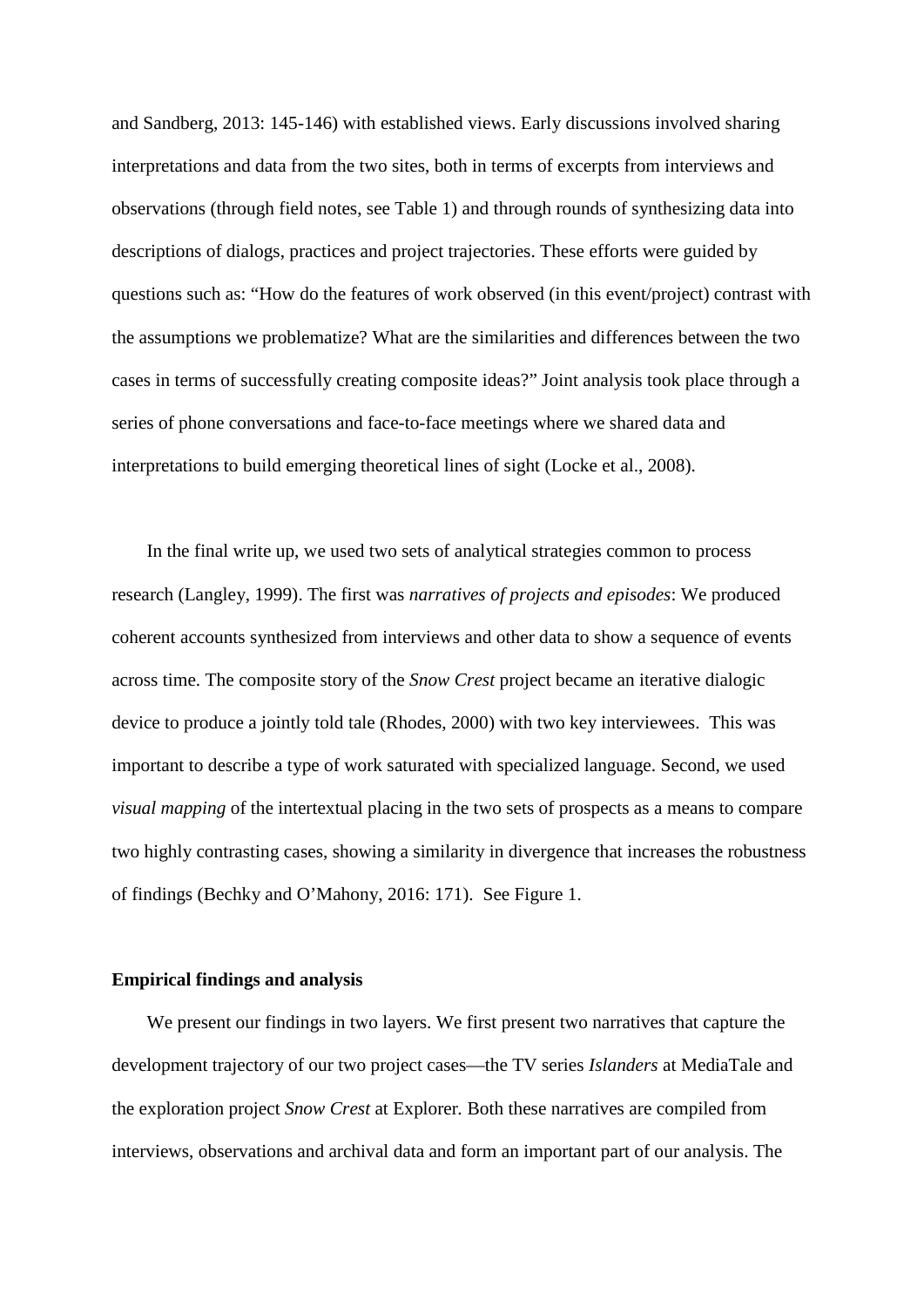and Sandberg, 2013: 145-146) with established views. Early discussions involved sharing interpretations and data from the two sites, both in terms of excerpts from interviews and observations (through field notes, see Table 1) and through rounds of synthesizing data into descriptions of dialogs, practices and project trajectories. These efforts were guided by questions such as: "How do the features of work observed (in this event/project) contrast with the assumptions we problematize? What are the similarities and differences between the two cases in terms of successfully creating composite ideas?" Joint analysis took place through a series of phone conversations and face-to-face meetings where we shared data and interpretations to build emerging theoretical lines of sight (Locke et al., 2008).

In the final write up, we used two sets of analytical strategies common to process research (Langley, 1999). The first was *narratives of projects and episodes*: We produced coherent accounts synthesized from interviews and other data to show a sequence of events across time. The composite story of the *Snow Crest* project became an iterative dialogic device to produce a jointly told tale (Rhodes, 2000) with two key interviewees. This was important to describe a type of work saturated with specialized language. Second, we used *visual mapping* of the intertextual placing in the two sets of prospects as a means to compare two highly contrasting cases, showing a similarity in divergence that increases the robustness of findings (Bechky and O'Mahony, 2016: 171). See Figure 1.

#### **Empirical findings and analysis**

We present our findings in two layers. We first present two narratives that capture the development trajectory of our two project cases—the TV series *Islanders* at MediaTale and the exploration project *Snow Crest* at Explorer*.* Both these narratives are compiled from interviews, observations and archival data and form an important part of our analysis. The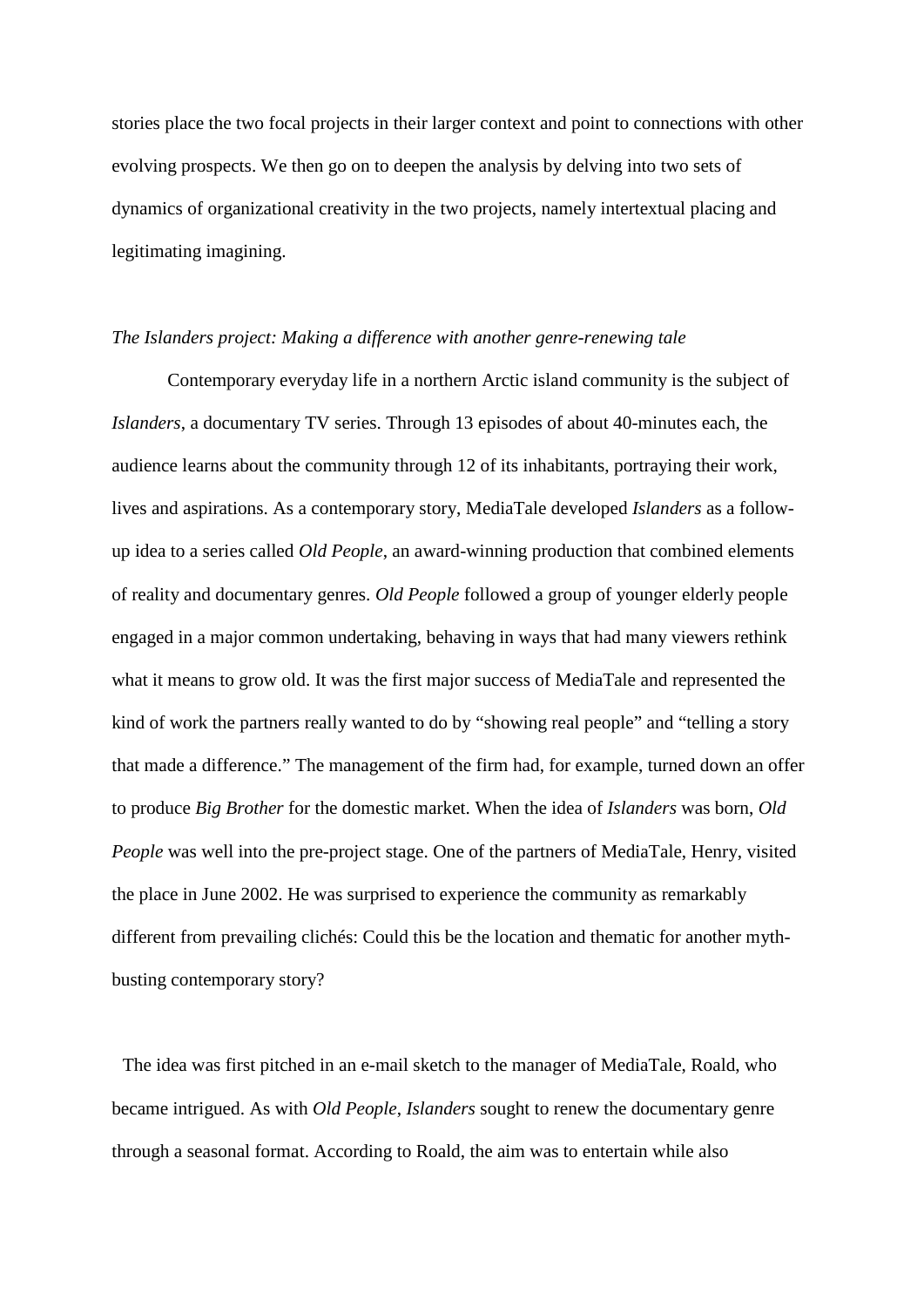stories place the two focal projects in their larger context and point to connections with other evolving prospects. We then go on to deepen the analysis by delving into two sets of dynamics of organizational creativity in the two projects, namely intertextual placing and legitimating imagining.

#### *The Islanders project: Making a difference with another genre-renewing tale*

Contemporary everyday life in a northern Arctic island community is the subject of *Islanders*, a documentary TV series. Through 13 episodes of about 40-minutes each, the audience learns about the community through 12 of its inhabitants, portraying their work, lives and aspirations. As a contemporary story, MediaTale developed *Islanders* as a followup idea to a series called *Old People*, an award-winning production that combined elements of reality and documentary genres. *Old People* followed a group of younger elderly people engaged in a major common undertaking, behaving in ways that had many viewers rethink what it means to grow old. It was the first major success of MediaTale and represented the kind of work the partners really wanted to do by "showing real people" and "telling a story that made a difference." The management of the firm had, for example, turned down an offer to produce *Big Brother* for the domestic market. When the idea of *Islanders* was born, *Old People* was well into the pre-project stage. One of the partners of MediaTale, Henry, visited the place in June 2002. He was surprised to experience the community as remarkably different from prevailing clichés: Could this be the location and thematic for another mythbusting contemporary story?

The idea was first pitched in an e-mail sketch to the manager of MediaTale, Roald, who became intrigued. As with *Old People*, *Islanders* sought to renew the documentary genre through a seasonal format. According to Roald, the aim was to entertain while also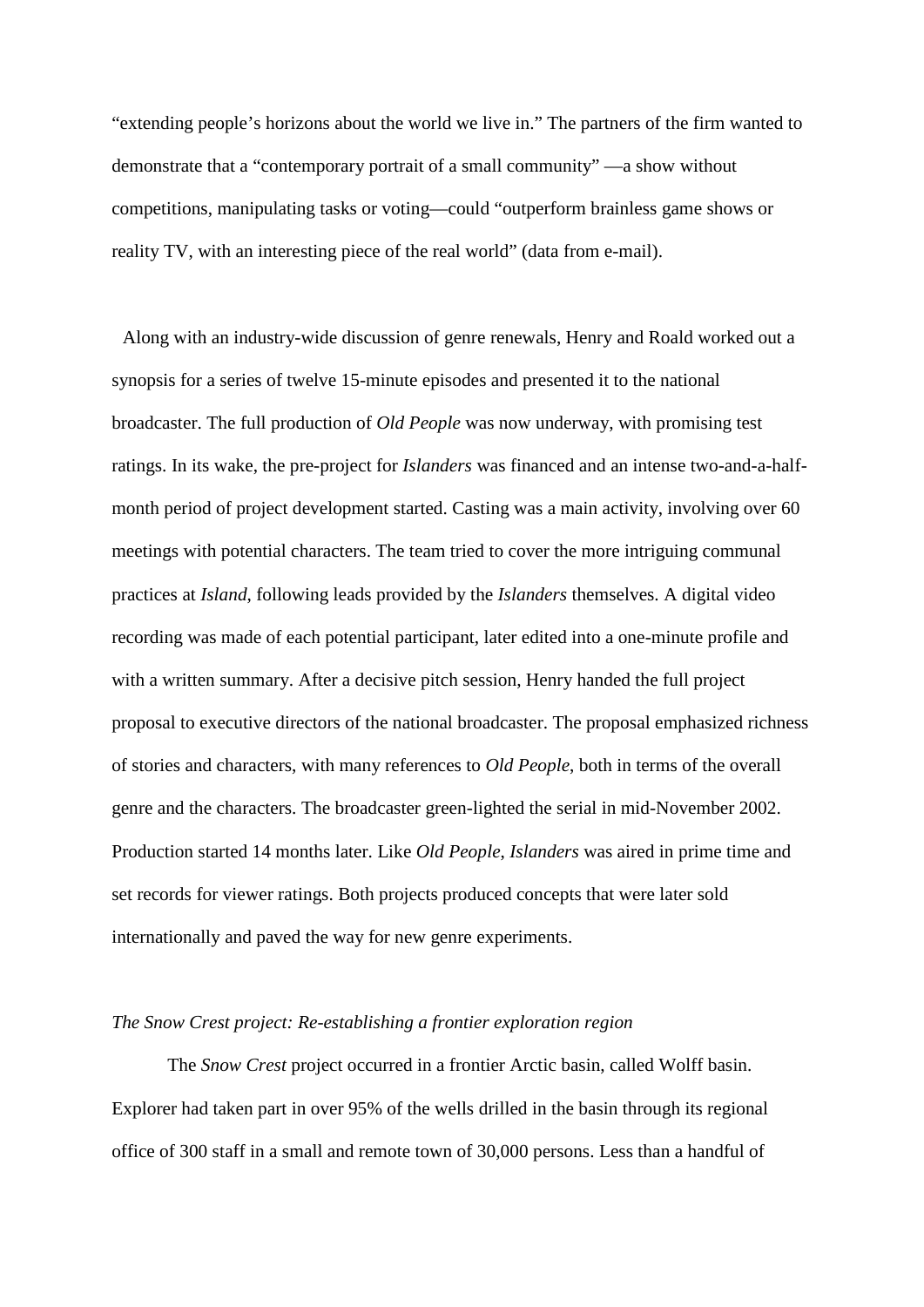"extending people's horizons about the world we live in." The partners of the firm wanted to demonstrate that a "contemporary portrait of a small community" —a show without competitions, manipulating tasks or voting—could "outperform brainless game shows or reality TV, with an interesting piece of the real world" (data from e-mail).

Along with an industry-wide discussion of genre renewals, Henry and Roald worked out a synopsis for a series of twelve 15-minute episodes and presented it to the national broadcaster. The full production of *Old People* was now underway, with promising test ratings. In its wake, the pre-project for *Islanders* was financed and an intense two-and-a-halfmonth period of project development started. Casting was a main activity, involving over 60 meetings with potential characters. The team tried to cover the more intriguing communal practices at *Island*, following leads provided by the *Islanders* themselves. A digital video recording was made of each potential participant, later edited into a one-minute profile and with a written summary. After a decisive pitch session, Henry handed the full project proposal to executive directors of the national broadcaster. The proposal emphasized richness of stories and characters, with many references to *Old People*, both in terms of the overall genre and the characters. The broadcaster green-lighted the serial in mid-November 2002. Production started 14 months later. Like *Old People*, *Islanders* was aired in prime time and set records for viewer ratings. Both projects produced concepts that were later sold internationally and paved the way for new genre experiments.

#### *The Snow Crest project: Re-establishing a frontier exploration region*

The *Snow Crest* project occurred in a frontier Arctic basin, called Wolff basin. Explorer had taken part in over 95% of the wells drilled in the basin through its regional office of 300 staff in a small and remote town of 30,000 persons. Less than a handful of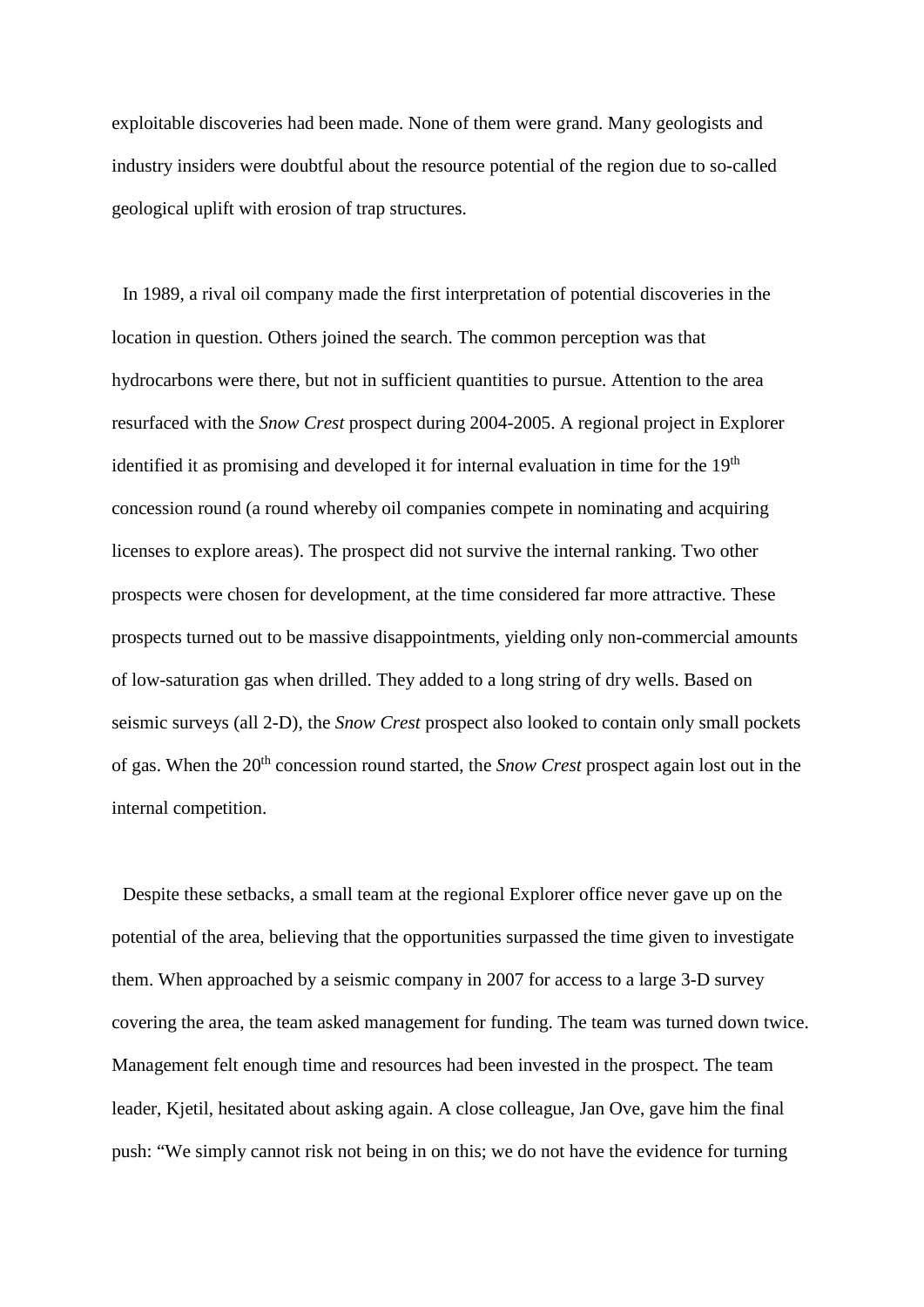exploitable discoveries had been made. None of them were grand. Many geologists and industry insiders were doubtful about the resource potential of the region due to so-called geological uplift with erosion of trap structures.

In 1989, a rival oil company made the first interpretation of potential discoveries in the location in question. Others joined the search. The common perception was that hydrocarbons were there, but not in sufficient quantities to pursue. Attention to the area resurfaced with the *Snow Crest* prospect during 2004-2005. A regional project in Explorer identified it as promising and developed it for internal evaluation in time for the  $19<sup>th</sup>$ concession round (a round whereby oil companies compete in nominating and acquiring licenses to explore areas). The prospect did not survive the internal ranking. Two other prospects were chosen for development, at the time considered far more attractive. These prospects turned out to be massive disappointments, yielding only non-commercial amounts of low-saturation gas when drilled. They added to a long string of dry wells. Based on seismic surveys (all 2-D), the *Snow Crest* prospect also looked to contain only small pockets of gas. When the 20th concession round started, the *Snow Crest* prospect again lost out in the internal competition.

Despite these setbacks, a small team at the regional Explorer office never gave up on the potential of the area, believing that the opportunities surpassed the time given to investigate them. When approached by a seismic company in 2007 for access to a large 3-D survey covering the area, the team asked management for funding. The team was turned down twice. Management felt enough time and resources had been invested in the prospect. The team leader, Kjetil, hesitated about asking again. A close colleague, Jan Ove, gave him the final push: "We simply cannot risk not being in on this; we do not have the evidence for turning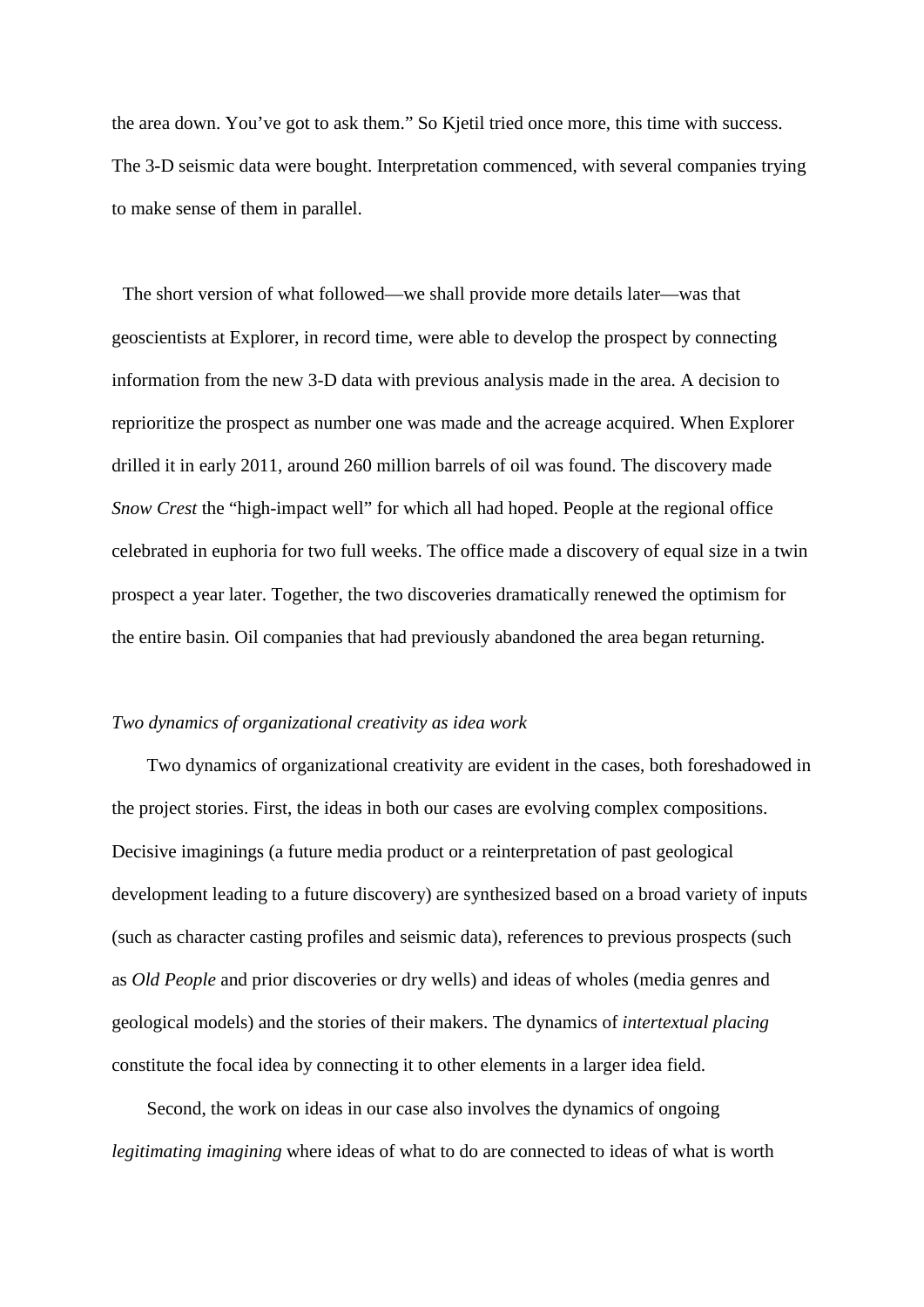the area down. You've got to ask them." So Kjetil tried once more, this time with success. The 3-D seismic data were bought. Interpretation commenced, with several companies trying to make sense of them in parallel.

The short version of what followed—we shall provide more details later—was that geoscientists at Explorer, in record time, were able to develop the prospect by connecting information from the new 3-D data with previous analysis made in the area. A decision to reprioritize the prospect as number one was made and the acreage acquired. When Explorer drilled it in early 2011, around 260 million barrels of oil was found. The discovery made *Snow Crest* the "high-impact well" for which all had hoped. People at the regional office celebrated in euphoria for two full weeks. The office made a discovery of equal size in a twin prospect a year later. Together, the two discoveries dramatically renewed the optimism for the entire basin. Oil companies that had previously abandoned the area began returning.

#### *Two dynamics of organizational creativity as idea work*

Two dynamics of organizational creativity are evident in the cases, both foreshadowed in the project stories. First, the ideas in both our cases are evolving complex compositions. Decisive imaginings (a future media product or a reinterpretation of past geological development leading to a future discovery) are synthesized based on a broad variety of inputs (such as character casting profiles and seismic data), references to previous prospects (such as *Old People* and prior discoveries or dry wells) and ideas of wholes (media genres and geological models) and the stories of their makers. The dynamics of *intertextual placing* constitute the focal idea by connecting it to other elements in a larger idea field.

Second, the work on ideas in our case also involves the dynamics of ongoing *legitimating imagining* where ideas of what to do are connected to ideas of what is worth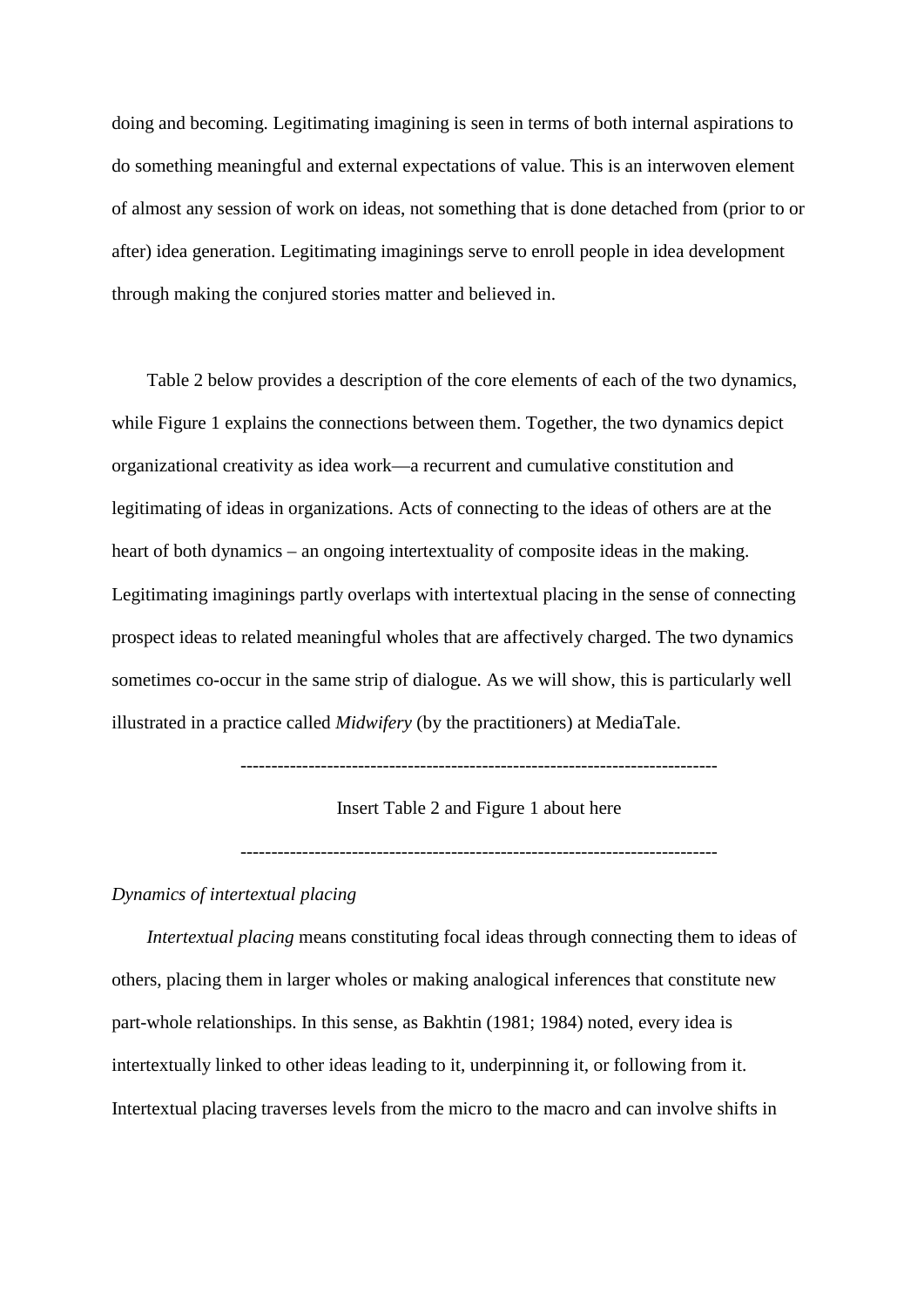doing and becoming. Legitimating imagining is seen in terms of both internal aspirations to do something meaningful and external expectations of value. This is an interwoven element of almost any session of work on ideas, not something that is done detached from (prior to or after) idea generation. Legitimating imaginings serve to enroll people in idea development through making the conjured stories matter and believed in.

Table 2 below provides a description of the core elements of each of the two dynamics, while Figure 1 explains the connections between them. Together, the two dynamics depict organizational creativity as idea work—a recurrent and cumulative constitution and legitimating of ideas in organizations. Acts of connecting to the ideas of others are at the heart of both dynamics – an ongoing intertextuality of composite ideas in the making. Legitimating imaginings partly overlaps with intertextual placing in the sense of connecting prospect ideas to related meaningful wholes that are affectively charged. The two dynamics sometimes co-occur in the same strip of dialogue. As we will show, this is particularly well illustrated in a practice called *Midwifery* (by the practitioners) at MediaTale.

## Insert Table 2 and Figure 1 about here

-----------------------------------------------------------------------------

## *Dynamics of intertextual placing*

*Intertextual placing* means constituting focal ideas through connecting them to ideas of others, placing them in larger wholes or making analogical inferences that constitute new part-whole relationships. In this sense, as Bakhtin (1981; 1984) noted, every idea is intertextually linked to other ideas leading to it, underpinning it, or following from it. Intertextual placing traverses levels from the micro to the macro and can involve shifts in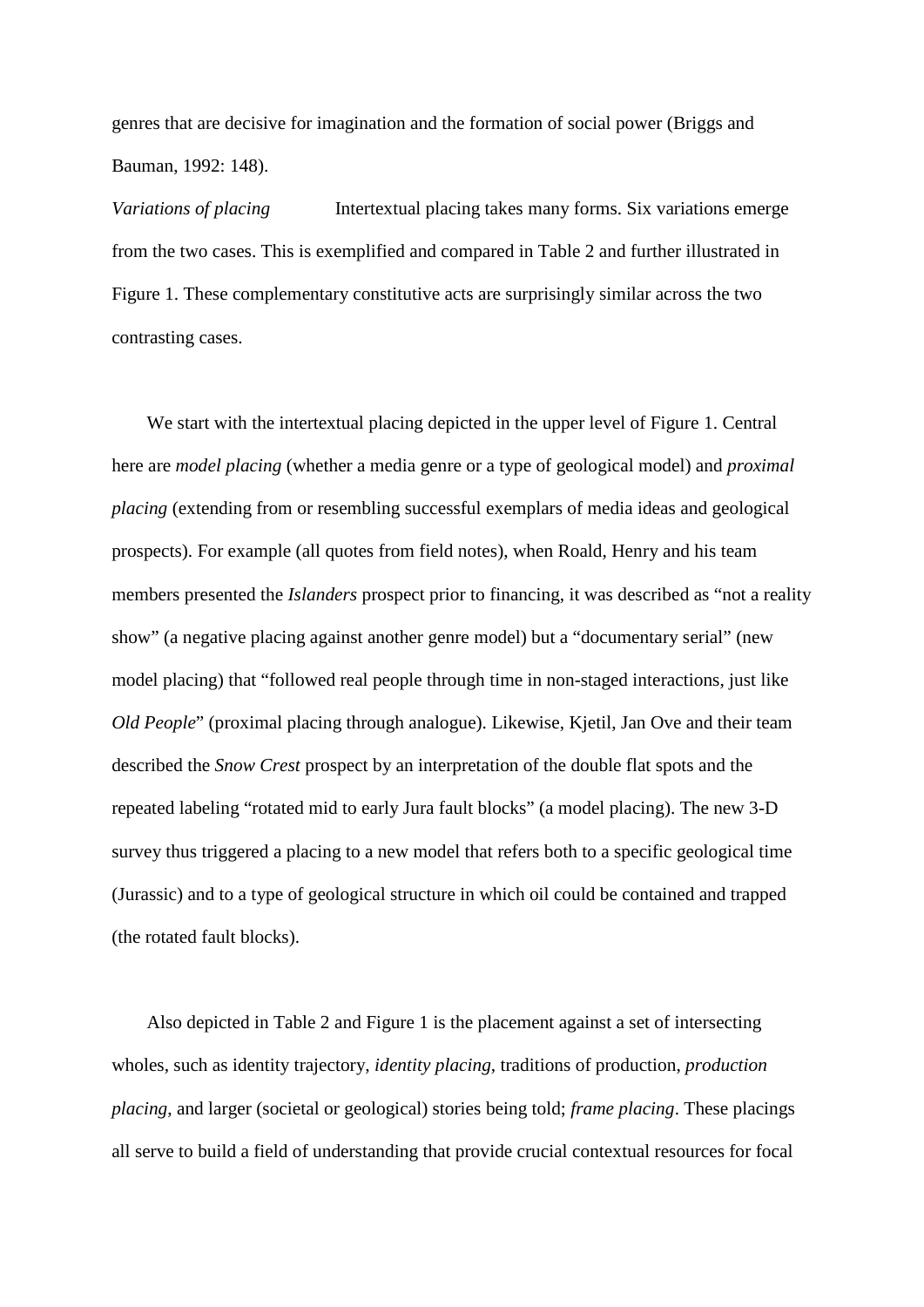genres that are decisive for imagination and the formation of social power (Briggs and Bauman, 1992: 148).

*Variations of placing* Intertextual placing takes many forms. Six variations emerge from the two cases. This is exemplified and compared in Table 2 and further illustrated in Figure 1. These complementary constitutive acts are surprisingly similar across the two contrasting cases.

We start with the intertextual placing depicted in the upper level of Figure 1. Central here are *model placing* (whether a media genre or a type of geological model) and *proximal placing* (extending from or resembling successful exemplars of media ideas and geological prospects). For example (all quotes from field notes), when Roald, Henry and his team members presented the *Islanders* prospect prior to financing, it was described as "not a reality show" (a negative placing against another genre model) but a "documentary serial" (new model placing) that "followed real people through time in non-staged interactions, just like *Old People*" (proximal placing through analogue). Likewise, Kjetil, Jan Ove and their team described the *Snow Crest* prospect by an interpretation of the double flat spots and the repeated labeling "rotated mid to early Jura fault blocks" (a model placing). The new 3-D survey thus triggered a placing to a new model that refers both to a specific geological time (Jurassic) and to a type of geological structure in which oil could be contained and trapped (the rotated fault blocks).

Also depicted in Table 2 and Figure 1 is the placement against a set of intersecting wholes, such as identity trajectory, *identity placing*, traditions of production, *production placing*, and larger (societal or geological) stories being told; *frame placing*. These placings all serve to build a field of understanding that provide crucial contextual resources for focal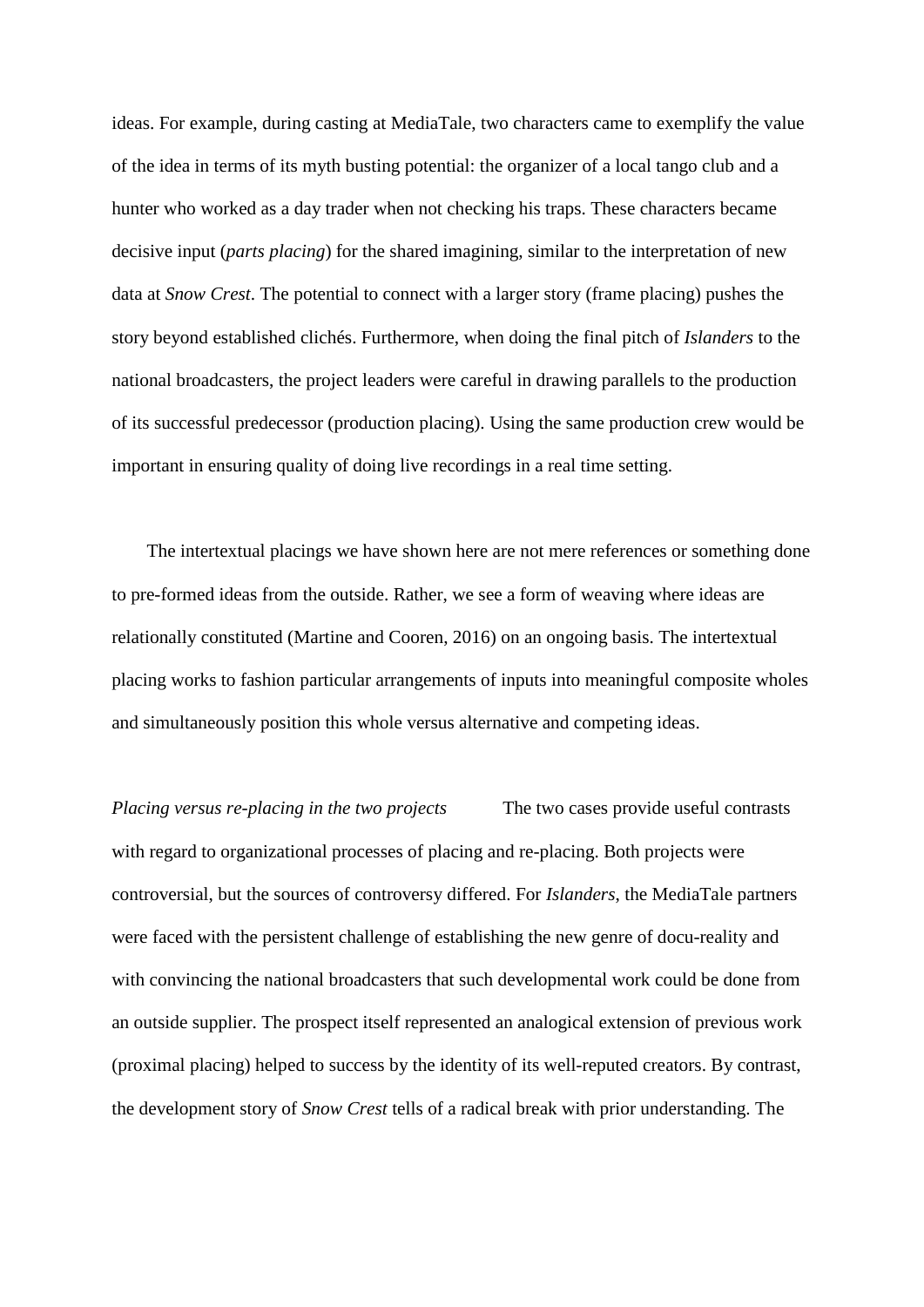ideas. For example, during casting at MediaTale, two characters came to exemplify the value of the idea in terms of its myth busting potential: the organizer of a local tango club and a hunter who worked as a day trader when not checking his traps. These characters became decisive input (*parts placing*) for the shared imagining, similar to the interpretation of new data at *Snow Crest*. The potential to connect with a larger story (frame placing) pushes the story beyond established clichés. Furthermore, when doing the final pitch of *Islanders* to the national broadcasters, the project leaders were careful in drawing parallels to the production of its successful predecessor (production placing). Using the same production crew would be important in ensuring quality of doing live recordings in a real time setting.

The intertextual placings we have shown here are not mere references or something done to pre-formed ideas from the outside. Rather, we see a form of weaving where ideas are relationally constituted (Martine and Cooren, 2016) on an ongoing basis. The intertextual placing works to fashion particular arrangements of inputs into meaningful composite wholes and simultaneously position this whole versus alternative and competing ideas.

*Placing versus re-placing in the two projects* The two cases provide useful contrasts with regard to organizational processes of placing and re-placing. Both projects were controversial, but the sources of controversy differed. For *Islanders*, the MediaTale partners were faced with the persistent challenge of establishing the new genre of docu-reality and with convincing the national broadcasters that such developmental work could be done from an outside supplier. The prospect itself represented an analogical extension of previous work (proximal placing) helped to success by the identity of its well-reputed creators. By contrast, the development story of *Snow Crest* tells of a radical break with prior understanding. The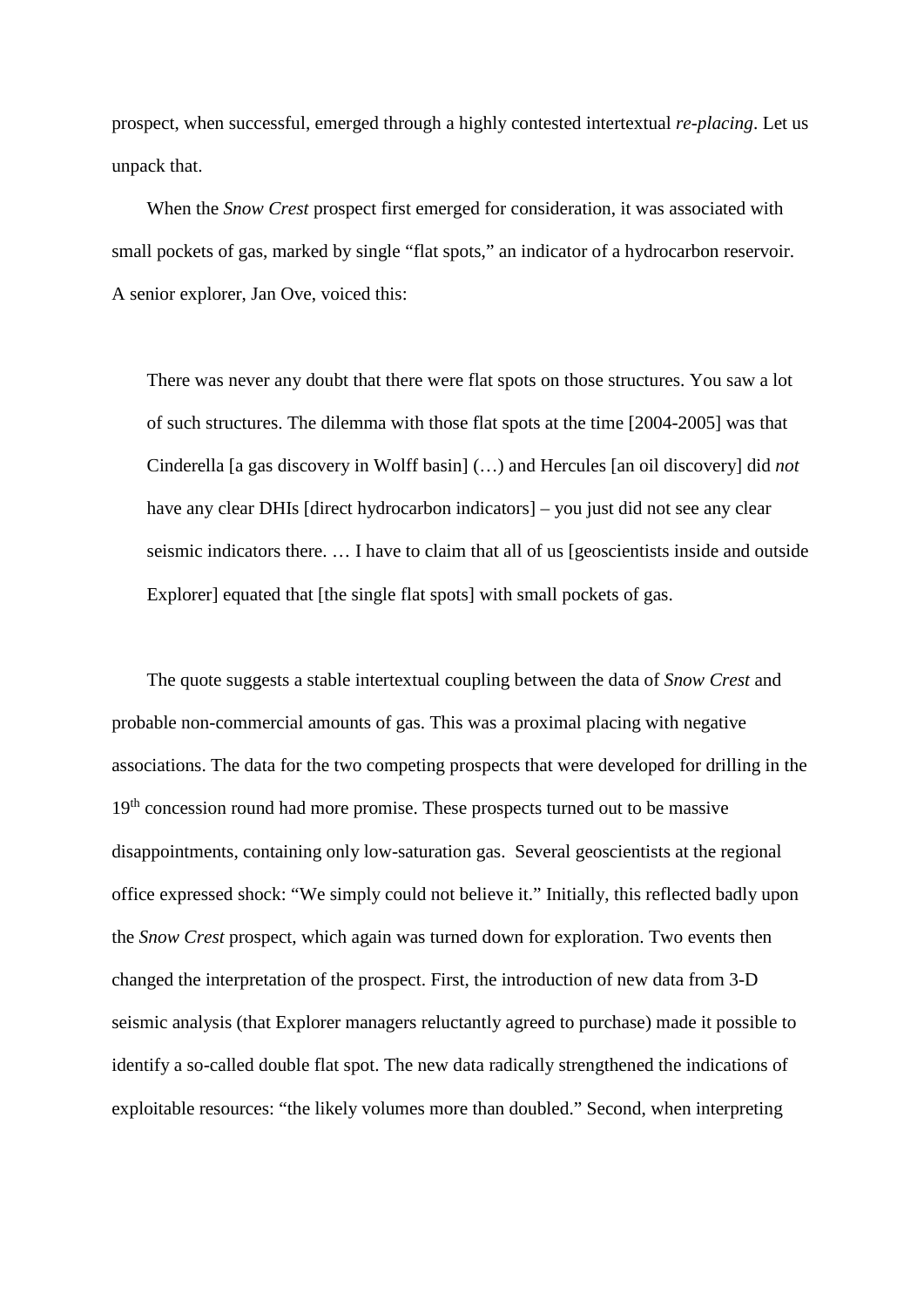prospect, when successful, emerged through a highly contested intertextual *re-placing*. Let us unpack that.

When the *Snow Crest* prospect first emerged for consideration, it was associated with small pockets of gas, marked by single "flat spots," an indicator of a hydrocarbon reservoir. A senior explorer, Jan Ove, voiced this:

There was never any doubt that there were flat spots on those structures. You saw a lot of such structures. The dilemma with those flat spots at the time [2004-2005] was that Cinderella [a gas discovery in Wolff basin] (…) and Hercules [an oil discovery] did *not* have any clear DHIs [direct hydrocarbon indicators] – you just did not see any clear seismic indicators there. … I have to claim that all of us [geoscientists inside and outside Explorer] equated that [the single flat spots] with small pockets of gas.

The quote suggests a stable intertextual coupling between the data of *Snow Crest* and probable non-commercial amounts of gas. This was a proximal placing with negative associations. The data for the two competing prospects that were developed for drilling in the 19<sup>th</sup> concession round had more promise. These prospects turned out to be massive disappointments, containing only low-saturation gas. Several geoscientists at the regional office expressed shock: "We simply could not believe it." Initially, this reflected badly upon the *Snow Crest* prospect, which again was turned down for exploration. Two events then changed the interpretation of the prospect. First, the introduction of new data from 3-D seismic analysis (that Explorer managers reluctantly agreed to purchase) made it possible to identify a so-called double flat spot. The new data radically strengthened the indications of exploitable resources: "the likely volumes more than doubled." Second, when interpreting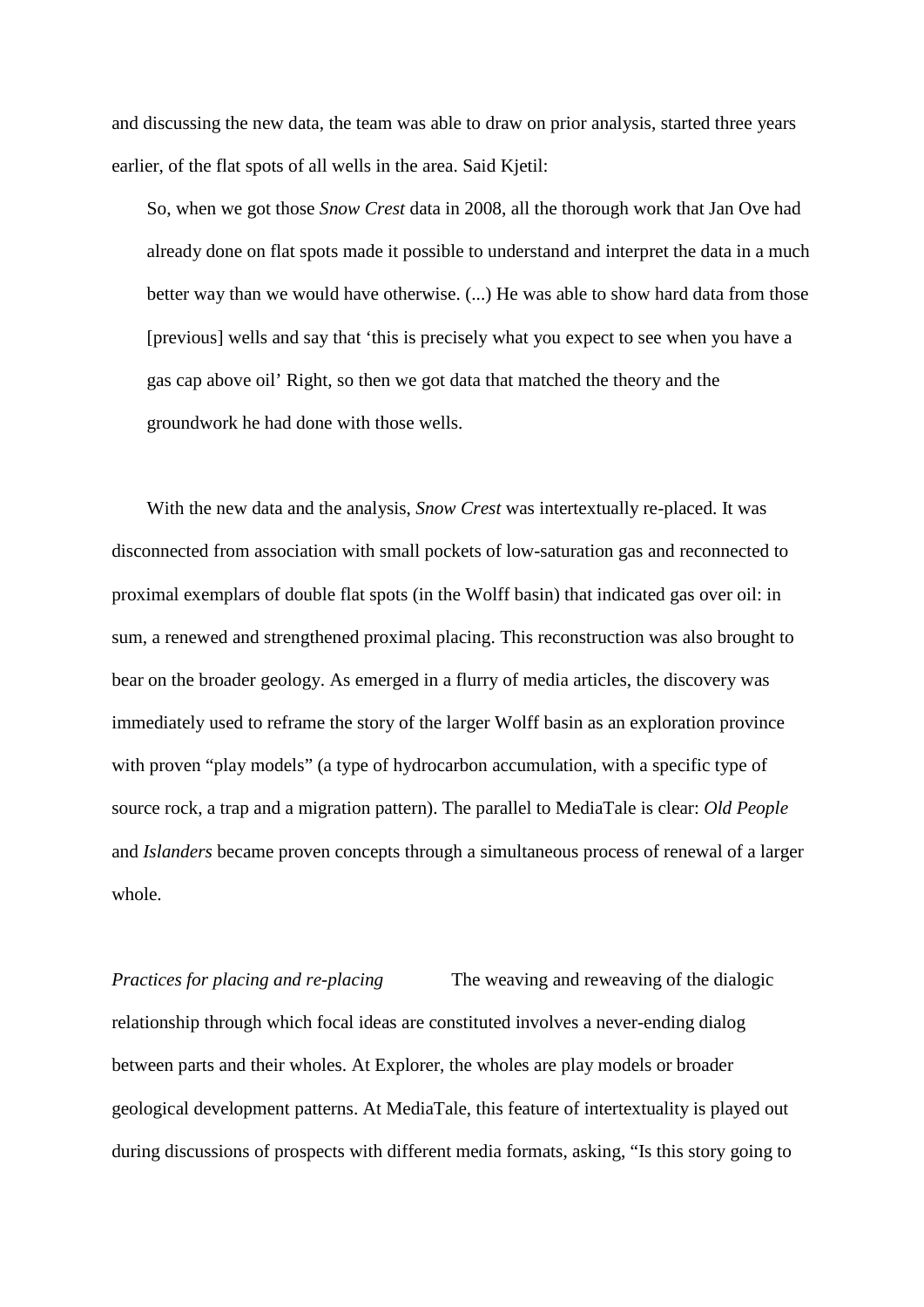and discussing the new data, the team was able to draw on prior analysis, started three years earlier, of the flat spots of all wells in the area. Said Kjetil:

So, when we got those *Snow Crest* data in 2008, all the thorough work that Jan Ove had already done on flat spots made it possible to understand and interpret the data in a much better way than we would have otherwise. (...) He was able to show hard data from those [previous] wells and say that 'this is precisely what you expect to see when you have a gas cap above oil' Right, so then we got data that matched the theory and the groundwork he had done with those wells.

With the new data and the analysis, *Snow Crest* was intertextually re-placed. It was disconnected from association with small pockets of low-saturation gas and reconnected to proximal exemplars of double flat spots (in the Wolff basin) that indicated gas over oil: in sum, a renewed and strengthened proximal placing. This reconstruction was also brought to bear on the broader geology. As emerged in a flurry of media articles, the discovery was immediately used to reframe the story of the larger Wolff basin as an exploration province with proven "play models" (a type of hydrocarbon accumulation, with a specific type of source rock, a trap and a migration pattern). The parallel to MediaTale is clear: *Old People* and *Islanders* became proven concepts through a simultaneous process of renewal of a larger whole.

*Practices for placing and re-placing* The weaving and reweaving of the dialogic relationship through which focal ideas are constituted involves a never-ending dialog between parts and their wholes. At Explorer, the wholes are play models or broader geological development patterns. At MediaTale, this feature of intertextuality is played out during discussions of prospects with different media formats, asking, "Is this story going to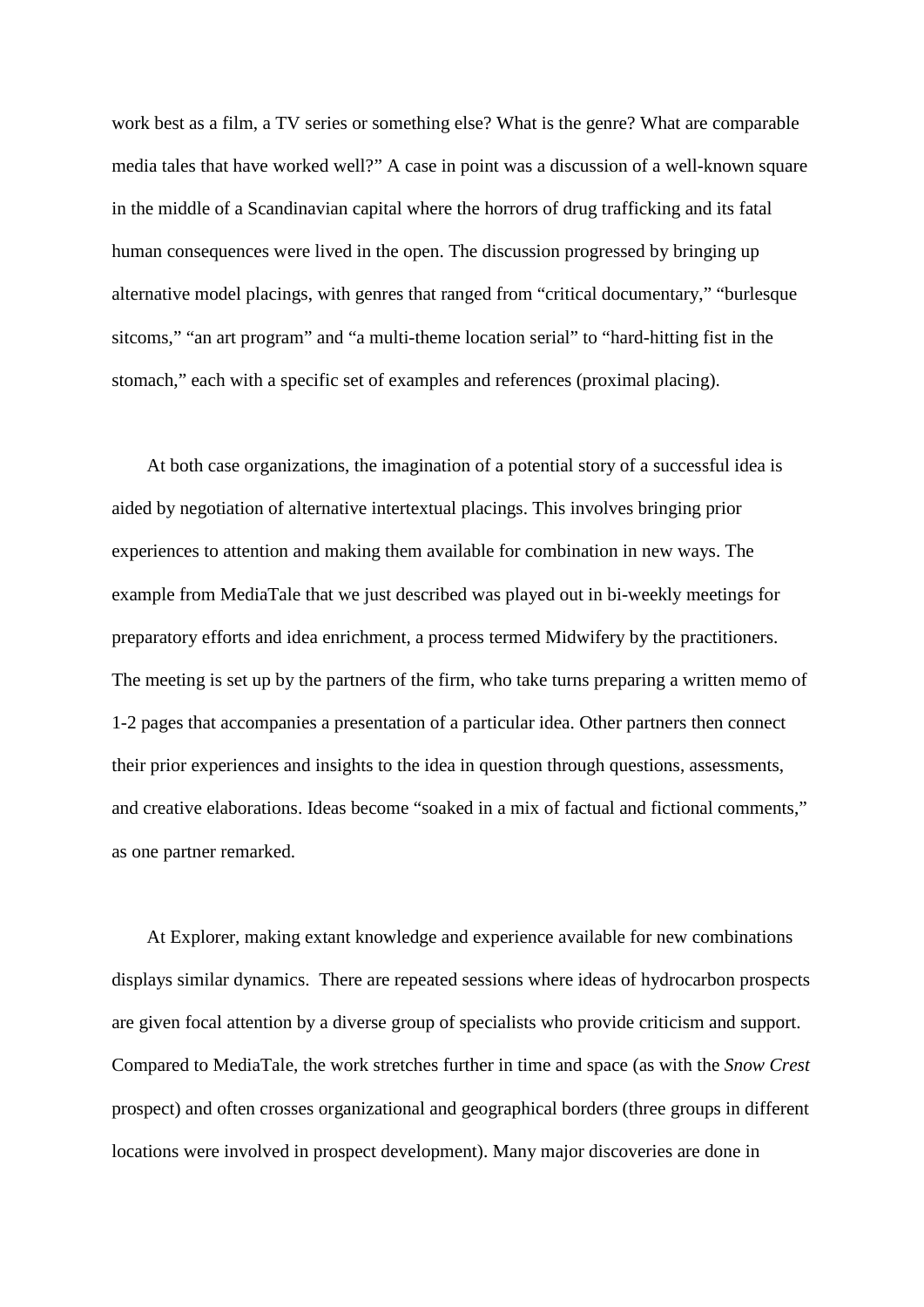work best as a film, a TV series or something else? What is the genre? What are comparable media tales that have worked well?" A case in point was a discussion of a well-known square in the middle of a Scandinavian capital where the horrors of drug trafficking and its fatal human consequences were lived in the open. The discussion progressed by bringing up alternative model placings, with genres that ranged from "critical documentary," "burlesque sitcoms," "an art program" and "a multi-theme location serial" to "hard-hitting fist in the stomach," each with a specific set of examples and references (proximal placing).

At both case organizations, the imagination of a potential story of a successful idea is aided by negotiation of alternative intertextual placings. This involves bringing prior experiences to attention and making them available for combination in new ways. The example from MediaTale that we just described was played out in bi-weekly meetings for preparatory efforts and idea enrichment, a process termed Midwifery by the practitioners. The meeting is set up by the partners of the firm, who take turns preparing a written memo of 1-2 pages that accompanies a presentation of a particular idea. Other partners then connect their prior experiences and insights to the idea in question through questions, assessments, and creative elaborations. Ideas become "soaked in a mix of factual and fictional comments," as one partner remarked.

At Explorer*,* making extant knowledge and experience available for new combinations displays similar dynamics. There are repeated sessions where ideas of hydrocarbon prospects are given focal attention by a diverse group of specialists who provide criticism and support. Compared to MediaTale, the work stretches further in time and space (as with the *Snow Crest* prospect) and often crosses organizational and geographical borders (three groups in different locations were involved in prospect development). Many major discoveries are done in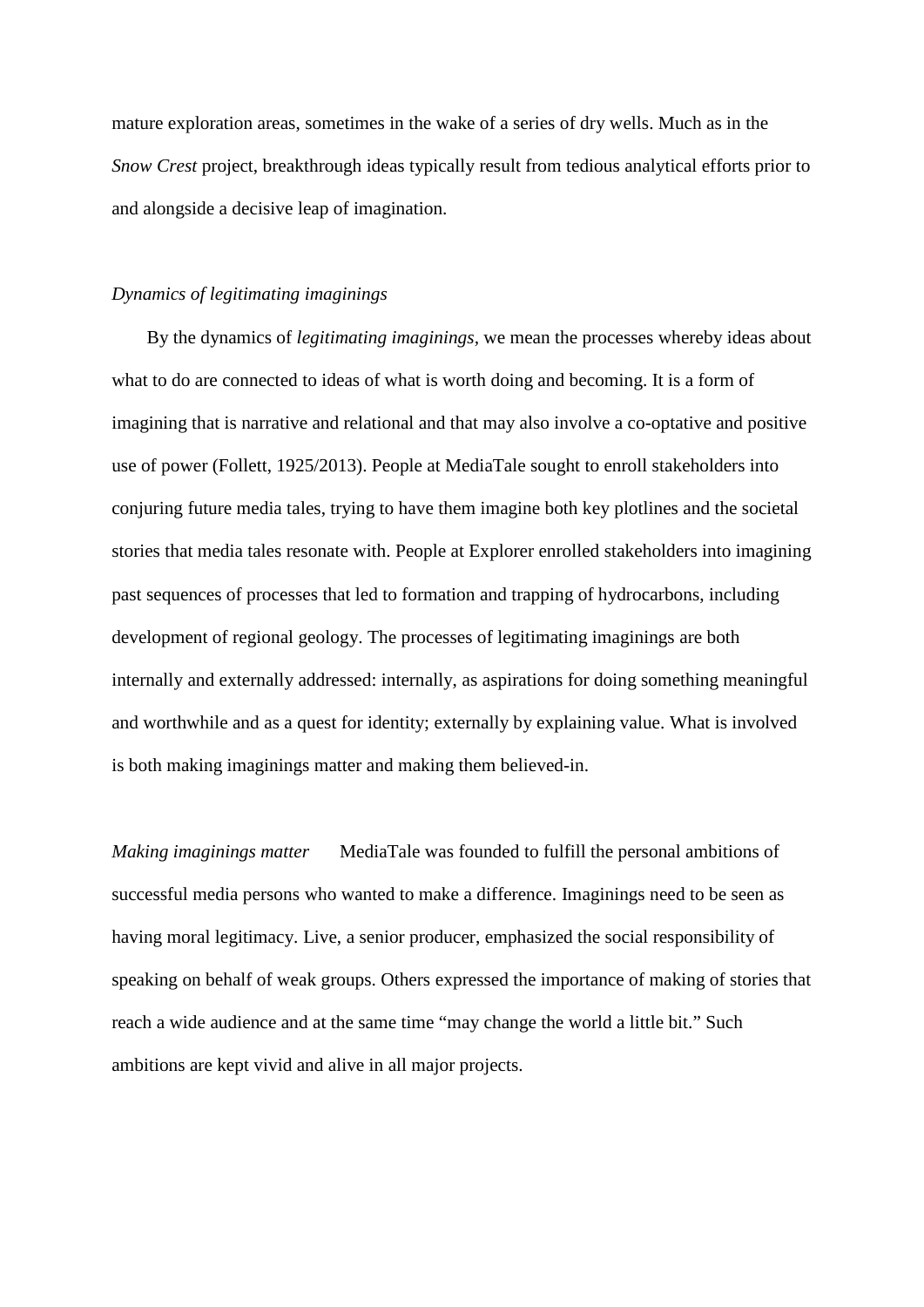mature exploration areas, sometimes in the wake of a series of dry wells. Much as in the *Snow Crest* project, breakthrough ideas typically result from tedious analytical efforts prior to and alongside a decisive leap of imagination.

#### *Dynamics of legitimating imaginings*

By the dynamics of *legitimating imaginings,* we mean the processes whereby ideas about what to do are connected to ideas of what is worth doing and becoming. It is a form of imagining that is narrative and relational and that may also involve a co-optative and positive use of power (Follett, 1925/2013). People at MediaTale sought to enroll stakeholders into conjuring future media tales, trying to have them imagine both key plotlines and the societal stories that media tales resonate with. People at Explorer enrolled stakeholders into imagining past sequences of processes that led to formation and trapping of hydrocarbons, including development of regional geology. The processes of legitimating imaginings are both internally and externally addressed: internally, as aspirations for doing something meaningful and worthwhile and as a quest for identity; externally by explaining value. What is involved is both making imaginings matter and making them believed-in.

*Making imaginings matter* MediaTale was founded to fulfill the personal ambitions of successful media persons who wanted to make a difference. Imaginings need to be seen as having moral legitimacy. Live, a senior producer, emphasized the social responsibility of speaking on behalf of weak groups. Others expressed the importance of making of stories that reach a wide audience and at the same time "may change the world a little bit." Such ambitions are kept vivid and alive in all major projects.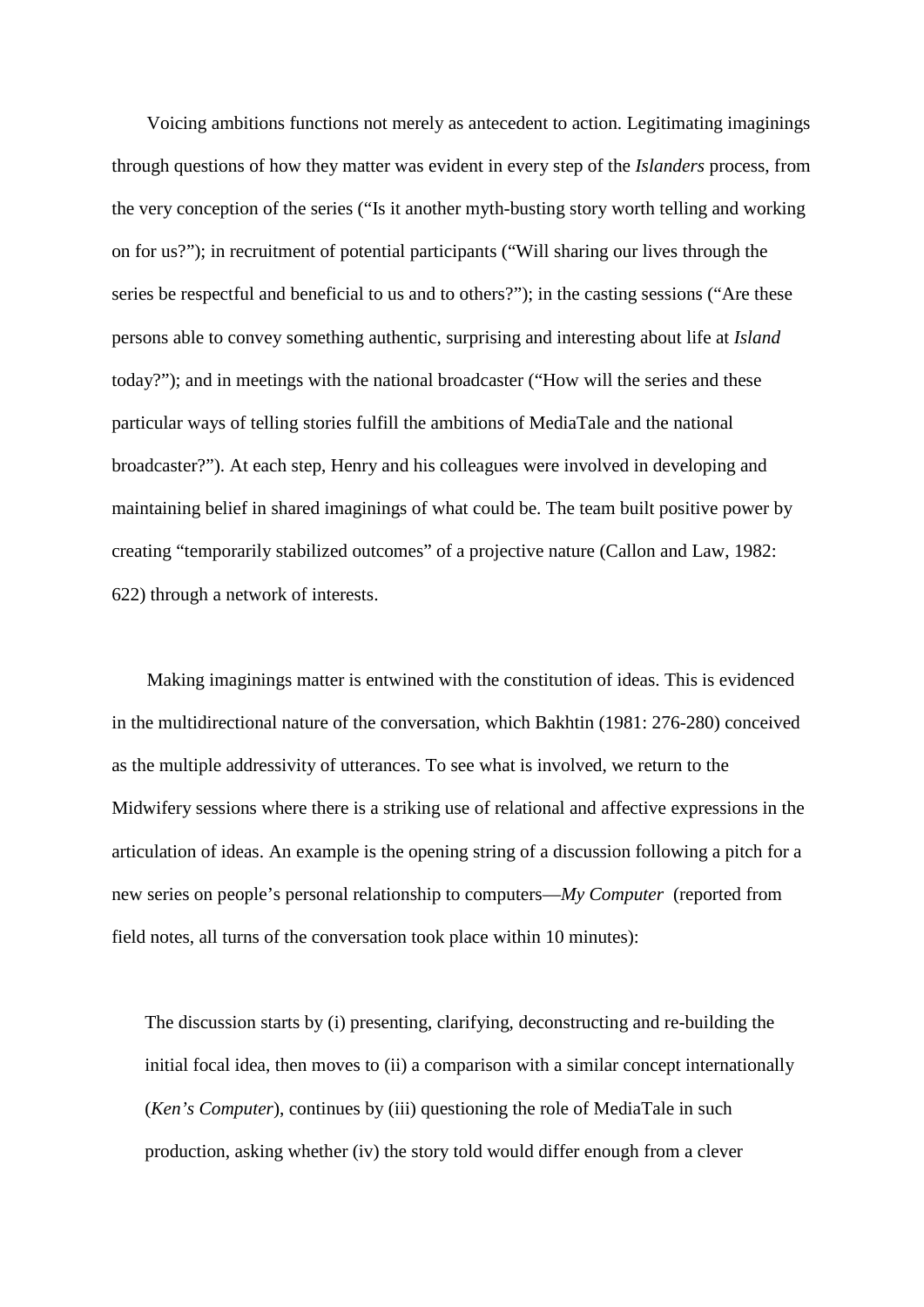Voicing ambitions functions not merely as antecedent to action. Legitimating imaginings through questions of how they matter was evident in every step of the *Islanders* process, from the very conception of the series ("Is it another myth-busting story worth telling and working on for us?"); in recruitment of potential participants ("Will sharing our lives through the series be respectful and beneficial to us and to others?"); in the casting sessions ("Are these persons able to convey something authentic, surprising and interesting about life at *Island* today?"); and in meetings with the national broadcaster ("How will the series and these particular ways of telling stories fulfill the ambitions of MediaTale and the national broadcaster?"). At each step, Henry and his colleagues were involved in developing and maintaining belief in shared imaginings of what could be. The team built positive power by creating "temporarily stabilized outcomes" of a projective nature (Callon and Law, 1982: 622) through a network of interests.

Making imaginings matter is entwined with the constitution of ideas. This is evidenced in the multidirectional nature of the conversation, which Bakhtin (1981: 276-280) conceived as the multiple addressivity of utterances. To see what is involved, we return to the Midwifery sessions where there is a striking use of relational and affective expressions in the articulation of ideas. An example is the opening string of a discussion following a pitch for a new series on people's personal relationship to computers—*My Computer* (reported from field notes, all turns of the conversation took place within 10 minutes):

The discussion starts by (i) presenting, clarifying, deconstructing and re-building the initial focal idea, then moves to (ii) a comparison with a similar concept internationally (*Ken's Computer*), continues by (iii) questioning the role of MediaTale in such production, asking whether (iv) the story told would differ enough from a clever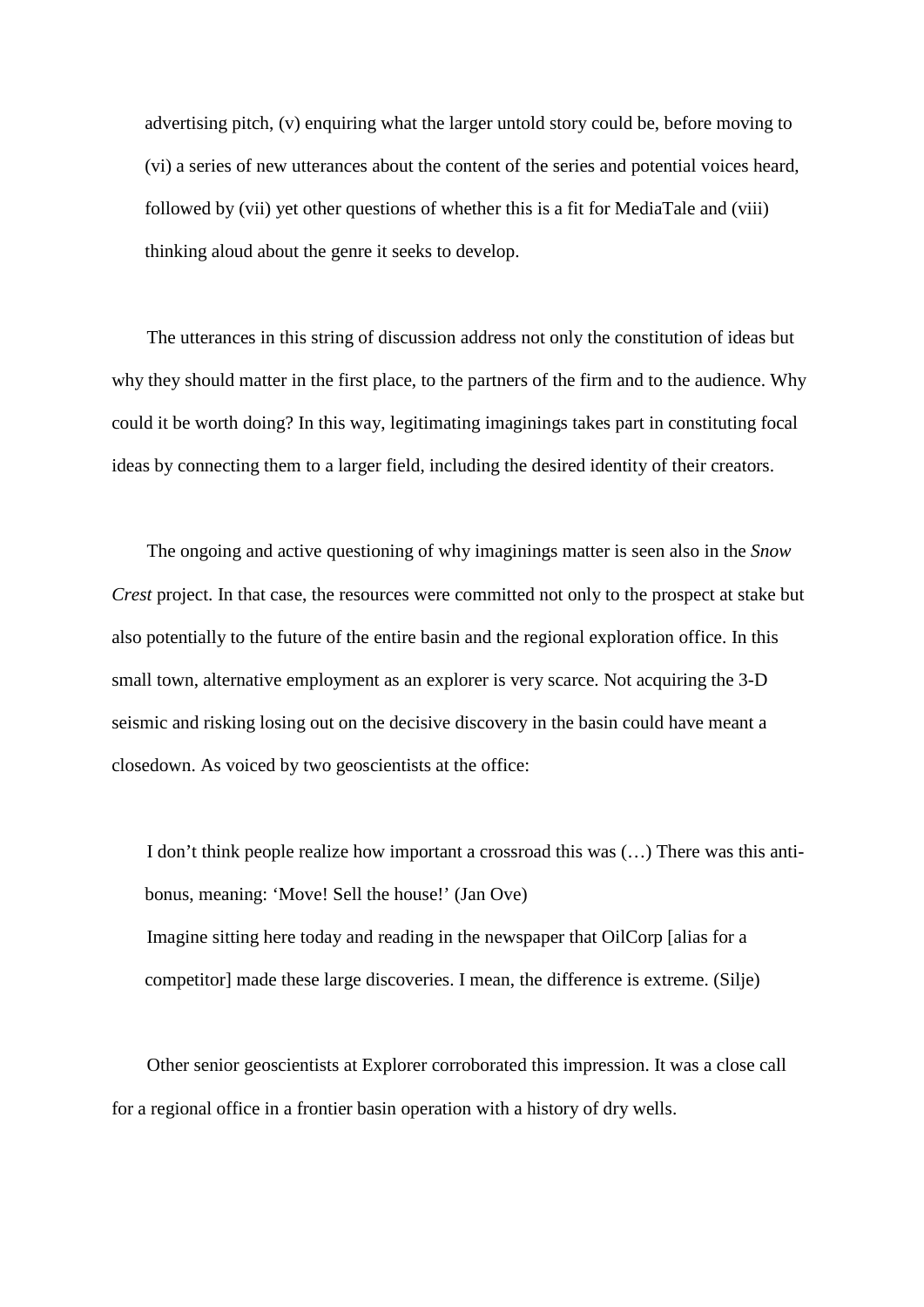advertising pitch, (v) enquiring what the larger untold story could be, before moving to (vi) a series of new utterances about the content of the series and potential voices heard, followed by (vii) yet other questions of whether this is a fit for MediaTale and (viii) thinking aloud about the genre it seeks to develop.

The utterances in this string of discussion address not only the constitution of ideas but why they should matter in the first place, to the partners of the firm and to the audience. Why could it be worth doing? In this way, legitimating imaginings takes part in constituting focal ideas by connecting them to a larger field, including the desired identity of their creators.

The ongoing and active questioning of why imaginings matter is seen also in the *Snow Crest* project. In that case, the resources were committed not only to the prospect at stake but also potentially to the future of the entire basin and the regional exploration office. In this small town, alternative employment as an explorer is very scarce. Not acquiring the 3-D seismic and risking losing out on the decisive discovery in the basin could have meant a closedown. As voiced by two geoscientists at the office:

I don't think people realize how important a crossroad this was (…) There was this antibonus, meaning: 'Move! Sell the house!' (Jan Ove) Imagine sitting here today and reading in the newspaper that OilCorp [alias for a competitor] made these large discoveries. I mean, the difference is extreme. (Silje)

Other senior geoscientists at Explorer corroborated this impression. It was a close call for a regional office in a frontier basin operation with a history of dry wells.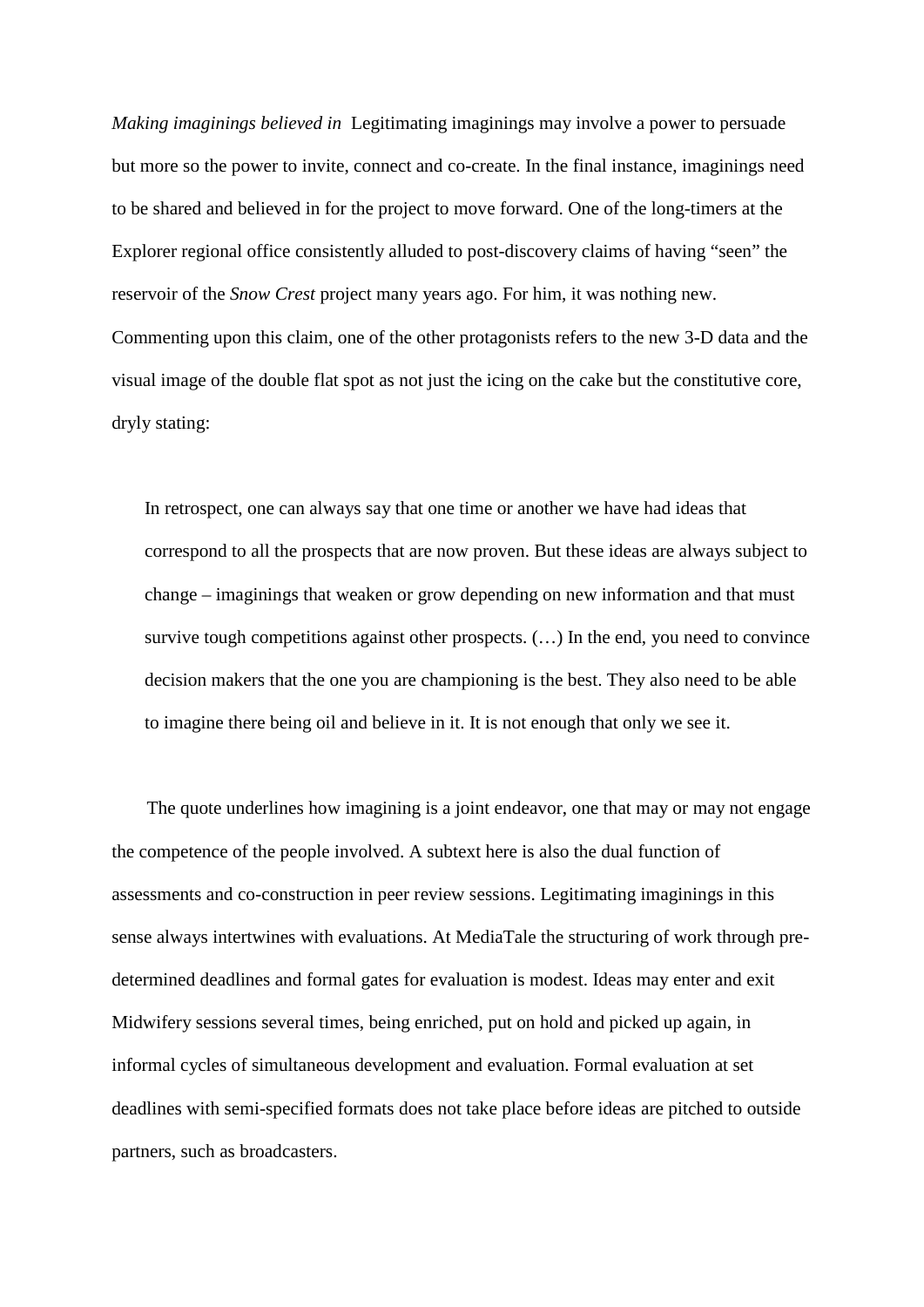*Making imaginings believed in* Legitimating imaginings may involve a power to persuade but more so the power to invite, connect and co-create. In the final instance, imaginings need to be shared and believed in for the project to move forward. One of the long-timers at the Explorer regional office consistently alluded to post-discovery claims of having "seen" the reservoir of the *Snow Crest* project many years ago. For him, it was nothing new. Commenting upon this claim, one of the other protagonists refers to the new 3-D data and the visual image of the double flat spot as not just the icing on the cake but the constitutive core, dryly stating:

In retrospect, one can always say that one time or another we have had ideas that correspond to all the prospects that are now proven. But these ideas are always subject to change – imaginings that weaken or grow depending on new information and that must survive tough competitions against other prospects. (…) In the end, you need to convince decision makers that the one you are championing is the best. They also need to be able to imagine there being oil and believe in it. It is not enough that only we see it.

The quote underlines how imagining is a joint endeavor, one that may or may not engage the competence of the people involved. A subtext here is also the dual function of assessments and co-construction in peer review sessions. Legitimating imaginings in this sense always intertwines with evaluations. At MediaTale the structuring of work through predetermined deadlines and formal gates for evaluation is modest. Ideas may enter and exit Midwifery sessions several times, being enriched, put on hold and picked up again, in informal cycles of simultaneous development and evaluation. Formal evaluation at set deadlines with semi-specified formats does not take place before ideas are pitched to outside partners, such as broadcasters.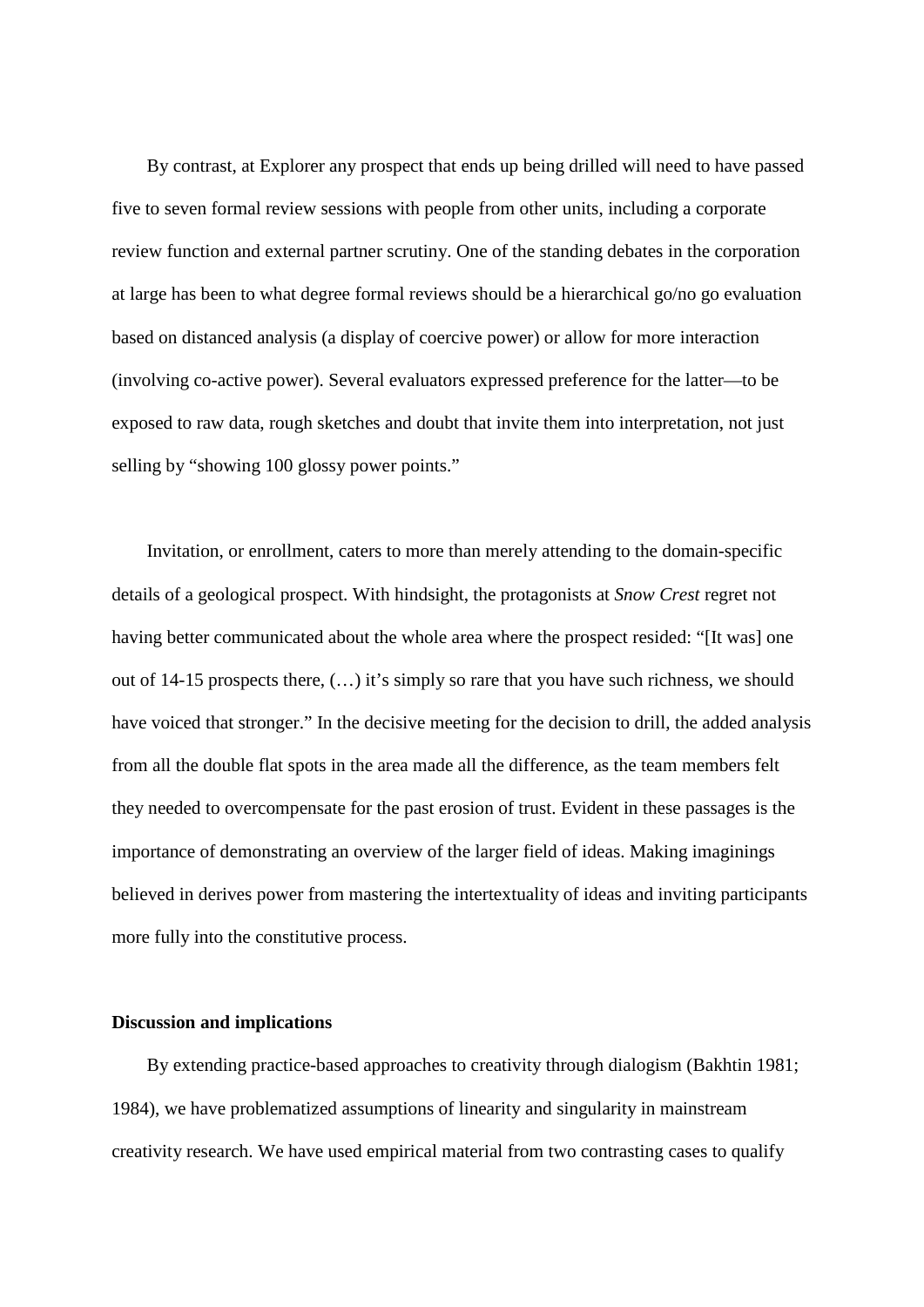By contrast, at Explorer any prospect that ends up being drilled will need to have passed five to seven formal review sessions with people from other units, including a corporate review function and external partner scrutiny. One of the standing debates in the corporation at large has been to what degree formal reviews should be a hierarchical go/no go evaluation based on distanced analysis (a display of coercive power) or allow for more interaction (involving co-active power). Several evaluators expressed preference for the latter—to be exposed to raw data, rough sketches and doubt that invite them into interpretation, not just selling by "showing 100 glossy power points."

Invitation, or enrollment, caters to more than merely attending to the domain-specific details of a geological prospect. With hindsight, the protagonists at *Snow Crest* regret not having better communicated about the whole area where the prospect resided: "[It was] one out of 14-15 prospects there, (…) it's simply so rare that you have such richness, we should have voiced that stronger." In the decisive meeting for the decision to drill, the added analysis from all the double flat spots in the area made all the difference, as the team members felt they needed to overcompensate for the past erosion of trust. Evident in these passages is the importance of demonstrating an overview of the larger field of ideas. Making imaginings believed in derives power from mastering the intertextuality of ideas and inviting participants more fully into the constitutive process.

#### **Discussion and implications**

By extending practice-based approaches to creativity through dialogism (Bakhtin 1981; 1984), we have problematized assumptions of linearity and singularity in mainstream creativity research. We have used empirical material from two contrasting cases to qualify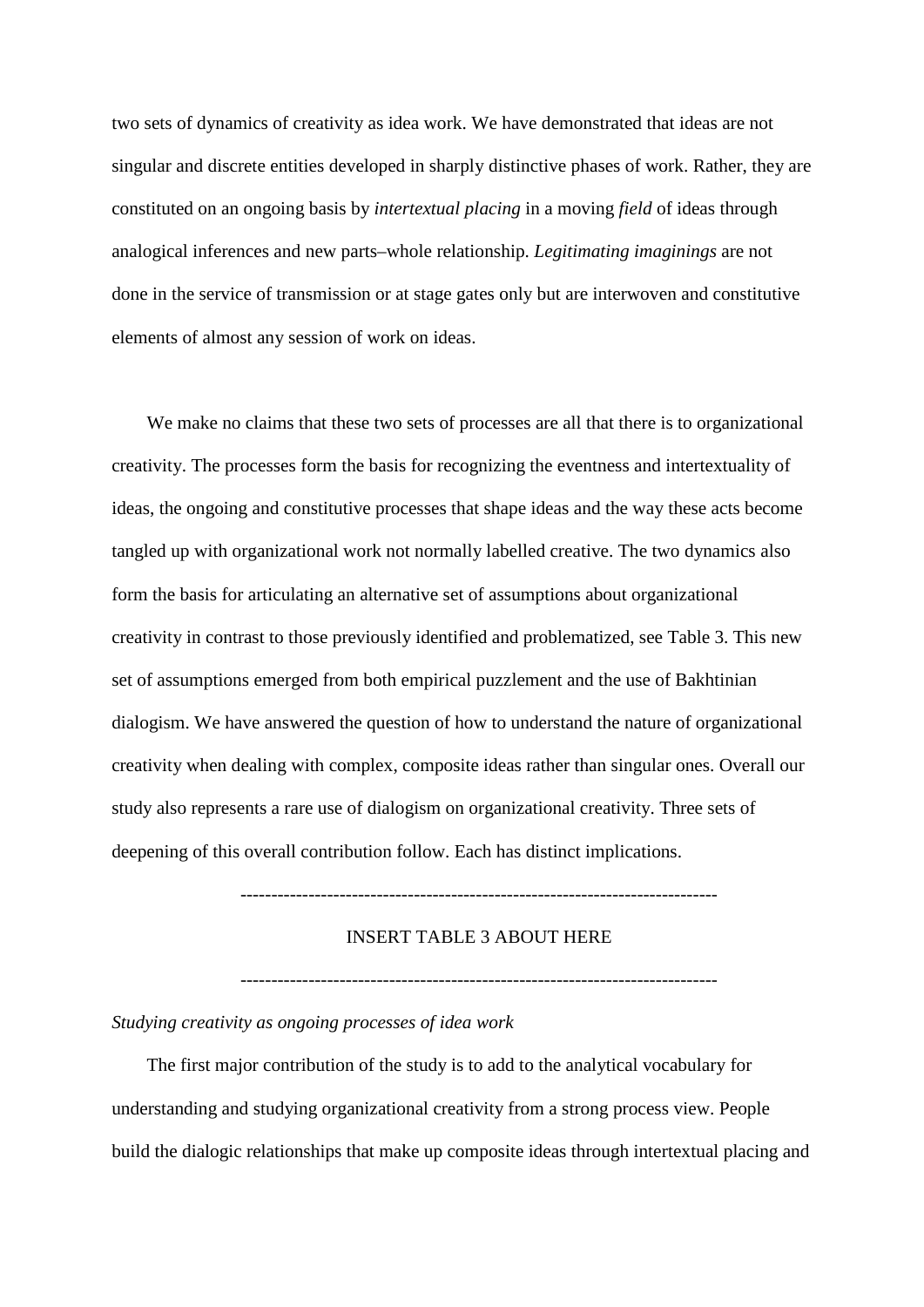two sets of dynamics of creativity as idea work. We have demonstrated that ideas are not singular and discrete entities developed in sharply distinctive phases of work. Rather, they are constituted on an ongoing basis by *intertextual placing* in a moving *field* of ideas through analogical inferences and new parts–whole relationship. *Legitimating imaginings* are not done in the service of transmission or at stage gates only but are interwoven and constitutive elements of almost any session of work on ideas.

We make no claims that these two sets of processes are all that there is to organizational creativity. The processes form the basis for recognizing the eventness and intertextuality of ideas, the ongoing and constitutive processes that shape ideas and the way these acts become tangled up with organizational work not normally labelled creative. The two dynamics also form the basis for articulating an alternative set of assumptions about organizational creativity in contrast to those previously identified and problematized, see Table 3. This new set of assumptions emerged from both empirical puzzlement and the use of Bakhtinian dialogism. We have answered the question of how to understand the nature of organizational creativity when dealing with complex, composite ideas rather than singular ones. Overall our study also represents a rare use of dialogism on organizational creativity. Three sets of deepening of this overall contribution follow. Each has distinct implications.

-----------------------------------------------------------------------------

## INSERT TABLE 3 ABOUT HERE

-----------------------------------------------------------------------------

*Studying creativity as ongoing processes of idea work*

The first major contribution of the study is to add to the analytical vocabulary for understanding and studying organizational creativity from a strong process view. People build the dialogic relationships that make up composite ideas through intertextual placing and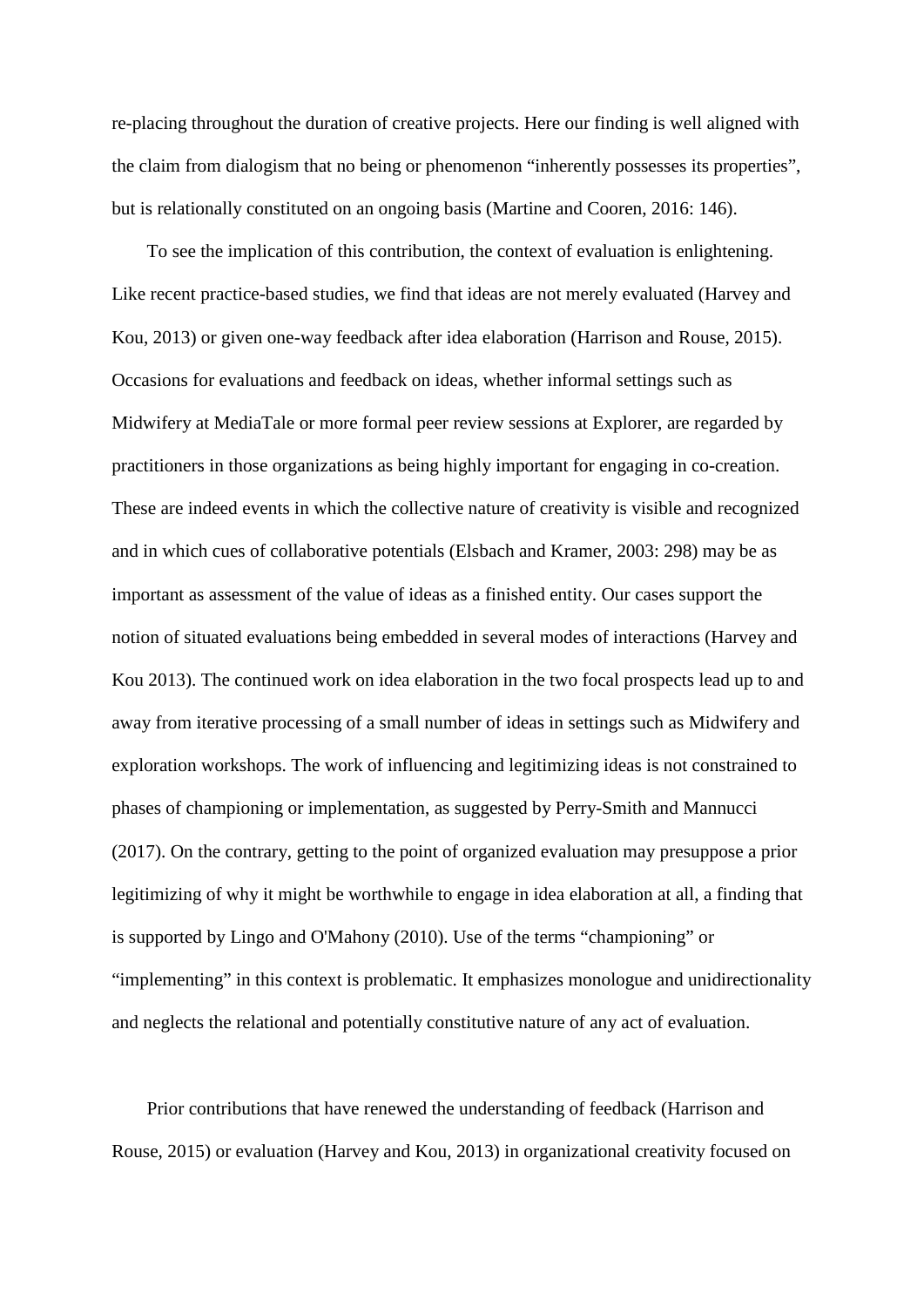re-placing throughout the duration of creative projects. Here our finding is well aligned with the claim from dialogism that no being or phenomenon "inherently possesses its properties", but is relationally constituted on an ongoing basis (Martine and Cooren, 2016: 146).

To see the implication of this contribution, the context of evaluation is enlightening. Like recent practice-based studies, we find that ideas are not merely evaluated (Harvey and Kou, 2013) or given one-way feedback after idea elaboration (Harrison and Rouse, 2015). Occasions for evaluations and feedback on ideas, whether informal settings such as Midwifery at MediaTale or more formal peer review sessions at Explorer, are regarded by practitioners in those organizations as being highly important for engaging in co-creation. These are indeed events in which the collective nature of creativity is visible and recognized and in which cues of collaborative potentials (Elsbach and Kramer, 2003: 298) may be as important as assessment of the value of ideas as a finished entity. Our cases support the notion of situated evaluations being embedded in several modes of interactions (Harvey and Kou 2013). The continued work on idea elaboration in the two focal prospects lead up to and away from iterative processing of a small number of ideas in settings such as Midwifery and exploration workshops. The work of influencing and legitimizing ideas is not constrained to phases of championing or implementation, as suggested by Perry-Smith and Mannucci (2017). On the contrary, getting to the point of organized evaluation may presuppose a prior legitimizing of why it might be worthwhile to engage in idea elaboration at all, a finding that is supported by Lingo and O'Mahony (2010). Use of the terms "championing" or "implementing" in this context is problematic. It emphasizes monologue and unidirectionality and neglects the relational and potentially constitutive nature of any act of evaluation.

Prior contributions that have renewed the understanding of feedback (Harrison and Rouse, 2015) or evaluation (Harvey and Kou, 2013) in organizational creativity focused on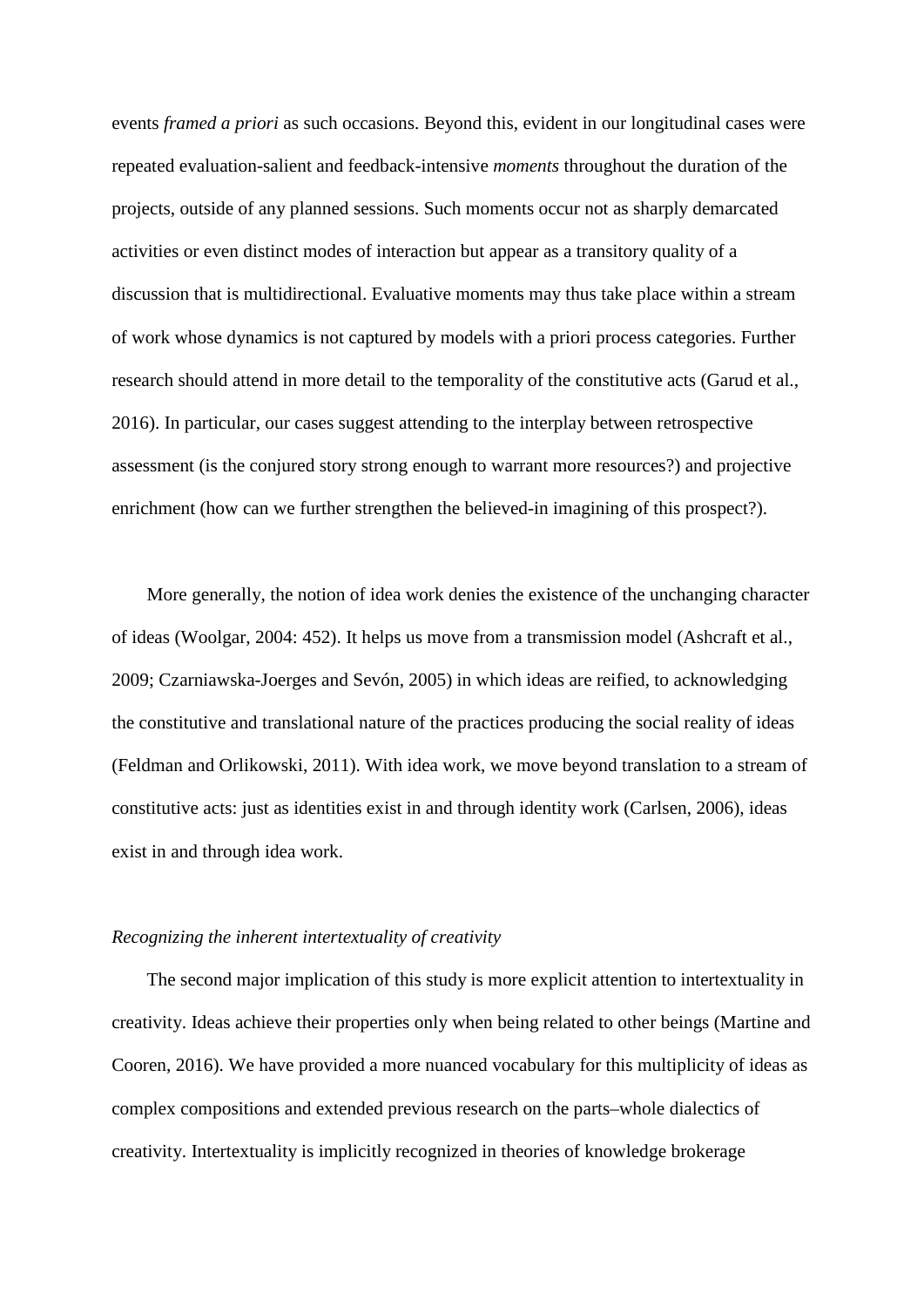events *framed a priori* as such occasions. Beyond this, evident in our longitudinal cases were repeated evaluation-salient and feedback-intensive *moments* throughout the duration of the projects, outside of any planned sessions. Such moments occur not as sharply demarcated activities or even distinct modes of interaction but appear as a transitory quality of a discussion that is multidirectional. Evaluative moments may thus take place within a stream of work whose dynamics is not captured by models with a priori process categories. Further research should attend in more detail to the temporality of the constitutive acts (Garud et al., 2016). In particular, our cases suggest attending to the interplay between retrospective assessment (is the conjured story strong enough to warrant more resources?) and projective enrichment (how can we further strengthen the believed-in imagining of this prospect?).

More generally, the notion of idea work denies the existence of the unchanging character of ideas (Woolgar, 2004: 452). It helps us move from a transmission model (Ashcraft et al., 2009; Czarniawska-Joerges and Sevón, 2005) in which ideas are reified, to acknowledging the constitutive and translational nature of the practices producing the social reality of ideas (Feldman and Orlikowski, 2011). With idea work, we move beyond translation to a stream of constitutive acts: just as identities exist in and through identity work (Carlsen, 2006), ideas exist in and through idea work.

#### *Recognizing the inherent intertextuality of creativity*

The second major implication of this study is more explicit attention to intertextuality in creativity. Ideas achieve their properties only when being related to other beings (Martine and Cooren, 2016). We have provided a more nuanced vocabulary for this multiplicity of ideas as complex compositions and extended previous research on the parts–whole dialectics of creativity. Intertextuality is implicitly recognized in theories of knowledge brokerage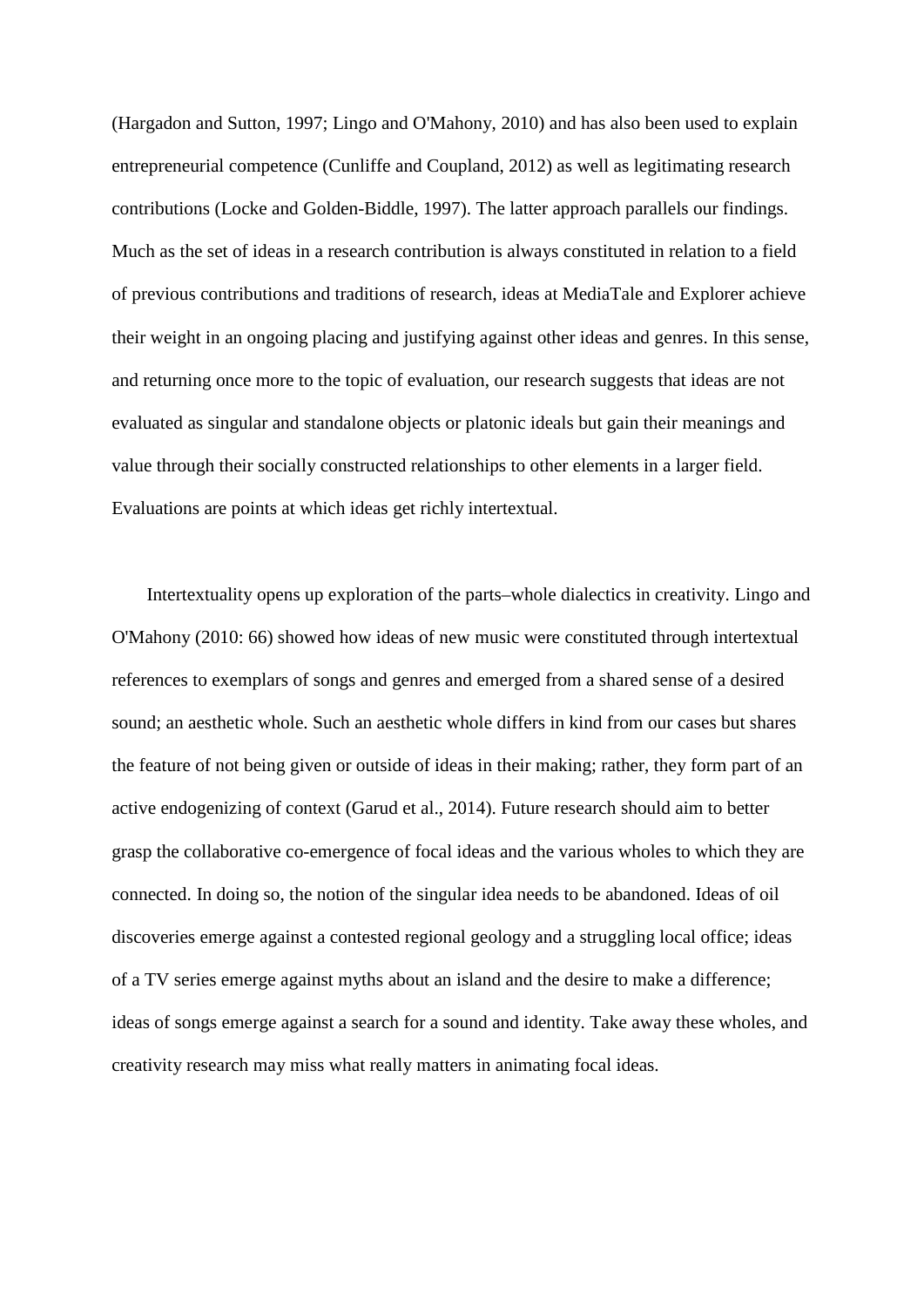(Hargadon and Sutton, 1997; Lingo and O'Mahony, 2010) and has also been used to explain entrepreneurial competence (Cunliffe and Coupland, 2012) as well as legitimating research contributions (Locke and Golden-Biddle, 1997). The latter approach parallels our findings. Much as the set of ideas in a research contribution is always constituted in relation to a field of previous contributions and traditions of research, ideas at MediaTale and Explorer achieve their weight in an ongoing placing and justifying against other ideas and genres. In this sense, and returning once more to the topic of evaluation, our research suggests that ideas are not evaluated as singular and standalone objects or platonic ideals but gain their meanings and value through their socially constructed relationships to other elements in a larger field. Evaluations are points at which ideas get richly intertextual.

Intertextuality opens up exploration of the parts–whole dialectics in creativity. Lingo and O'Mahony (2010: 66) showed how ideas of new music were constituted through intertextual references to exemplars of songs and genres and emerged from a shared sense of a desired sound; an aesthetic whole. Such an aesthetic whole differs in kind from our cases but shares the feature of not being given or outside of ideas in their making; rather, they form part of an active endogenizing of context (Garud et al., 2014). Future research should aim to better grasp the collaborative co-emergence of focal ideas and the various wholes to which they are connected. In doing so, the notion of the singular idea needs to be abandoned. Ideas of oil discoveries emerge against a contested regional geology and a struggling local office; ideas of a TV series emerge against myths about an island and the desire to make a difference; ideas of songs emerge against a search for a sound and identity. Take away these wholes, and creativity research may miss what really matters in animating focal ideas.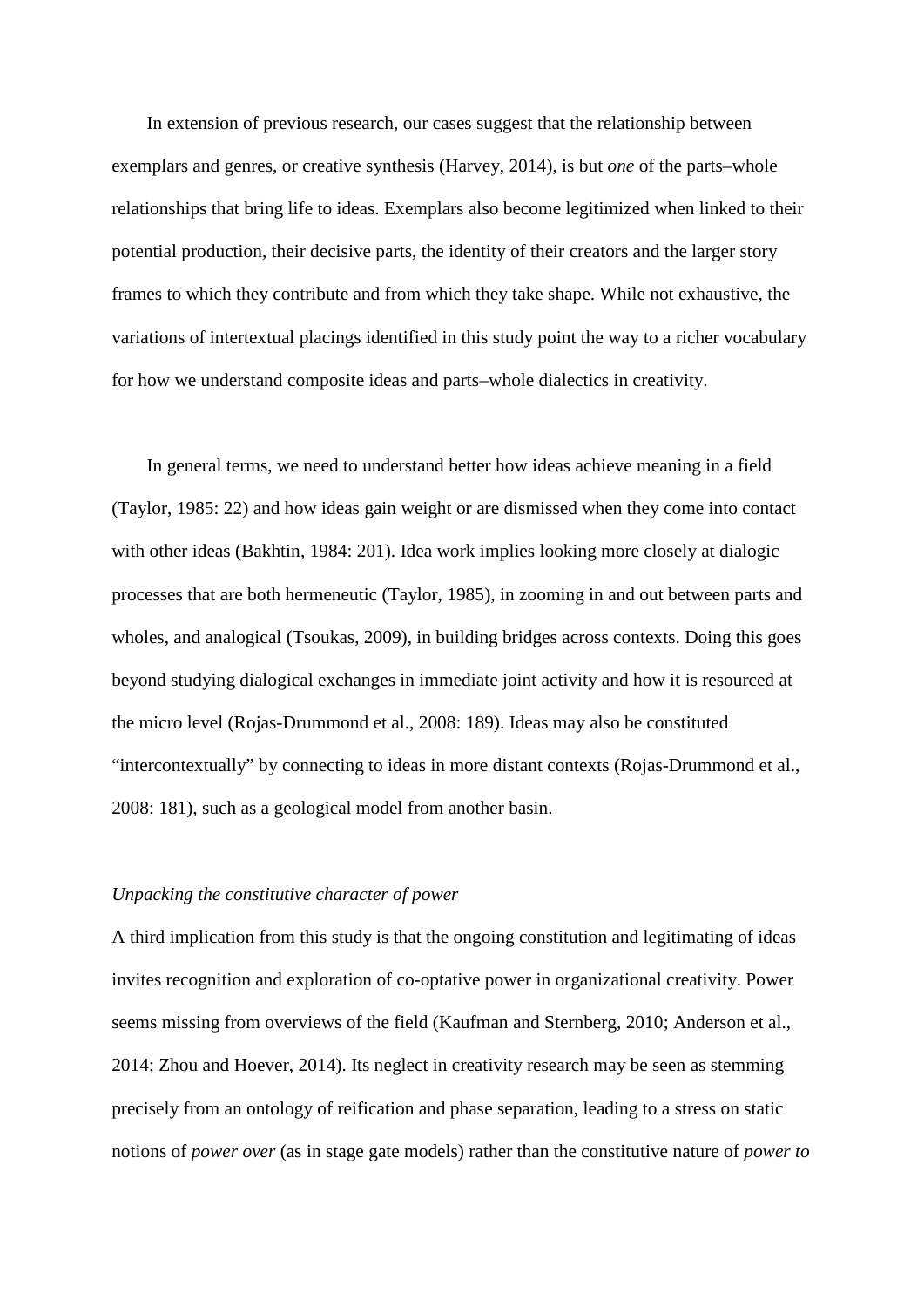In extension of previous research, our cases suggest that the relationship between exemplars and genres, or creative synthesis (Harvey, 2014), is but *one* of the parts–whole relationships that bring life to ideas. Exemplars also become legitimized when linked to their potential production, their decisive parts, the identity of their creators and the larger story frames to which they contribute and from which they take shape. While not exhaustive, the variations of intertextual placings identified in this study point the way to a richer vocabulary for how we understand composite ideas and parts–whole dialectics in creativity.

In general terms, we need to understand better how ideas achieve meaning in a field (Taylor, 1985: 22) and how ideas gain weight or are dismissed when they come into contact with other ideas (Bakhtin, 1984: 201). Idea work implies looking more closely at dialogic processes that are both hermeneutic (Taylor, 1985), in zooming in and out between parts and wholes, and analogical (Tsoukas, 2009), in building bridges across contexts. Doing this goes beyond studying dialogical exchanges in immediate joint activity and how it is resourced at the micro level (Rojas-Drummond et al., 2008: 189). Ideas may also be constituted "intercontextually" by connecting to ideas in more distant contexts (Rojas-Drummond et al., 2008: 181), such as a geological model from another basin.

## *Unpacking the constitutive character of power*

A third implication from this study is that the ongoing constitution and legitimating of ideas invites recognition and exploration of co-optative power in organizational creativity. Power seems missing from overviews of the field (Kaufman and Sternberg, 2010; Anderson et al., 2014; Zhou and Hoever, 2014). Its neglect in creativity research may be seen as stemming precisely from an ontology of reification and phase separation, leading to a stress on static notions of *power over* (as in stage gate models) rather than the constitutive nature of *power to*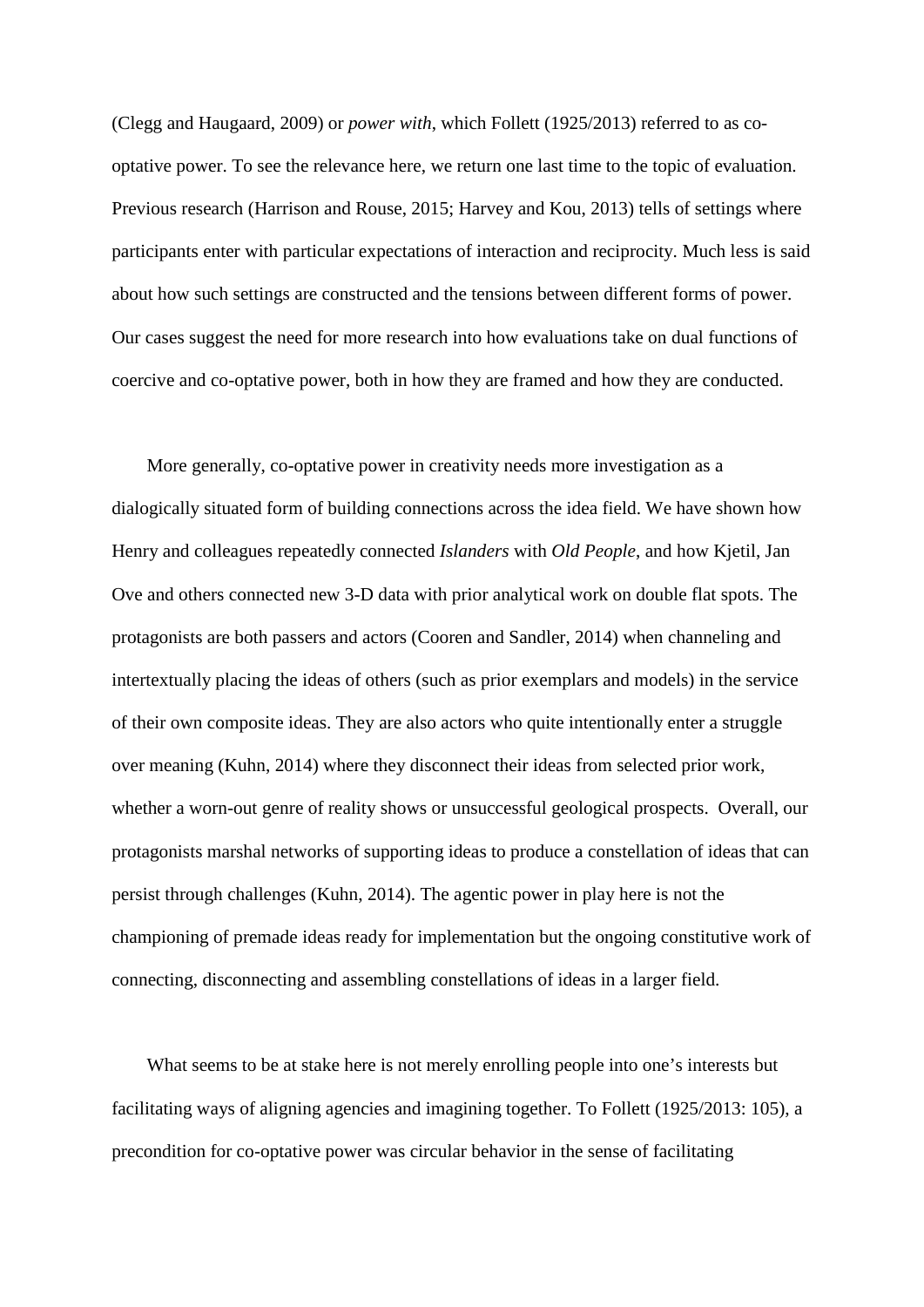(Clegg and Haugaard, 2009) or *power with*, which Follett (1925/2013) referred to as cooptative power. To see the relevance here, we return one last time to the topic of evaluation. Previous research (Harrison and Rouse, 2015; Harvey and Kou, 2013) tells of settings where participants enter with particular expectations of interaction and reciprocity. Much less is said about how such settings are constructed and the tensions between different forms of power. Our cases suggest the need for more research into how evaluations take on dual functions of coercive and co-optative power, both in how they are framed and how they are conducted.

More generally, co-optative power in creativity needs more investigation as a dialogically situated form of building connections across the idea field. We have shown how Henry and colleagues repeatedly connected *Islanders* with *Old People*, and how Kjetil, Jan Ove and others connected new 3-D data with prior analytical work on double flat spots. The protagonists are both passers and actors (Cooren and Sandler, 2014) when channeling and intertextually placing the ideas of others (such as prior exemplars and models) in the service of their own composite ideas. They are also actors who quite intentionally enter a struggle over meaning (Kuhn, 2014) where they disconnect their ideas from selected prior work, whether a worn-out genre of reality shows or unsuccessful geological prospects. Overall, our protagonists marshal networks of supporting ideas to produce a constellation of ideas that can persist through challenges (Kuhn, 2014). The agentic power in play here is not the championing of premade ideas ready for implementation but the ongoing constitutive work of connecting, disconnecting and assembling constellations of ideas in a larger field.

What seems to be at stake here is not merely enrolling people into one's interests but facilitating ways of aligning agencies and imagining together. To Follett (1925/2013: 105), a precondition for co-optative power was circular behavior in the sense of facilitating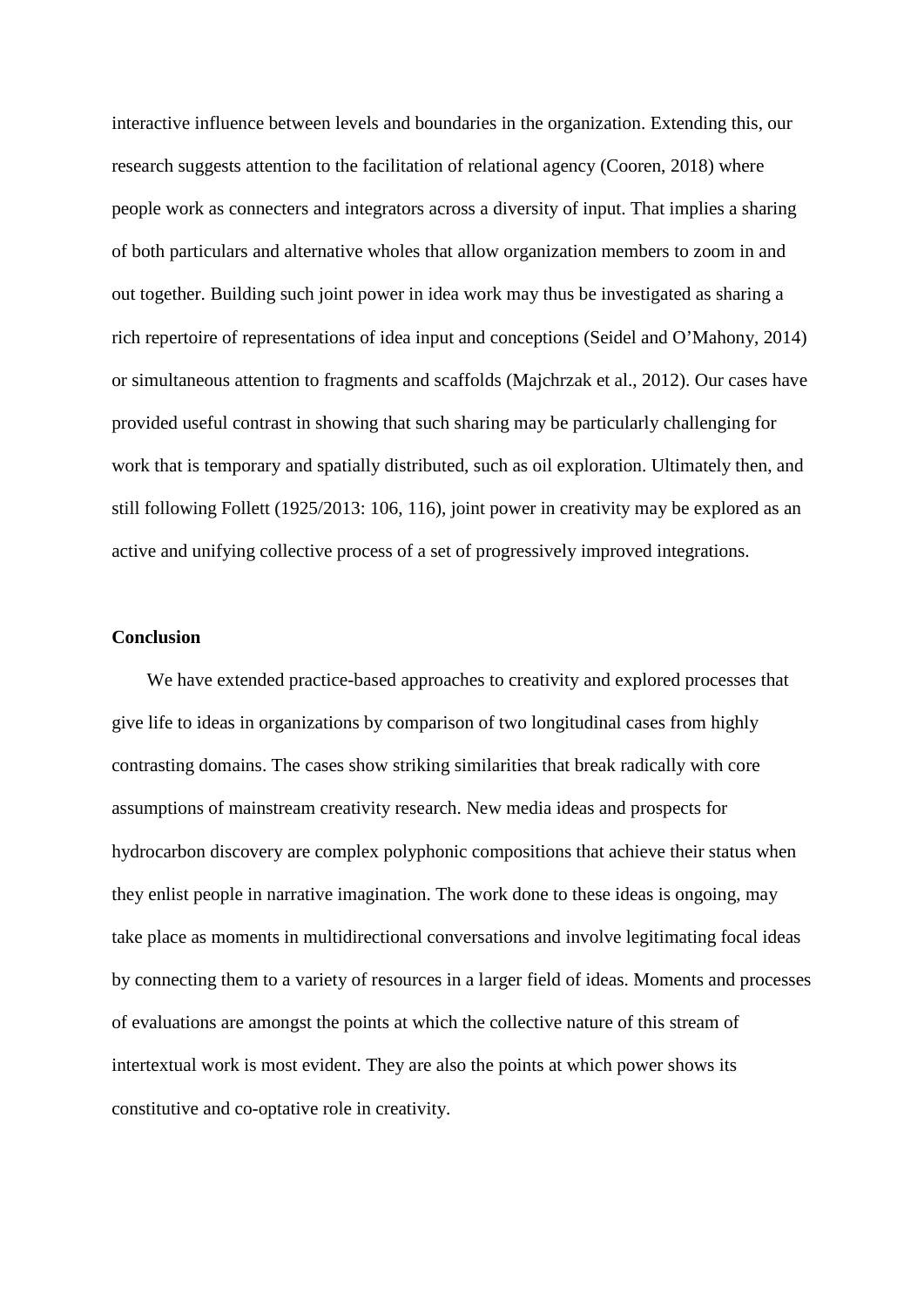interactive influence between levels and boundaries in the organization. Extending this, our research suggests attention to the facilitation of relational agency (Cooren, 2018) where people work as connecters and integrators across a diversity of input. That implies a sharing of both particulars and alternative wholes that allow organization members to zoom in and out together. Building such joint power in idea work may thus be investigated as sharing a rich repertoire of representations of idea input and conceptions (Seidel and O'Mahony, 2014) or simultaneous attention to fragments and scaffolds (Majchrzak et al., 2012). Our cases have provided useful contrast in showing that such sharing may be particularly challenging for work that is temporary and spatially distributed, such as oil exploration. Ultimately then, and still following Follett (1925/2013: 106, 116), joint power in creativity may be explored as an active and unifying collective process of a set of progressively improved integrations.

## **Conclusion**

We have extended practice-based approaches to creativity and explored processes that give life to ideas in organizations by comparison of two longitudinal cases from highly contrasting domains. The cases show striking similarities that break radically with core assumptions of mainstream creativity research. New media ideas and prospects for hydrocarbon discovery are complex polyphonic compositions that achieve their status when they enlist people in narrative imagination. The work done to these ideas is ongoing, may take place as moments in multidirectional conversations and involve legitimating focal ideas by connecting them to a variety of resources in a larger field of ideas. Moments and processes of evaluations are amongst the points at which the collective nature of this stream of intertextual work is most evident. They are also the points at which power shows its constitutive and co-optative role in creativity.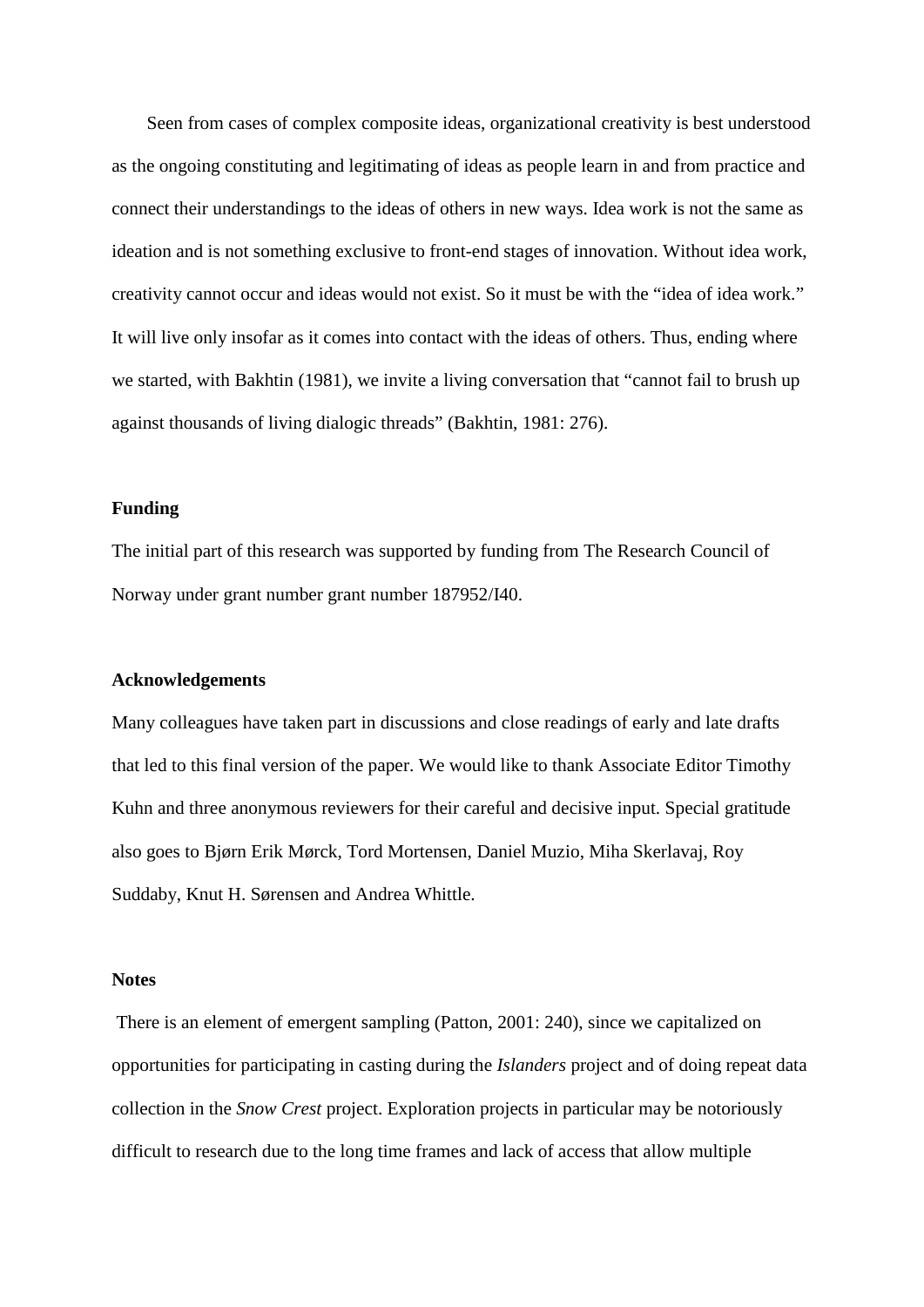Seen from cases of complex composite ideas, organizational creativity is best understood as the ongoing constituting and legitimating of ideas as people learn in and from practice and connect their understandings to the ideas of others in new ways. Idea work is not the same as ideation and is not something exclusive to front-end stages of innovation. Without idea work, creativity cannot occur and ideas would not exist. So it must be with the "idea of idea work." It will live only insofar as it comes into contact with the ideas of others. Thus, ending where we started, with Bakhtin (1981), we invite a living conversation that "cannot fail to brush up against thousands of living dialogic threads" (Bakhtin, 1981: 276).

#### **Funding**

The initial part of this research was supported by funding from The Research Council of Norway under grant number grant number 187952/I40.

#### **Acknowledgements**

Many colleagues have taken part in discussions and close readings of early and late drafts that led to this final version of the paper. We would like to thank Associate Editor Timothy Kuhn and three anonymous reviewers for their careful and decisive input. Special gratitude also goes to Bjørn Erik Mørck, Tord Mortensen, Daniel Muzio, Miha Skerlavaj, Roy Suddaby, Knut H. Sørensen and Andrea Whittle.

#### **Notes**

There is an element of emergent sampling (Patton, 2001: 240), since we capitalized on opportunities for participating in casting during the *Islanders* project and of doing repeat data collection in the *Snow Crest* project. Exploration projects in particular may be notoriously difficult to research due to the long time frames and lack of access that allow multiple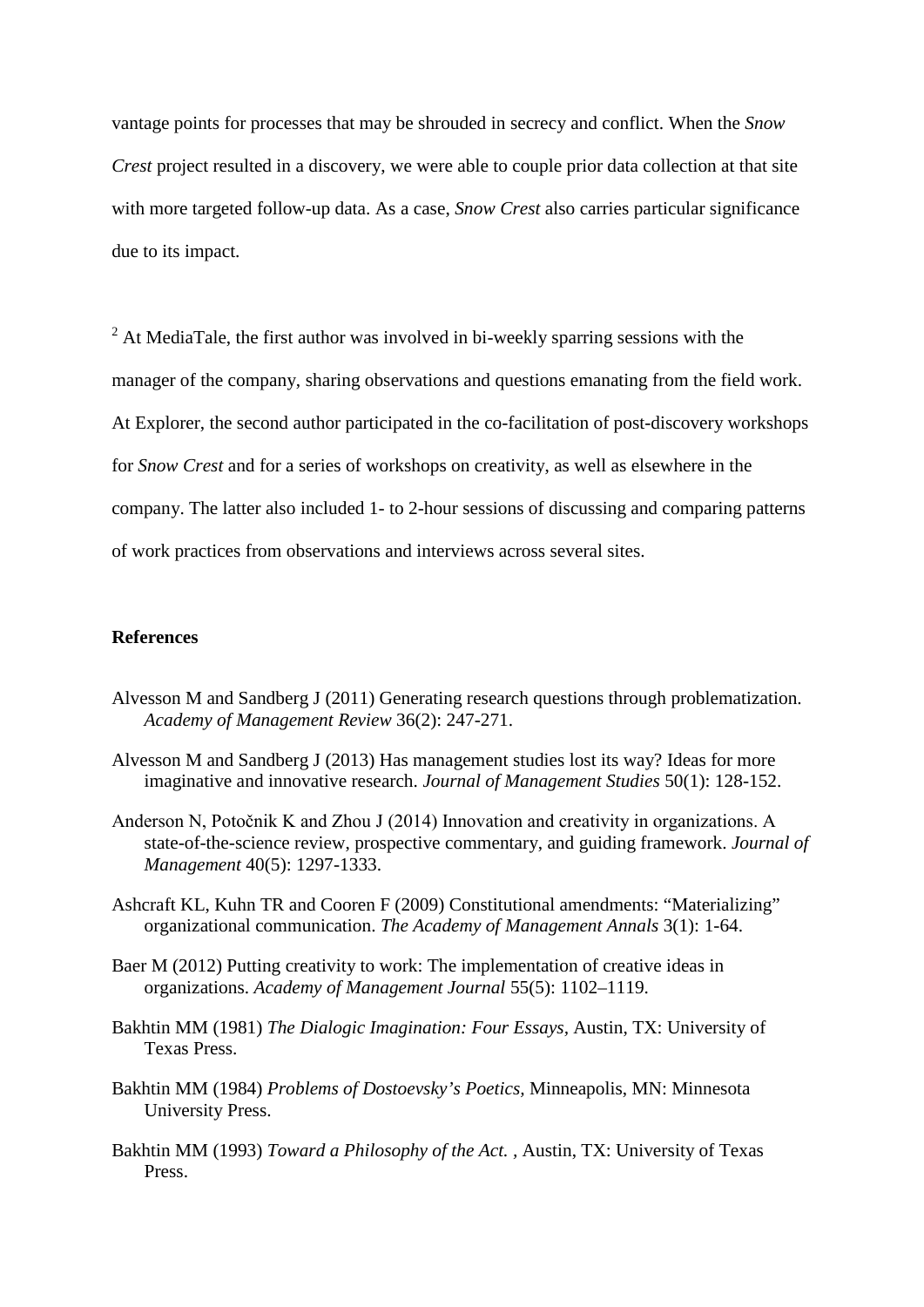vantage points for processes that may be shrouded in secrecy and conflict. When the *Snow Crest* project resulted in a discovery, we were able to couple prior data collection at that site with more targeted follow-up data. As a case, *Snow Crest* also carries particular significance due to its impact.

 $2$  At MediaTale, the first author was involved in bi-weekly sparring sessions with the manager of the company, sharing observations and questions emanating from the field work. At Explorer, the second author participated in the co-facilitation of post-discovery workshops for *Snow Crest* and for a series of workshops on creativity, as well as elsewhere in the company. The latter also included 1- to 2-hour sessions of discussing and comparing patterns of work practices from observations and interviews across several sites.

## **References**

- Alvesson M and Sandberg J (2011) Generating research questions through problematization. *Academy of Management Review* 36(2): 247-271.
- Alvesson M and Sandberg J (2013) Has management studies lost its way? Ideas for more imaginative and innovative research. *Journal of Management Studies* 50(1): 128-152.
- Anderson N, Potočnik K and Zhou J (2014) Innovation and creativity in organizations. A state-of-the-science review, prospective commentary, and guiding framework. *Journal of Management* 40(5): 1297-1333.
- Ashcraft KL, Kuhn TR and Cooren F (2009) Constitutional amendments: "Materializing" organizational communication. *The Academy of Management Annals* 3(1): 1-64.
- Baer M (2012) Putting creativity to work: The implementation of creative ideas in organizations. *Academy of Management Journal* 55(5): 1102–1119.
- Bakhtin MM (1981) *The Dialogic Imagination: Four Essays,* Austin, TX: University of Texas Press.
- Bakhtin MM (1984) *Problems of Dostoevsky's Poetics,* Minneapolis, MN: Minnesota University Press.
- Bakhtin MM (1993) *Toward a Philosophy of the Act. ,* Austin, TX: University of Texas Press.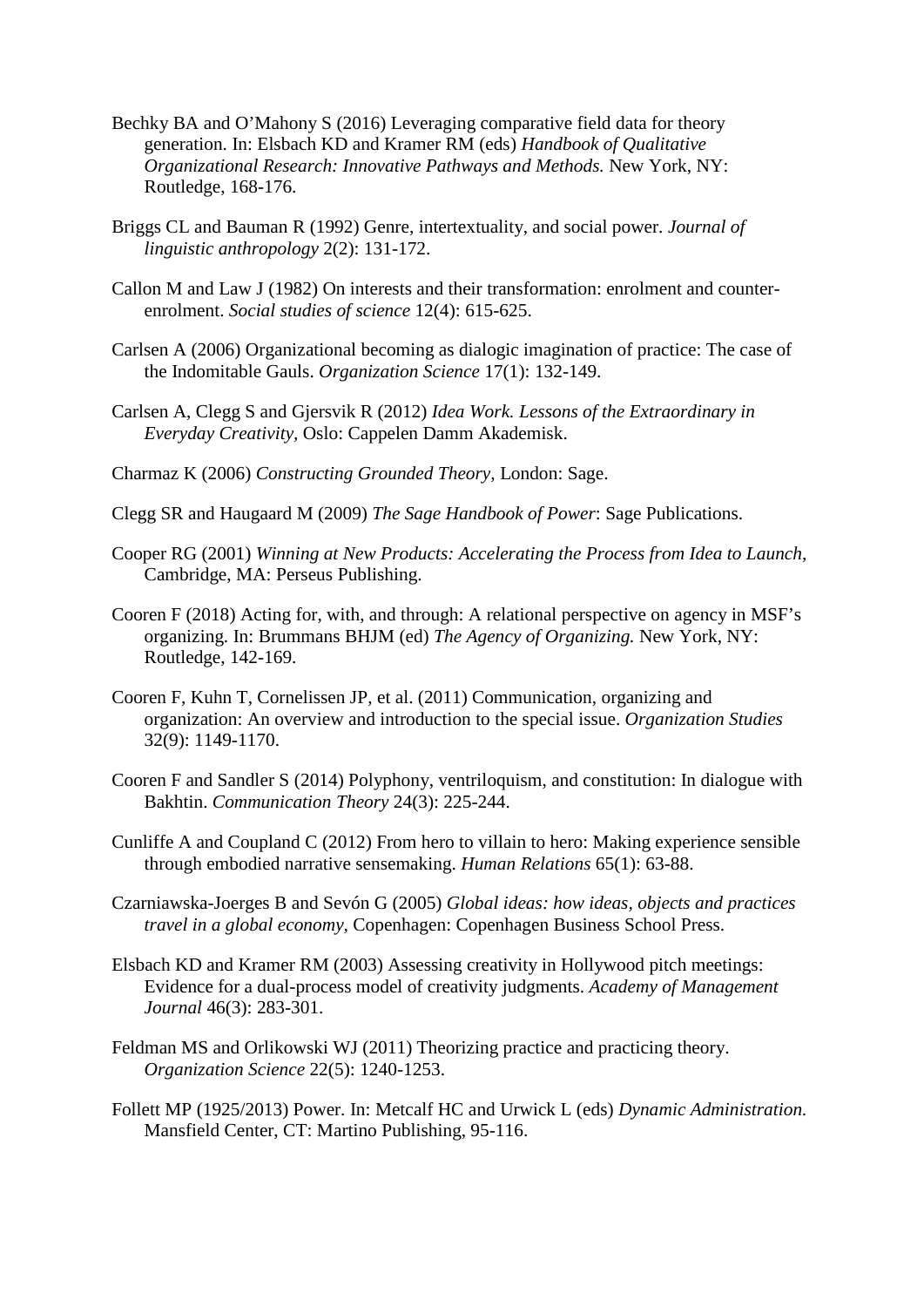- Bechky BA and O'Mahony S (2016) Leveraging comparative field data for theory generation. In: Elsbach KD and Kramer RM (eds) *Handbook of Qualitative Organizational Research: Innovative Pathways and Methods.* New York, NY: Routledge, 168-176.
- Briggs CL and Bauman R (1992) Genre, intertextuality, and social power. *Journal of linguistic anthropology* 2(2): 131-172.
- Callon M and Law J (1982) On interests and their transformation: enrolment and counterenrolment. *Social studies of science* 12(4): 615-625.
- Carlsen A (2006) Organizational becoming as dialogic imagination of practice: The case of the Indomitable Gauls. *Organization Science* 17(1): 132-149.
- Carlsen A, Clegg S and Gjersvik R (2012) *Idea Work. Lessons of the Extraordinary in Everyday Creativity,* Oslo: Cappelen Damm Akademisk.
- Charmaz K (2006) *Constructing Grounded Theory,* London: Sage.
- Clegg SR and Haugaard M (2009) *The Sage Handbook of Power*: Sage Publications.
- Cooper RG (2001) *Winning at New Products: Accelerating the Process from Idea to Launch,*  Cambridge, MA: Perseus Publishing.
- Cooren F (2018) Acting for, with, and through: A relational perspective on agency in MSF's organizing. In: Brummans BHJM (ed) *The Agency of Organizing.* New York, NY: Routledge, 142-169.
- Cooren F, Kuhn T, Cornelissen JP, et al. (2011) Communication, organizing and organization: An overview and introduction to the special issue. *Organization Studies* 32(9): 1149-1170.
- Cooren F and Sandler S (2014) Polyphony, ventriloquism, and constitution: In dialogue with Bakhtin. *Communication Theory* 24(3): 225-244.
- Cunliffe A and Coupland C (2012) From hero to villain to hero: Making experience sensible through embodied narrative sensemaking. *Human Relations* 65(1): 63-88.
- Czarniawska-Joerges B and Sevón G (2005) *Global ideas: how ideas, objects and practices travel in a global economy,* Copenhagen: Copenhagen Business School Press.
- Elsbach KD and Kramer RM (2003) Assessing creativity in Hollywood pitch meetings: Evidence for a dual-process model of creativity judgments. *Academy of Management Journal* 46(3): 283-301.
- Feldman MS and Orlikowski WJ (2011) Theorizing practice and practicing theory. *Organization Science* 22(5): 1240-1253.
- Follett MP (1925/2013) Power. In: Metcalf HC and Urwick L (eds) *Dynamic Administration.* Mansfield Center, CT: Martino Publishing, 95-116.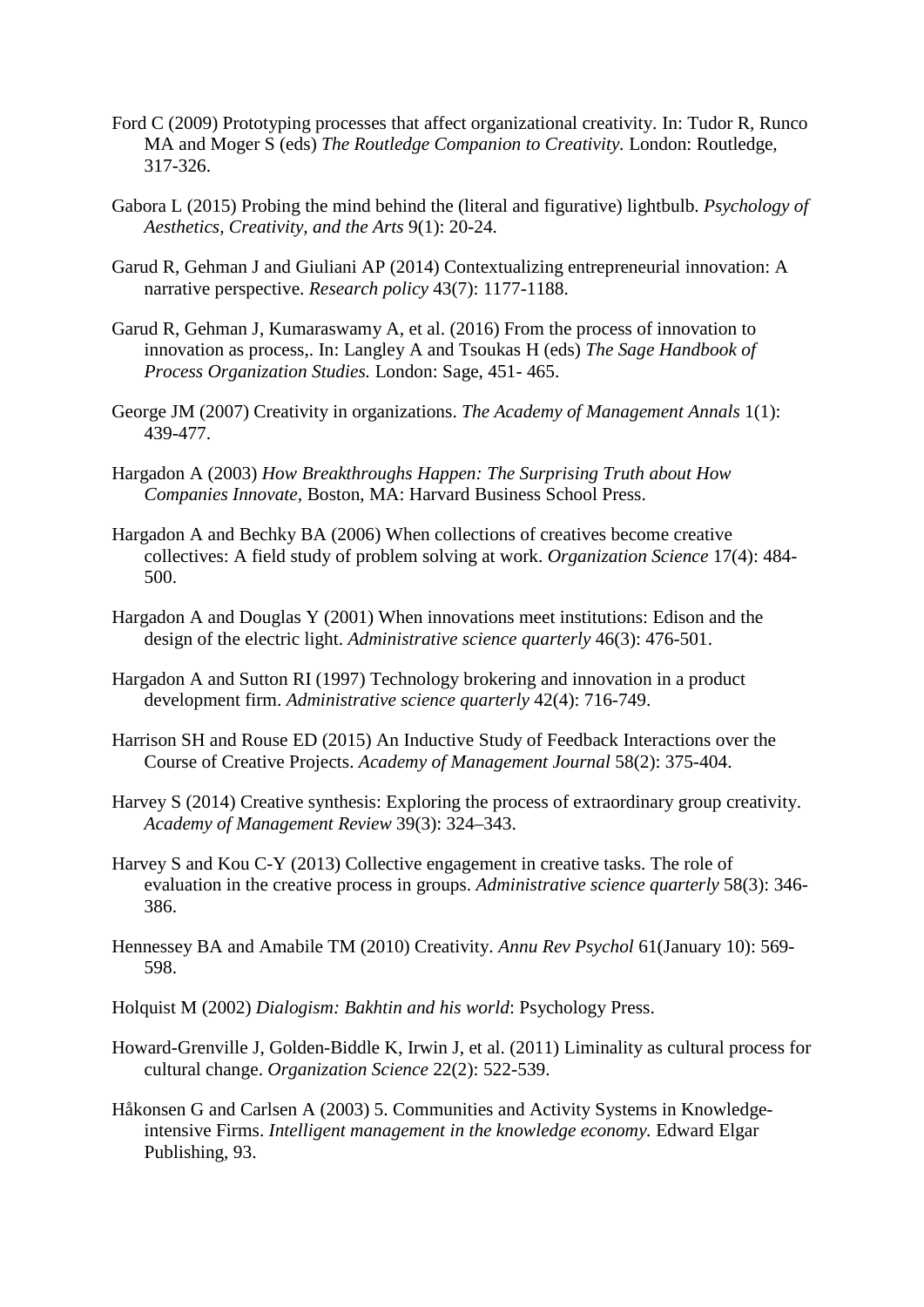- Ford C (2009) Prototyping processes that affect organizational creativity. In: Tudor R, Runco MA and Moger S (eds) *The Routledge Companion to Creativity.* London: Routledge, 317-326.
- Gabora L (2015) Probing the mind behind the (literal and figurative) lightbulb. *Psychology of Aesthetics, Creativity, and the Arts* 9(1): 20-24.
- Garud R, Gehman J and Giuliani AP (2014) Contextualizing entrepreneurial innovation: A narrative perspective. *Research policy* 43(7): 1177-1188.
- Garud R, Gehman J, Kumaraswamy A, et al. (2016) From the process of innovation to innovation as process,. In: Langley A and Tsoukas H (eds) *The Sage Handbook of Process Organization Studies.* London: Sage, 451- 465.
- George JM (2007) Creativity in organizations. *The Academy of Management Annals* 1(1): 439-477.
- Hargadon A (2003) *How Breakthroughs Happen: The Surprising Truth about How Companies Innovate,* Boston, MA: Harvard Business School Press.
- Hargadon A and Bechky BA (2006) When collections of creatives become creative collectives: A field study of problem solving at work. *Organization Science* 17(4): 484- 500.
- Hargadon A and Douglas Y (2001) When innovations meet institutions: Edison and the design of the electric light. *Administrative science quarterly* 46(3): 476-501.
- Hargadon A and Sutton RI (1997) Technology brokering and innovation in a product development firm. *Administrative science quarterly* 42(4): 716-749.
- Harrison SH and Rouse ED (2015) An Inductive Study of Feedback Interactions over the Course of Creative Projects. *Academy of Management Journal* 58(2): 375-404.
- Harvey S (2014) Creative synthesis: Exploring the process of extraordinary group creativity. *Academy of Management Review* 39(3): 324–343.
- Harvey S and Kou C-Y (2013) Collective engagement in creative tasks. The role of evaluation in the creative process in groups. *Administrative science quarterly* 58(3): 346- 386.
- Hennessey BA and Amabile TM (2010) Creativity. *Annu Rev Psychol* 61(January 10): 569- 598.
- Holquist M (2002) *Dialogism: Bakhtin and his world*: Psychology Press.
- Howard-Grenville J, Golden-Biddle K, Irwin J, et al. (2011) Liminality as cultural process for cultural change. *Organization Science* 22(2): 522-539.
- Håkonsen G and Carlsen A (2003) 5. Communities and Activity Systems in Knowledgeintensive Firms. *Intelligent management in the knowledge economy.* Edward Elgar Publishing, 93.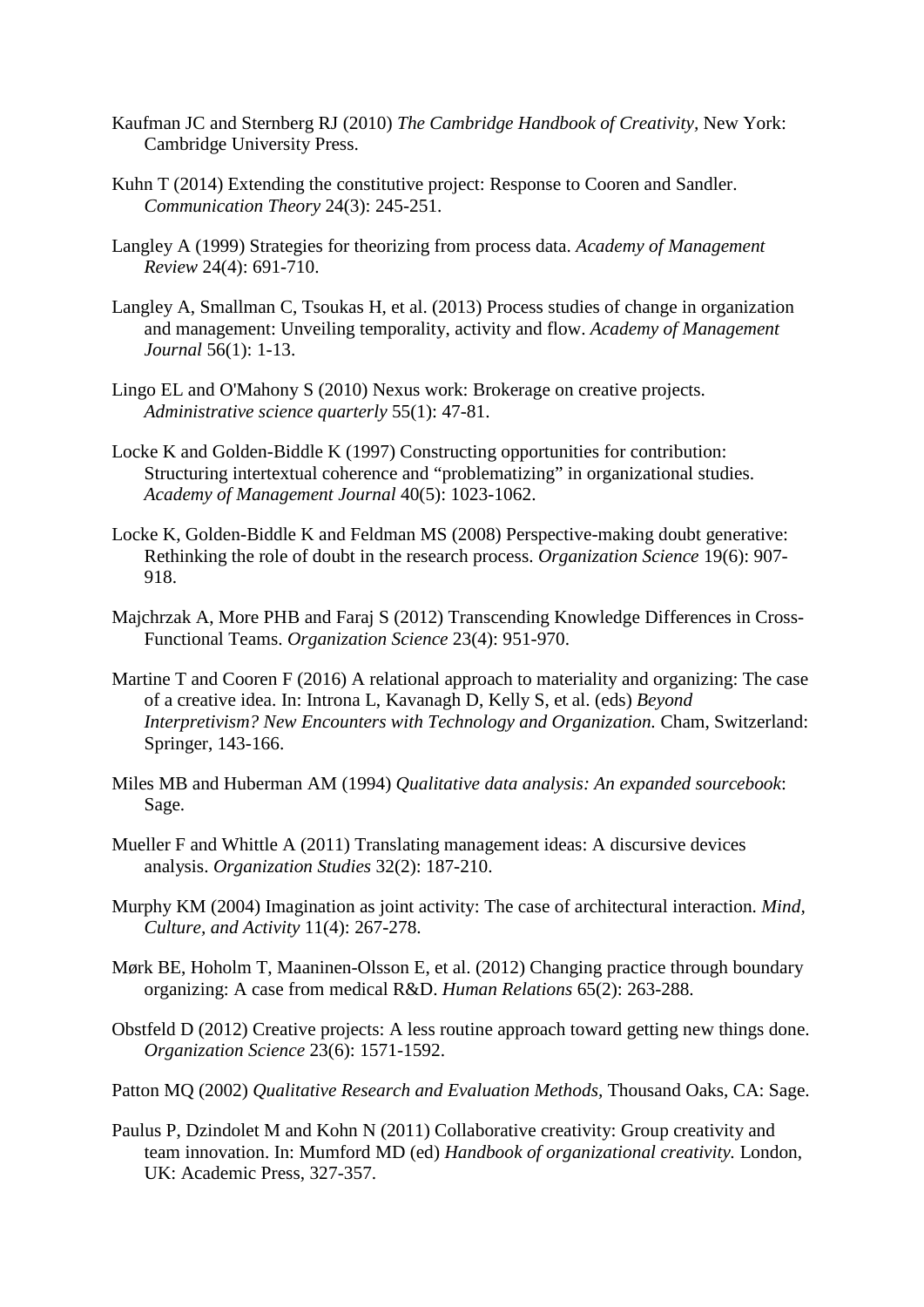- Kaufman JC and Sternberg RJ (2010) *The Cambridge Handbook of Creativity,* New York: Cambridge University Press.
- Kuhn T (2014) Extending the constitutive project: Response to Cooren and Sandler. *Communication Theory* 24(3): 245-251.
- Langley A (1999) Strategies for theorizing from process data. *Academy of Management Review* 24(4): 691-710.
- Langley A, Smallman C, Tsoukas H, et al. (2013) Process studies of change in organization and management: Unveiling temporality, activity and flow. *Academy of Management Journal* 56(1): 1-13.
- Lingo EL and O'Mahony S (2010) Nexus work: Brokerage on creative projects. *Administrative science quarterly* 55(1): 47-81.
- Locke K and Golden-Biddle K (1997) Constructing opportunities for contribution: Structuring intertextual coherence and "problematizing" in organizational studies. *Academy of Management Journal* 40(5): 1023-1062.
- Locke K, Golden-Biddle K and Feldman MS (2008) Perspective-making doubt generative: Rethinking the role of doubt in the research process. *Organization Science* 19(6): 907- 918.
- Majchrzak A, More PHB and Faraj S (2012) Transcending Knowledge Differences in Cross-Functional Teams. *Organization Science* 23(4): 951-970.
- Martine T and Cooren F (2016) A relational approach to materiality and organizing: The case of a creative idea. In: Introna L, Kavanagh D, Kelly S, et al. (eds) *Beyond Interpretivism? New Encounters with Technology and Organization.* Cham, Switzerland: Springer, 143-166.
- Miles MB and Huberman AM (1994) *Qualitative data analysis: An expanded sourcebook*: Sage.
- Mueller F and Whittle A (2011) Translating management ideas: A discursive devices analysis. *Organization Studies* 32(2): 187-210.
- Murphy KM (2004) Imagination as joint activity: The case of architectural interaction. *Mind, Culture, and Activity* 11(4): 267-278.
- Mørk BE, Hoholm T, Maaninen-Olsson E, et al. (2012) Changing practice through boundary organizing: A case from medical R&D. *Human Relations* 65(2): 263-288.
- Obstfeld D (2012) Creative projects: A less routine approach toward getting new things done. *Organization Science* 23(6): 1571-1592.
- Patton MQ (2002) *Qualitative Research and Evaluation Methods,* Thousand Oaks, CA: Sage.
- Paulus P, Dzindolet M and Kohn N (2011) Collaborative creativity: Group creativity and team innovation. In: Mumford MD (ed) *Handbook of organizational creativity.* London, UK: Academic Press, 327-357.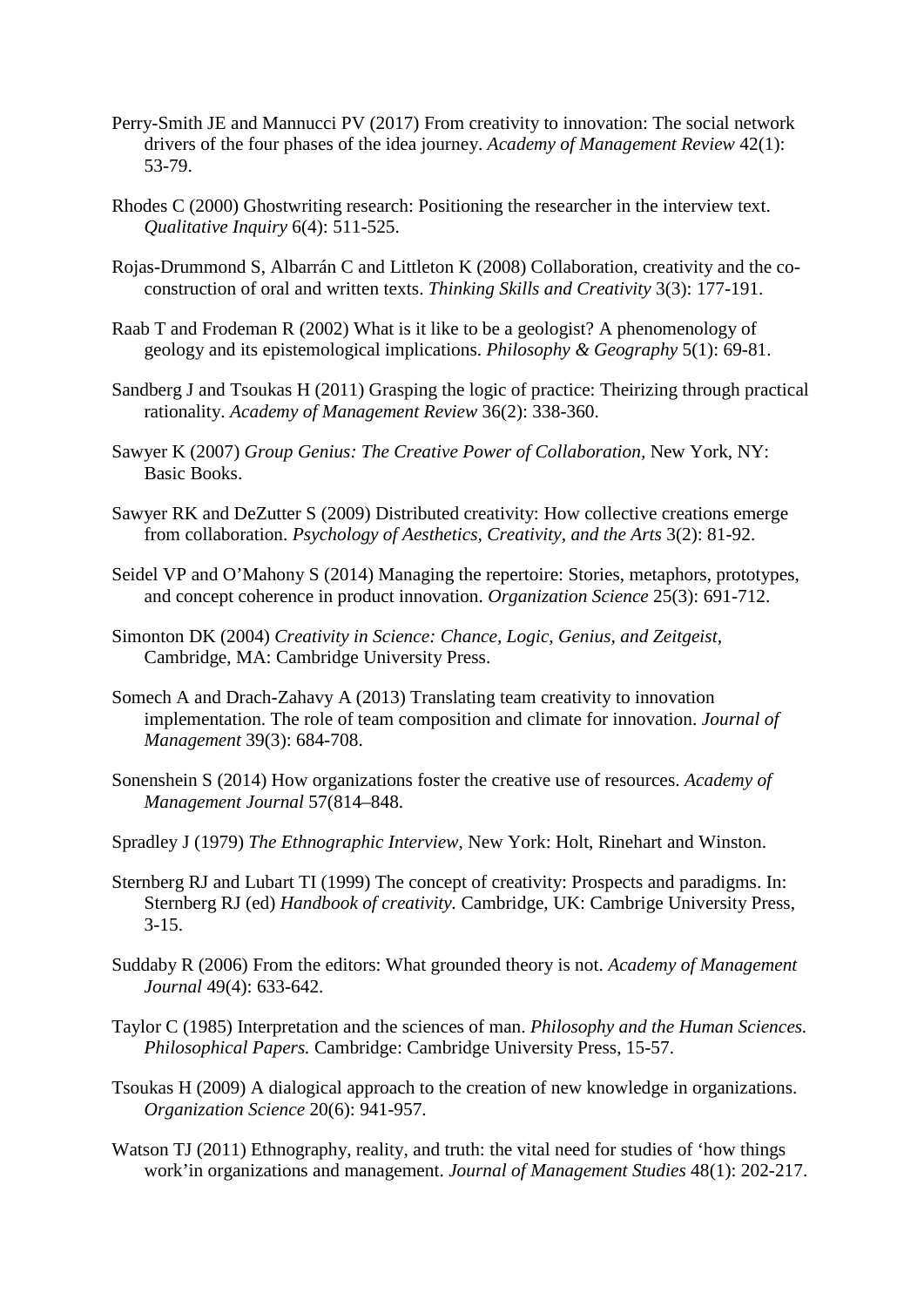- Perry-Smith JE and Mannucci PV (2017) From creativity to innovation: The social network drivers of the four phases of the idea journey. *Academy of Management Review* 42(1): 53-79.
- Rhodes C (2000) Ghostwriting research: Positioning the researcher in the interview text. *Qualitative Inquiry* 6(4): 511-525.
- Rojas-Drummond S, Albarrán C and Littleton K (2008) Collaboration, creativity and the coconstruction of oral and written texts. *Thinking Skills and Creativity* 3(3): 177-191.
- Raab T and Frodeman R (2002) What is it like to be a geologist? A phenomenology of geology and its epistemological implications. *Philosophy & Geography* 5(1): 69-81.
- Sandberg J and Tsoukas H (2011) Grasping the logic of practice: Theirizing through practical rationality. *Academy of Management Review* 36(2): 338-360.
- Sawyer K (2007) *Group Genius: The Creative Power of Collaboration,* New York, NY: Basic Books.
- Sawyer RK and DeZutter S (2009) Distributed creativity: How collective creations emerge from collaboration. *Psychology of Aesthetics, Creativity, and the Arts* 3(2): 81-92.
- Seidel VP and O'Mahony S (2014) Managing the repertoire: Stories, metaphors, prototypes, and concept coherence in product innovation. *Organization Science* 25(3): 691-712.
- Simonton DK (2004) *Creativity in Science: Chance, Logic, Genius, and Zeitgeist,*  Cambridge, MA: Cambridge University Press.
- Somech A and Drach-Zahavy A (2013) Translating team creativity to innovation implementation. The role of team composition and climate for innovation. *Journal of Management* 39(3): 684-708.
- Sonenshein S (2014) How organizations foster the creative use of resources. *Academy of Management Journal* 57(814–848.
- Spradley J (1979) *The Ethnographic Interview,* New York: Holt, Rinehart and Winston.
- Sternberg RJ and Lubart TI (1999) The concept of creativity: Prospects and paradigms. In: Sternberg RJ (ed) *Handbook of creativity.* Cambridge, UK: Cambrige University Press,  $3-15.$
- Suddaby R (2006) From the editors: What grounded theory is not. *Academy of Management Journal* 49(4): 633-642.
- Taylor C (1985) Interpretation and the sciences of man. *Philosophy and the Human Sciences. Philosophical Papers.* Cambridge: Cambridge University Press, 15-57.
- Tsoukas H (2009) A dialogical approach to the creation of new knowledge in organizations. *Organization Science* 20(6): 941-957.
- Watson TJ (2011) Ethnography, reality, and truth: the vital need for studies of 'how things work'in organizations and management. *Journal of Management Studies* 48(1): 202-217.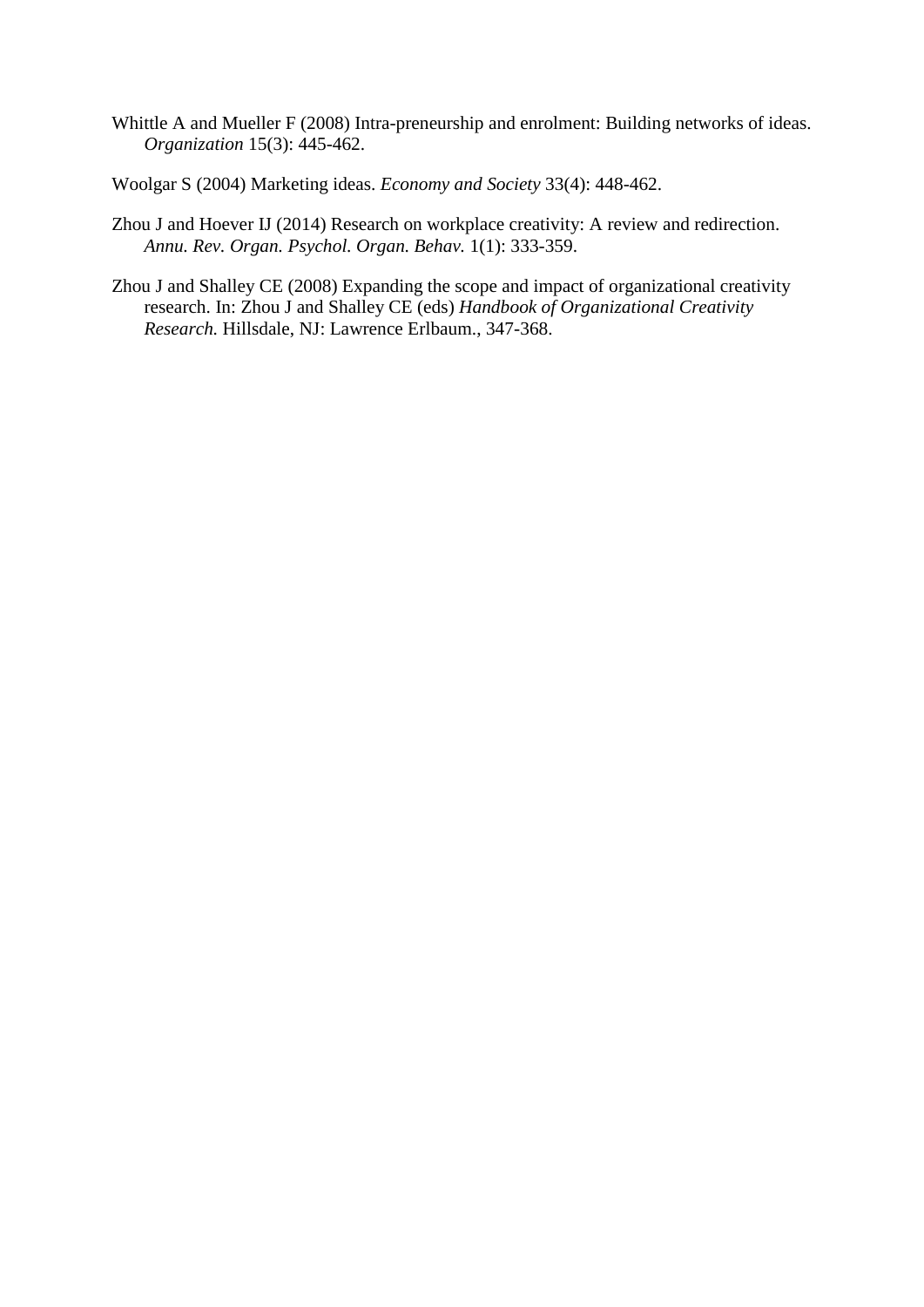- Whittle A and Mueller F (2008) Intra-preneurship and enrolment: Building networks of ideas. *Organization* 15(3): 445-462.
- Woolgar S (2004) Marketing ideas. *Economy and Society* 33(4): 448-462.
- Zhou J and Hoever IJ (2014) Research on workplace creativity: A review and redirection. *Annu. Rev. Organ. Psychol. Organ. Behav.* 1(1): 333-359.
- Zhou J and Shalley CE (2008) Expanding the scope and impact of organizational creativity research. In: Zhou J and Shalley CE (eds) *Handbook of Organizational Creativity Research.* Hillsdale, NJ: Lawrence Erlbaum., 347-368.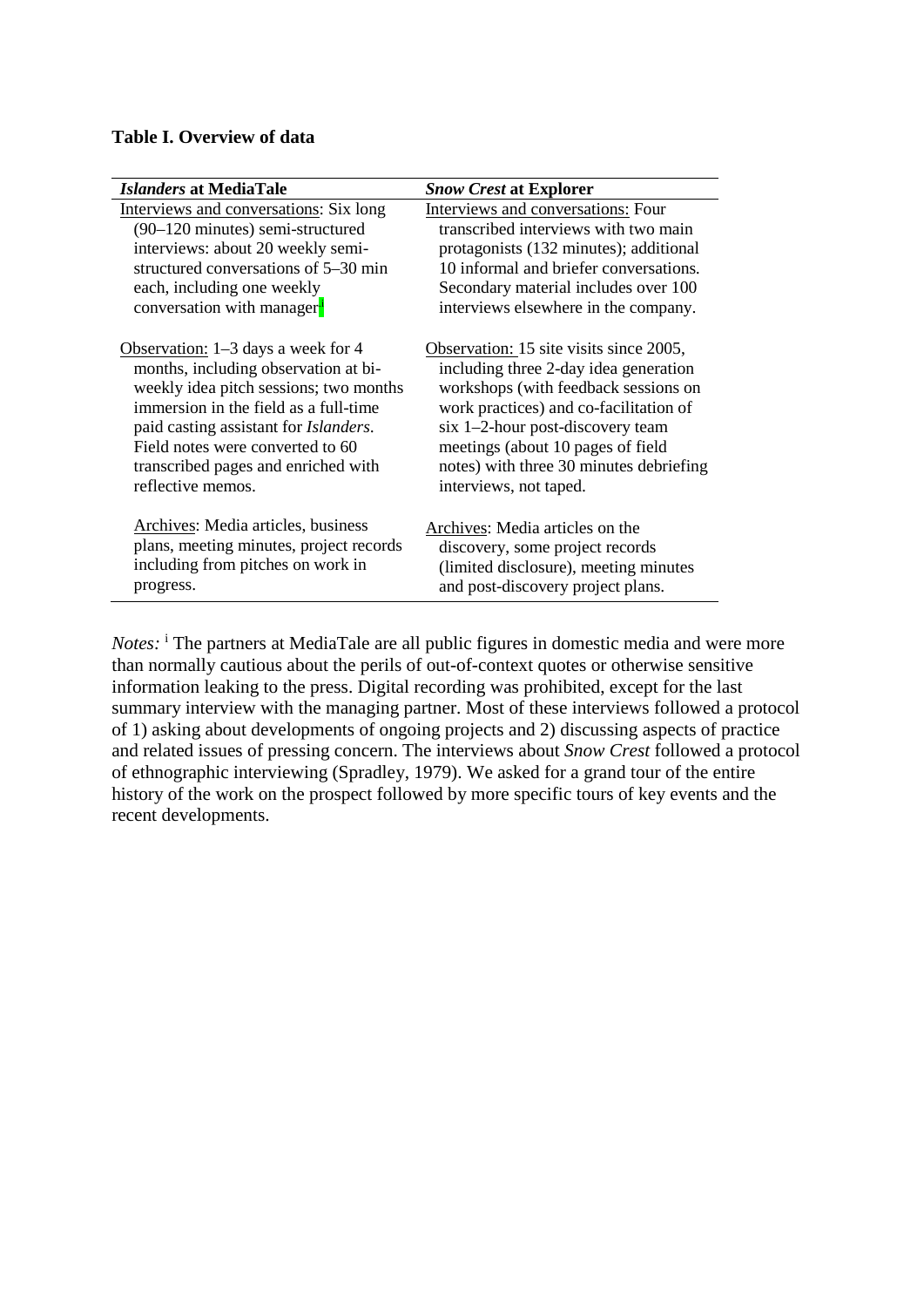#### **Table I. Overview of data**

| <b>Islanders at MediaTale</b>                 | <b>Snow Crest at Explorer</b>           |
|-----------------------------------------------|-----------------------------------------|
| Interviews and conversations: Six long        | Interviews and conversations: Four      |
| (90–120 minutes) semi-structured              | transcribed interviews with two main    |
| interviews: about 20 weekly semi-             | protagonists (132 minutes); additional  |
| structured conversations of 5–30 min          | 10 informal and briefer conversations.  |
| each, including one weekly                    | Secondary material includes over 100    |
| conversation with manager <sup>1</sup>        | interviews elsewhere in the company.    |
| Observation: $1-3$ days a week for 4          | Observation: 15 site visits since 2005, |
| months, including observation at bi-          | including three 2-day idea generation   |
| weekly idea pitch sessions; two months        | workshops (with feedback sessions on    |
| immersion in the field as a full-time         | work practices) and co-facilitation of  |
| paid casting assistant for <i>Islanders</i> . | six 1-2-hour post-discovery team        |
| Field notes were converted to 60              | meetings (about 10 pages of field       |
| transcribed pages and enriched with           | notes) with three 30 minutes debriefing |
| reflective memos.                             | interviews, not taped.                  |
| Archives: Media articles, business            | Archives: Media articles on the         |
| plans, meeting minutes, project records       | discovery, some project records         |
| including from pitches on work in             | (limited disclosure), meeting minutes   |
| progress.                                     | and post-discovery project plans.       |

*Notes*: <sup>i</sup> The partners at MediaTale are all public figures in domestic media and were more than normally cautious about the perils of out-of-context quotes or otherwise sensitive information leaking to the press. Digital recording was prohibited, except for the last summary interview with the managing partner. Most of these interviews followed a protocol of 1) asking about developments of ongoing projects and 2) discussing aspects of practice and related issues of pressing concern. The interviews about *Snow Crest* followed a protocol of ethnographic interviewing (Spradley, 1979). We asked for a grand tour of the entire history of the work on the prospect followed by more specific tours of key events and the recent developments.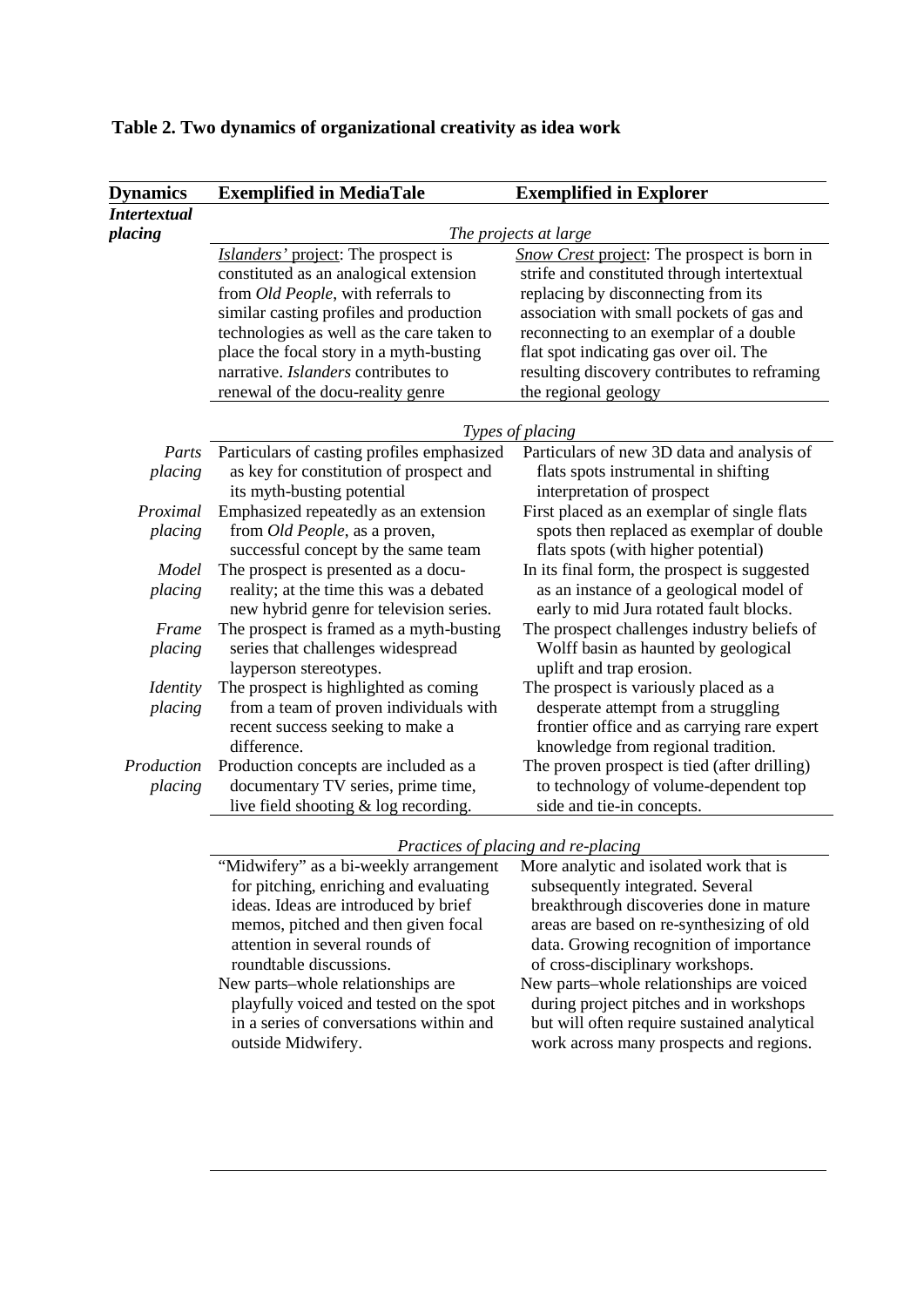| <b>Dynamics</b>               | <b>Exemplified in MediaTale</b>            | <b>Exemplified in Explorer</b>               |  |
|-------------------------------|--------------------------------------------|----------------------------------------------|--|
| <i>Intertextual</i>           |                                            |                                              |  |
| placing                       | The projects at large                      |                                              |  |
|                               | Islanders' project: The prospect is        | Snow Crest project: The prospect is born in  |  |
|                               | constituted as an analogical extension     | strife and constituted through intertextual  |  |
|                               | from Old People, with referrals to         | replacing by disconnecting from its          |  |
|                               | similar casting profiles and production    | association with small pockets of gas and    |  |
|                               | technologies as well as the care taken to  | reconnecting to an exemplar of a double      |  |
|                               | place the focal story in a myth-busting    | flat spot indicating gas over oil. The       |  |
|                               | narrative. Islanders contributes to        | resulting discovery contributes to reframing |  |
|                               | renewal of the docu-reality genre          | the regional geology                         |  |
|                               |                                            |                                              |  |
|                               | Types of placing                           |                                              |  |
| Parts                         | Particulars of casting profiles emphasized | Particulars of new 3D data and analysis of   |  |
| placing                       | as key for constitution of prospect and    | flats spots instrumental in shifting         |  |
|                               | its myth-busting potential                 | interpretation of prospect                   |  |
| Proximal                      | Emphasized repeatedly as an extension      | First placed as an exemplar of single flats  |  |
| placing                       | from <i>Old People</i> , as a proven,      | spots then replaced as exemplar of double    |  |
|                               | successful concept by the same team        | flats spots (with higher potential)          |  |
| Model                         | The prospect is presented as a docu-       | In its final form, the prospect is suggested |  |
| placing                       | reality; at the time this was a debated    | as an instance of a geological model of      |  |
|                               | new hybrid genre for television series.    | early to mid Jura rotated fault blocks.      |  |
| Frame                         | The prospect is framed as a myth-busting   | The prospect challenges industry beliefs of  |  |
| placing                       | series that challenges widespread          | Wolff basin as haunted by geological         |  |
|                               | layperson stereotypes.                     | uplift and trap erosion.                     |  |
| <i><u><b>Identity</b></u></i> | The prospect is highlighted as coming      | The prospect is variously placed as a        |  |
| placing                       | from a team of proven individuals with     | desperate attempt from a struggling          |  |
|                               | recent success seeking to make a           | frontier office and as carrying rare expert  |  |
|                               | difference.                                | knowledge from regional tradition.           |  |
| Production                    | Production concepts are included as a      | The proven prospect is tied (after drilling) |  |
| placing                       | documentary TV series, prime time,         | to technology of volume-dependent top        |  |
|                               | live field shooting & log recording.       | side and tie-in concepts.                    |  |

## **Table 2. Two dynamics of organizational creativity as idea work**

*Practices of placing and re-placing*

| <i>Tractices of placing and re-placing</i> |                                             |  |
|--------------------------------------------|---------------------------------------------|--|
| "Midwifery" as a bi-weekly arrangement     | More analytic and isolated work that is     |  |
| for pitching, enriching and evaluating     | subsequently integrated. Several            |  |
| ideas. Ideas are introduced by brief       | breakthrough discoveries done in mature     |  |
| memos, pitched and then given focal        | areas are based on re-synthesizing of old   |  |
| attention in several rounds of             | data. Growing recognition of importance     |  |
| roundtable discussions.                    | of cross-disciplinary workshops.            |  |
| New parts-whole relationships are          | New parts-whole relationships are voiced    |  |
| playfully voiced and tested on the spot    | during project pitches and in workshops     |  |
| in a series of conversations within and    | but will often require sustained analytical |  |
| outside Midwifery.                         | work across many prospects and regions.     |  |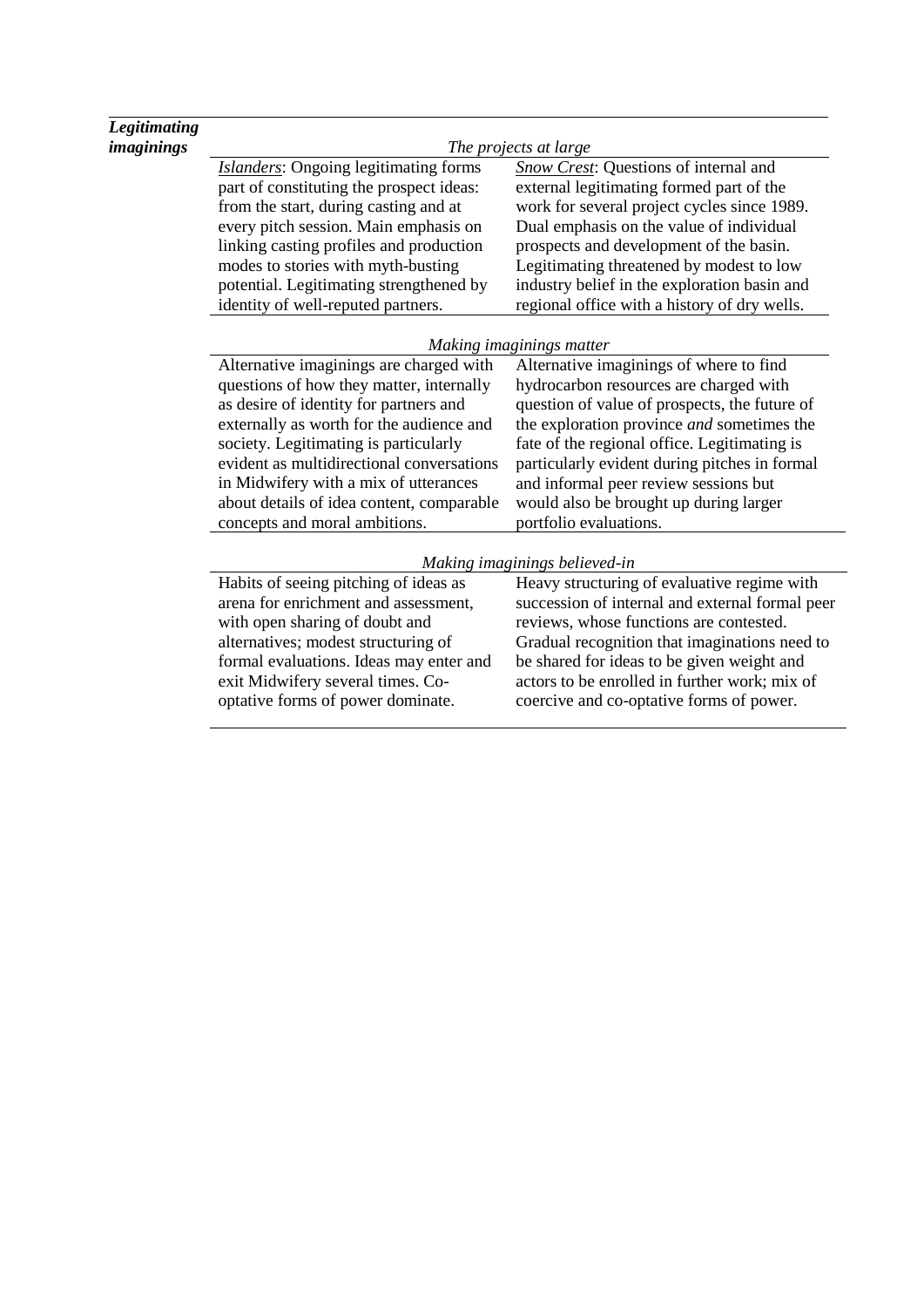| <b>Legitimating</b> |                                              |                                                   |  |
|---------------------|----------------------------------------------|---------------------------------------------------|--|
| <i>imaginings</i>   | The projects at large                        |                                                   |  |
|                     | <b>Islanders:</b> Ongoing legitimating forms | <b>Snow Crest:</b> Questions of internal and      |  |
|                     | part of constituting the prospect ideas:     | external legitimating formed part of the          |  |
|                     | from the start, during casting and at        | work for several project cycles since 1989.       |  |
|                     | every pitch session. Main emphasis on        | Dual emphasis on the value of individual          |  |
|                     | linking casting profiles and production      | prospects and development of the basin.           |  |
|                     | modes to stories with myth-busting           | Legitimating threatened by modest to low          |  |
|                     | potential. Legitimating strengthened by      | industry belief in the exploration basin and      |  |
|                     | identity of well-reputed partners.           | regional office with a history of dry wells.      |  |
|                     | Making imaginings matter                     |                                                   |  |
|                     | Alternative imaginings are charged with      | Alternative imaginings of where to find           |  |
|                     | questions of how they matter, internally     | hydrocarbon resources are charged with            |  |
|                     | as desire of identity for partners and       | question of value of prospects, the future of     |  |
|                     | externally as worth for the audience and     | the exploration province <i>and</i> sometimes the |  |
|                     | society. Legitimating is particularly        | fate of the regional office. Legitimating is      |  |
|                     | evident as multidirectional conversations    | particularly evident during pitches in formal     |  |
|                     | in Midwifery with a mix of utterances        | and informal peer review sessions but             |  |
|                     | about details of idea content, comparable    | would also be brought up during larger            |  |
|                     | concepts and moral ambitions.                | portfolio evaluations.                            |  |
|                     |                                              | Making imaginings believed-in                     |  |
|                     | Habits of seeing pitching of ideas as        | Heavy structuring of evaluative regime with       |  |
|                     | arena for enrichment and assessment,         | succession of internal and external formal peer   |  |
|                     | with open sharing of doubt and               | reviews, whose functions are contested.           |  |
|                     | alternatives; modest structuring of          | Gradual recognition that imaginations need to     |  |
|                     | formal evaluations. Ideas may enter and      | be shared for ideas to be given weight and        |  |
|                     | exit Midwifery several times. Co-            | actors to be enrolled in further work; mix of     |  |
|                     | optative forms of power dominate.            | coercive and co-optative forms of power.          |  |
|                     |                                              |                                                   |  |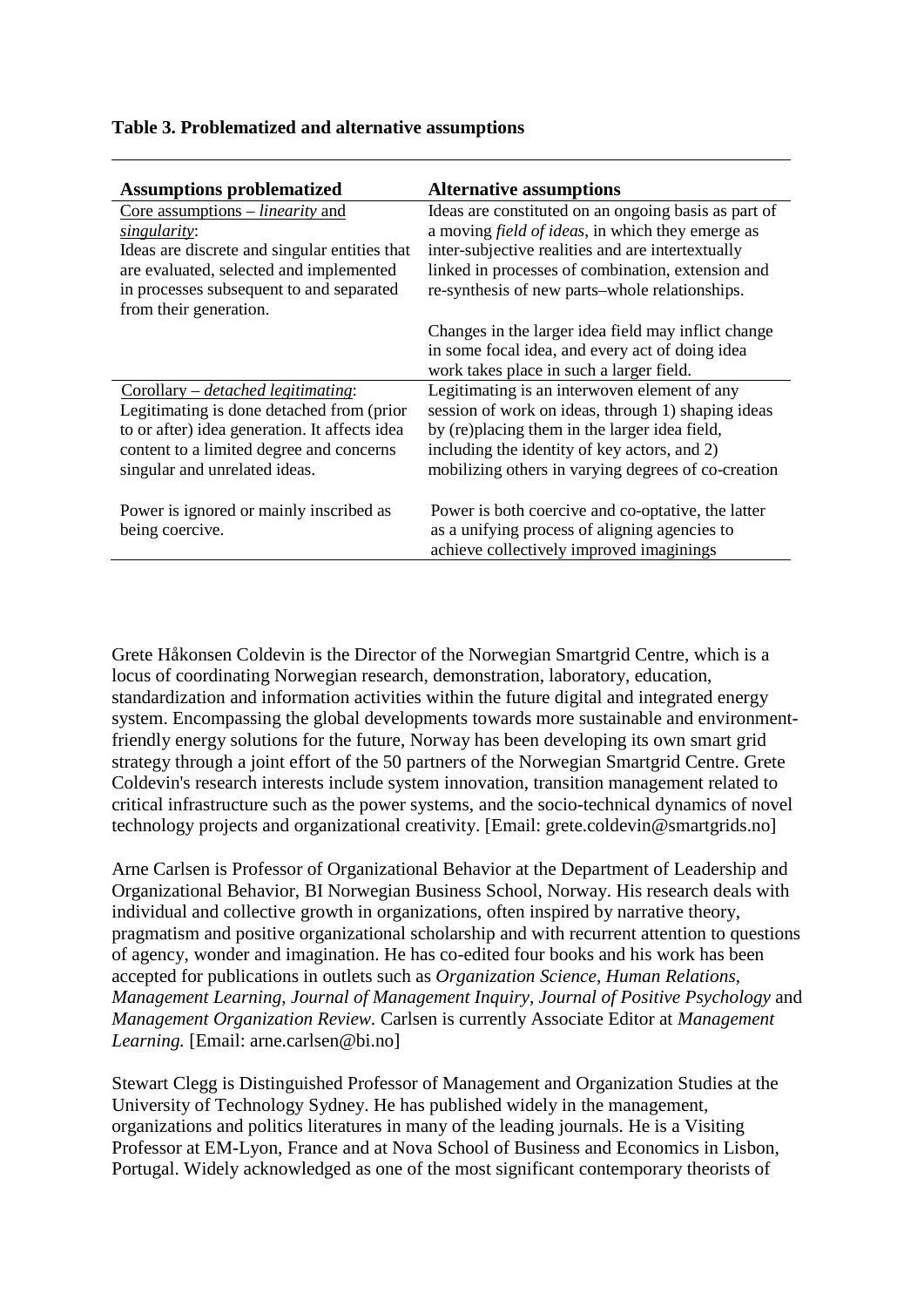| <b>Assumptions problematized</b>              | <b>Alternative assumptions</b>                           |
|-----------------------------------------------|----------------------------------------------------------|
| Core assumptions $-$ <i>linearity</i> and     | Ideas are constituted on an ongoing basis as part of     |
| singularity:                                  | a moving <i>field of ideas</i> , in which they emerge as |
| Ideas are discrete and singular entities that | inter-subjective realities and are intertextually        |
| are evaluated, selected and implemented       | linked in processes of combination, extension and        |
| in processes subsequent to and separated      | re-synthesis of new parts-whole relationships.           |
| from their generation.                        |                                                          |
|                                               | Changes in the larger idea field may inflict change      |
|                                               | in some focal idea, and every act of doing idea          |
|                                               | work takes place in such a larger field.                 |
| $Corollary - detached$ legitimating:          | Legitimating is an interwoven element of any             |
| Legitimating is done detached from (prior     | session of work on ideas, through 1) shaping ideas       |
| to or after) idea generation. It affects idea | by (re)placing them in the larger idea field,            |
| content to a limited degree and concerns      | including the identity of key actors, and 2)             |
| singular and unrelated ideas.                 | mobilizing others in varying degrees of co-creation      |
|                                               |                                                          |
| Power is ignored or mainly inscribed as       | Power is both coercive and co-optative, the latter       |
| being coercive.                               | as a unifying process of aligning agencies to            |
|                                               | achieve collectively improved imaginings                 |

## **Table 3. Problematized and alternative assumptions**

Grete Håkonsen Coldevin is the Director of the Norwegian Smartgrid Centre, which is a locus of coordinating Norwegian research, demonstration, laboratory, education, standardization and information activities within the future digital and integrated energy system. Encompassing the global developments towards more sustainable and environmentfriendly energy solutions for the future, Norway has been developing its own smart grid strategy through a joint effort of the 50 partners of the Norwegian Smartgrid Centre. Grete Coldevin's research interests include system innovation, transition management related to critical infrastructure such as the power systems, and the socio-technical dynamics of novel technology projects and organizational creativity. [Email: grete.coldevin@smartgrids.no]

Arne Carlsen is Professor of Organizational Behavior at the Department of Leadership and Organizational Behavior, BI Norwegian Business School, Norway. His research deals with individual and collective growth in organizations, often inspired by narrative theory, pragmatism and positive organizational scholarship and with recurrent attention to questions of agency, wonder and imagination. He has co-edited four books and his work has been accepted for publications in outlets such as *Organization Science*, *Human Relations*, *Management Learning*, *Journal of Management Inquiry*, *Journal of Positive Psychology* and *Management Organization Review.* Carlsen is currently Associate Editor at *Management Learning.* [Email: arne.carlsen@bi.no]

Stewart Clegg is Distinguished Professor of Management and Organization Studies at the University of Technology Sydney. He has published widely in the management, organizations and politics literatures in many of the leading journals. He is a Visiting Professor at EM-Lyon, France and at Nova School of Business and Economics in Lisbon, Portugal. Widely acknowledged as one of the most significant contemporary theorists of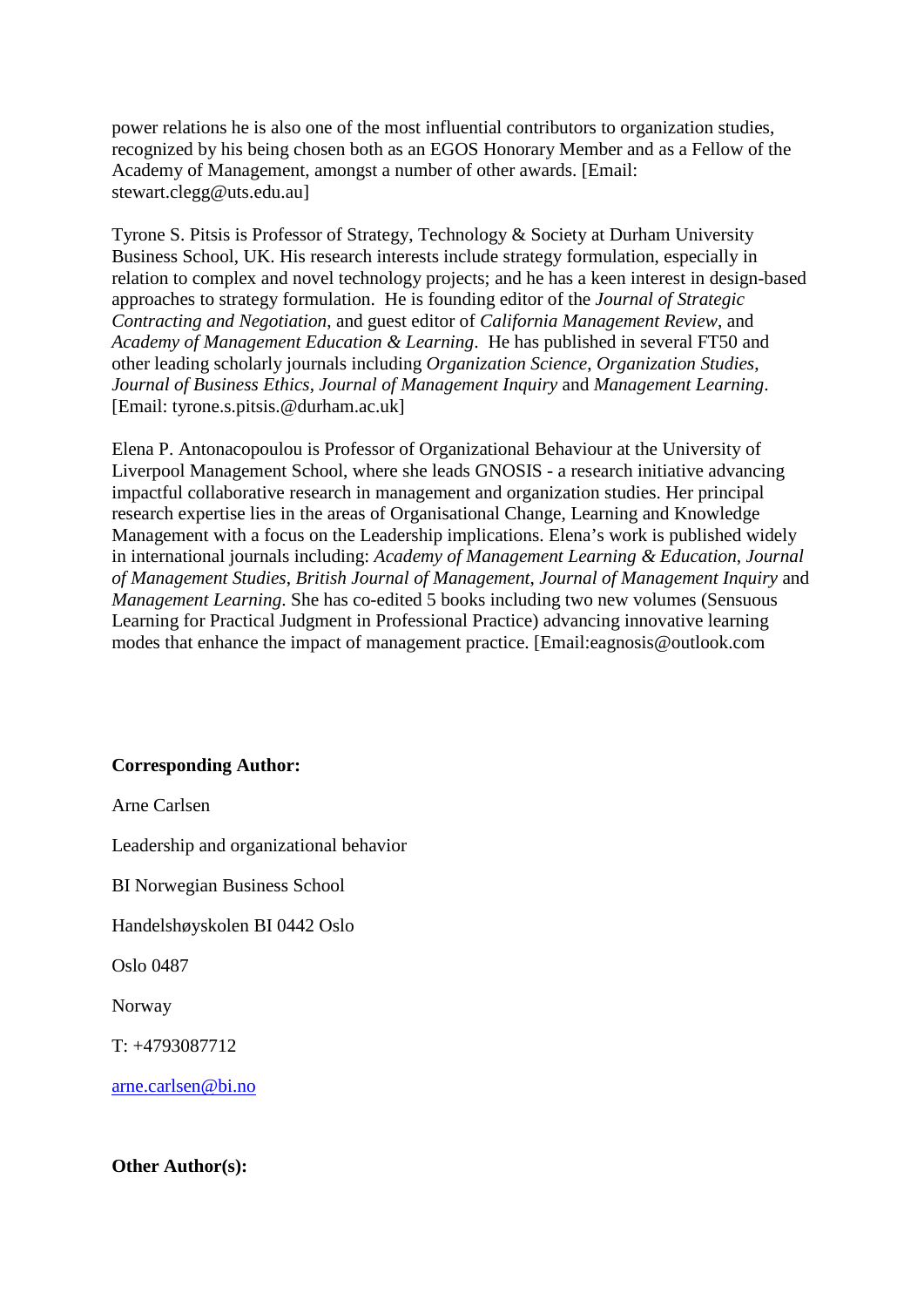power relations he is also one of the most influential contributors to organization studies, recognized by his being chosen both as an EGOS Honorary Member and as a Fellow of the Academy of Management, amongst a number of other awards. [Email: stewart.clegg@uts.edu.au]

Tyrone S. Pitsis is Professor of Strategy, Technology & Society at Durham University Business School, UK. His research interests include strategy formulation, especially in relation to complex and novel technology projects; and he has a keen interest in design-based approaches to strategy formulation. He is founding editor of the *Journal of Strategic Contracting and Negotiation*, and guest editor of *California Management Review*, and *Academy of Management Education & Learning*. He has published in several FT50 and other leading scholarly journals including *Organization Science*, *Organization Studies*, *Journal of Business Ethics*, *Journal of Management Inquiry* and *Management Learning*. [Email: tyrone.s.pitsis.@durham.ac.uk]

Elena P. Antonacopoulou is Professor of Organizational Behaviour at the University of Liverpool Management School, where she leads GNOSIS - a research initiative advancing impactful collaborative research in management and organization studies. Her principal research expertise lies in the areas of Organisational Change, Learning and Knowledge Management with a focus on the Leadership implications. Elena's work is published widely in international journals including: *Academy of Management Learning & Education*, *Journal of Management Studies*, *British Journal of Management*, *Journal of Management Inquiry* and *Management Learning*. She has co-edited 5 books including two new volumes (Sensuous Learning for Practical Judgment in Professional Practice) advancing innovative learning modes that enhance the impact of management practice. [Email:eagnosis@outlook.com

## **Corresponding Author:**

Arne Carlsen

Leadership and organizational behavior

BI Norwegian Business School

Handelshøyskolen BI 0442 Oslo

Oslo 0487

Norway

T: +4793087712

[arne.carlsen@bi.no](mailto:arne.carlsen@bi.no)

**Other Author(s):**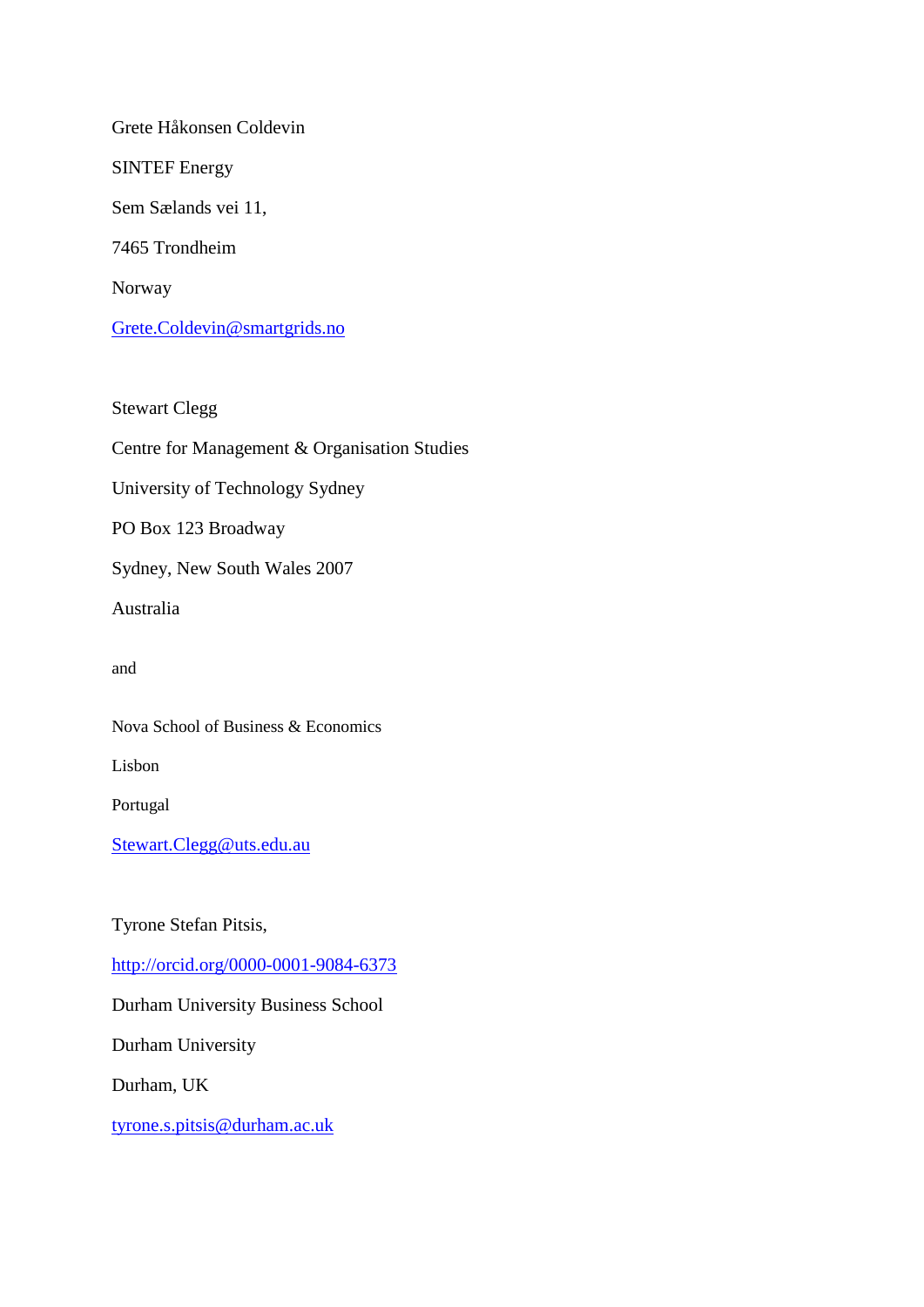Grete Håkonsen Coldevin SINTEF Energy Sem Sælands vei 11, 7465 Trondheim Norway [Grete.Coldevin@smartgrids.no](mailto:Grete.Coldevin@smartgrids.no)

Stewart Clegg Centre for Management & Organisation Studies University of Technology Sydney PO Box 123 Broadway Sydney, New South Wales 2007 Australia and Nova School of Business & Economics Lisbon Portugal [Stewart.Clegg@uts.edu.au](mailto:Stewart.Clegg@uts.edu.au)

Tyrone Stefan Pitsis,

<http://orcid.org/0000-0001-9084-6373>

Durham University Business School

Durham University

Durham, UK

[tyrone.s.pitsis@durham.ac.uk](mailto:tyrone.s.pitsis@durham.ac.uk)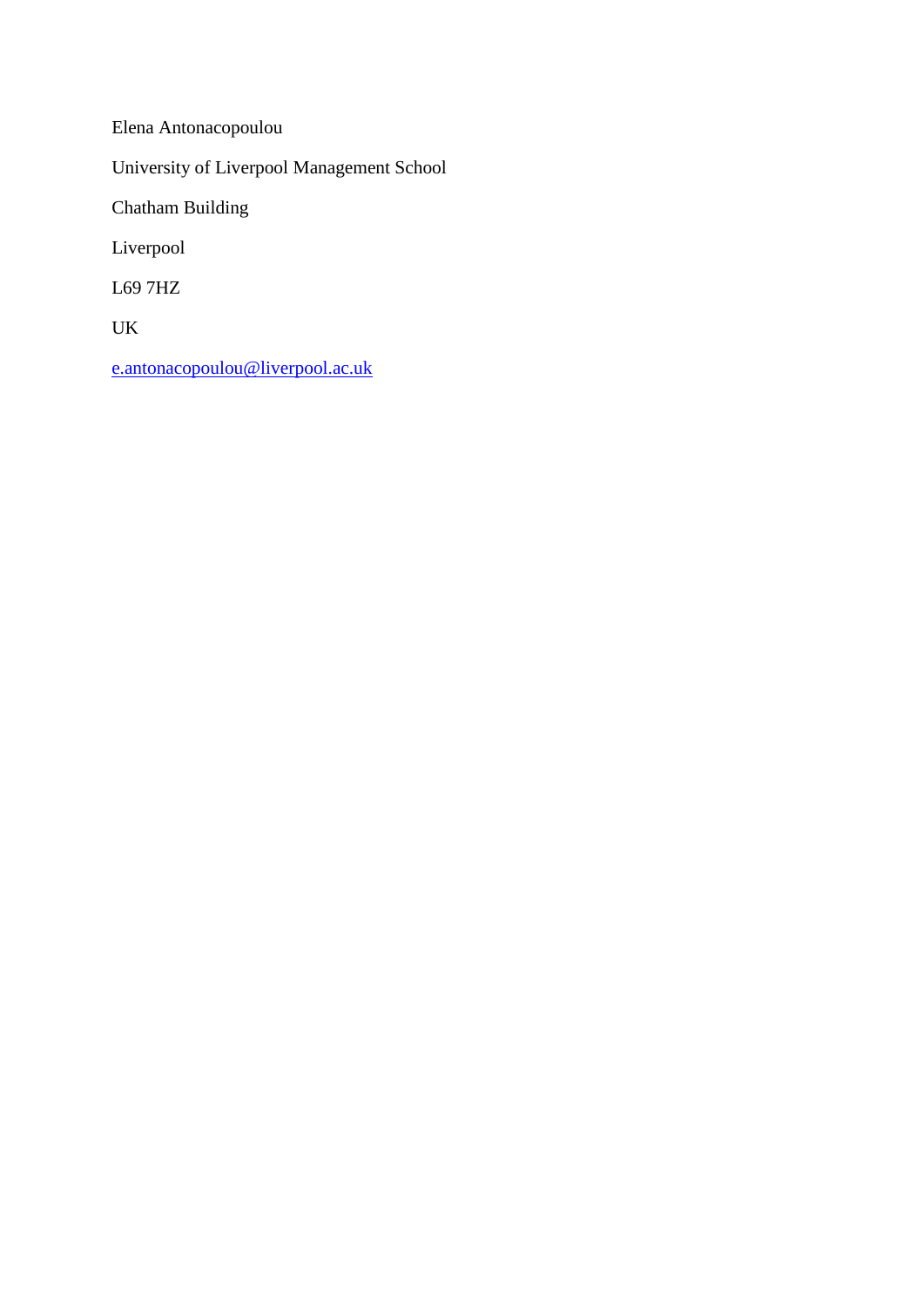Elena Antonacopoulou University of Liverpool Management School Chatham Building Liverpool L69 7HZ UK

[e.antonacopoulou@liverpool.ac.uk](mailto:e.antonacopoulou@liverpool.ac.uk)